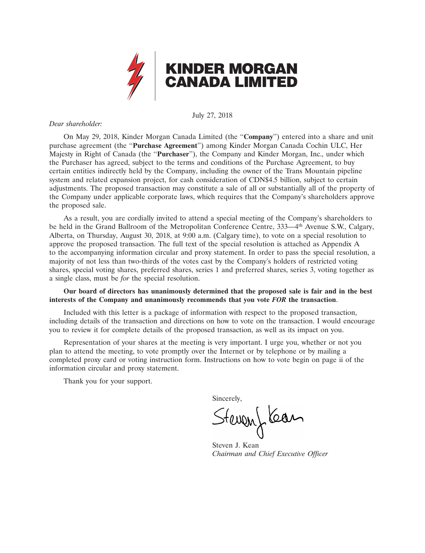

# July 27, 2018

# *Dear shareholder:*

On May 29, 2018, Kinder Morgan Canada Limited (the ''**Company**'') entered into a share and unit purchase agreement (the ''**Purchase Agreement**'') among Kinder Morgan Canada Cochin ULC, Her Majesty in Right of Canada (the ''**Purchaser**''), the Company and Kinder Morgan, Inc., under which the Purchaser has agreed, subject to the terms and conditions of the Purchase Agreement, to buy certain entities indirectly held by the Company, including the owner of the Trans Mountain pipeline system and related expansion project, for cash consideration of CDN\$4.5 billion, subject to certain adjustments. The proposed transaction may constitute a sale of all or substantially all of the property of the Company under applicable corporate laws, which requires that the Company's shareholders approve the proposed sale.

As a result, you are cordially invited to attend a special meeting of the Company's shareholders to be held in the Grand Ballroom of the Metropolitan Conference Centre, 333—4th Avenue S.W., Calgary, Alberta, on Thursday, August 30, 2018, at 9:00 a.m. (Calgary time), to vote on a special resolution to approve the proposed transaction. The full text of the special resolution is attached as Appendix A to the accompanying information circular and proxy statement. In order to pass the special resolution, a majority of not less than two-thirds of the votes cast by the Company's holders of restricted voting shares, special voting shares, preferred shares, series 1 and preferred shares, series 3, voting together as a single class, must be *for* the special resolution.

# **Our board of directors has unanimously determined that the proposed sale is fair and in the best interests of the Company and unanimously recommends that you vote** *FOR* **the transaction**.

Included with this letter is a package of information with respect to the proposed transaction, including details of the transaction and directions on how to vote on the transaction. I would encourage you to review it for complete details of the proposed transaction, as well as its impact on you.

Representation of your shares at the meeting is very important. I urge you, whether or not you plan to attend the meeting, to vote promptly over the Internet or by telephone or by mailing a completed proxy card or voting instruction form. Instructions on how to vote begin on page ii of the information circular and proxy statement.

Thank you for your support.

Sincerely,

Stevent Kean

Steven J. Kean *Chairman and Chief Executive Officer*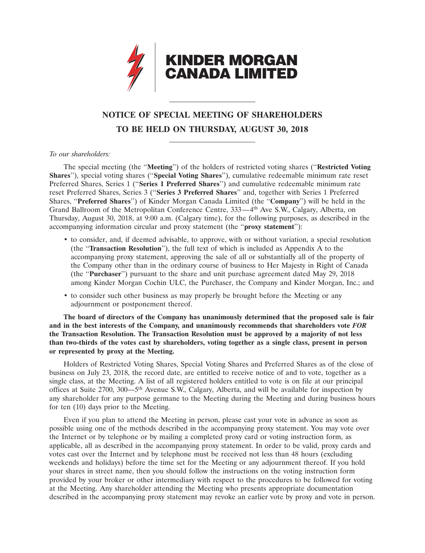

# **NOTICE OF SPECIAL MEETING OF SHAREHOLDERS TO BE HELD ON THURSDAY, AUGUST 30, 2018**

# *To our shareholders:*

The special meeting (the ''**Meeting**'') of the holders of restricted voting shares (''**Restricted Voting Shares**''), special voting shares (''**Special Voting Shares**''), cumulative redeemable minimum rate reset Preferred Shares, Series 1 (''**Series 1 Preferred Shares**'') and cumulative redeemable minimum rate reset Preferred Shares, Series 3 (''**Series 3 Preferred Shares**'' and, together with Series 1 Preferred Shares, ''**Preferred Shares**'') of Kinder Morgan Canada Limited (the ''**Company**'') will be held in the Grand Ballroom of the Metropolitan Conference Centre, 333—4<sup>th</sup> Ave S.W., Calgary, Alberta, on Thursday, August 30, 2018, at 9:00 a.m. (Calgary time), for the following purposes, as described in the accompanying information circular and proxy statement (the ''**proxy statement**''):

- to consider, and, if deemed advisable, to approve, with or without variation, a special resolution (the ''**Transaction Resolution**''), the full text of which is included as Appendix A to the accompanying proxy statement, approving the sale of all or substantially all of the property of the Company other than in the ordinary course of business to Her Majesty in Right of Canada (the ''**Purchaser**'') pursuant to the share and unit purchase agreement dated May 29, 2018 among Kinder Morgan Cochin ULC, the Purchaser, the Company and Kinder Morgan, Inc.; and
- to consider such other business as may properly be brought before the Meeting or any adjournment or postponement thereof.

**The board of directors of the Company has unanimously determined that the proposed sale is fair and in the best interests of the Company, and unanimously recommends that shareholders vote** *FOR* **the Transaction Resolution. The Transaction Resolution must be approved by a majority of not less than two-thirds of the votes cast by shareholders, voting together as a single class, present in person or represented by proxy at the Meeting.**

Holders of Restricted Voting Shares, Special Voting Shares and Preferred Shares as of the close of business on July 23, 2018, the record date, are entitled to receive notice of and to vote, together as a single class, at the Meeting. A list of all registered holders entitled to vote is on file at our principal offices at Suite 2700, 300—5th Avenue S.W., Calgary, Alberta, and will be available for inspection by any shareholder for any purpose germane to the Meeting during the Meeting and during business hours for ten (10) days prior to the Meeting.

Even if you plan to attend the Meeting in person, please cast your vote in advance as soon as possible using one of the methods described in the accompanying proxy statement. You may vote over the Internet or by telephone or by mailing a completed proxy card or voting instruction form, as applicable, all as described in the accompanying proxy statement. In order to be valid, proxy cards and votes cast over the Internet and by telephone must be received not less than 48 hours (excluding weekends and holidays) before the time set for the Meeting or any adjournment thereof. If you hold your shares in street name, then you should follow the instructions on the voting instruction form provided by your broker or other intermediary with respect to the procedures to be followed for voting at the Meeting. Any shareholder attending the Meeting who presents appropriate documentation described in the accompanying proxy statement may revoke an earlier vote by proxy and vote in person.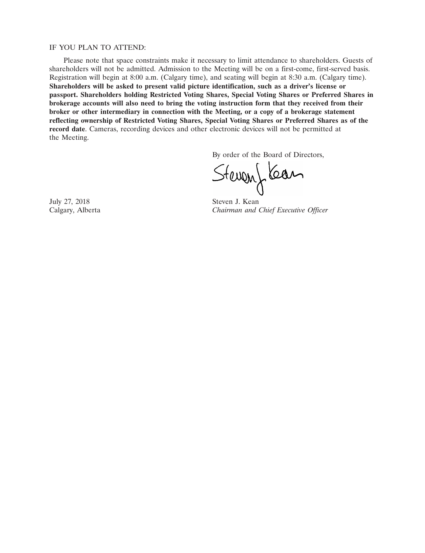# IF YOU PLAN TO ATTEND:

Please note that space constraints make it necessary to limit attendance to shareholders. Guests of shareholders will not be admitted. Admission to the Meeting will be on a first-come, first-served basis. Registration will begin at 8:00 a.m. (Calgary time), and seating will begin at 8:30 a.m. (Calgary time). **Shareholders will be asked to present valid picture identification, such as a driver's license or passport. Shareholders holding Restricted Voting Shares, Special Voting Shares or Preferred Shares in brokerage accounts will also need to bring the voting instruction form that they received from their broker or other intermediary in connection with the Meeting, or a copy of a brokerage statement reflecting ownership of Restricted Voting Shares, Special Voting Shares or Preferred Shares as of the record date**. Cameras, recording devices and other electronic devices will not be permitted at the Meeting.

By order of the Board of Directors,

Stevenflear

July 27, 2018 Steven J. Kean

Calgary, Alberta *Chairman and Chief Executive Officer*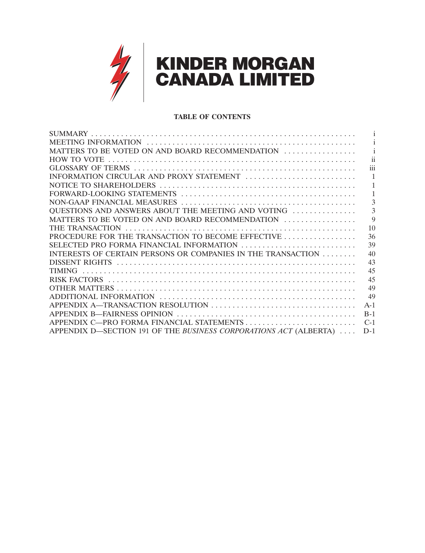

# **TABLE OF CONTENTS**

| MATTERS TO BE VOTED ON AND BOARD RECOMMENDATION                   |             |
|-------------------------------------------------------------------|-------------|
|                                                                   | 11          |
|                                                                   | iii         |
| INFORMATION CIRCULAR AND PROXY STATEMENT                          |             |
|                                                                   |             |
|                                                                   |             |
|                                                                   | 3           |
| OUESTIONS AND ANSWERS ABOUT THE MEETING AND VOTING                | 3           |
| MATTERS TO BE VOTED ON AND BOARD RECOMMENDATION                   | $\mathbf Q$ |
|                                                                   | 10          |
| PROCEDURE FOR THE TRANSACTION TO BECOME EFFECTIVE                 | 36          |
| SELECTED PRO FORMA FINANCIAL INFORMATION                          | 39          |
| INTERESTS OF CERTAIN PERSONS OR COMPANIES IN THE TRANSACTION      | 40          |
|                                                                   | 43          |
|                                                                   | 45          |
|                                                                   | 45          |
|                                                                   | 49          |
|                                                                   | 49          |
|                                                                   | $A-1$       |
|                                                                   | $B-1$       |
|                                                                   | $C-1$       |
| APPENDIX D—SECTION 191 OF THE BUSINESS CORPORATIONS ACT (ALBERTA) | $D-1$       |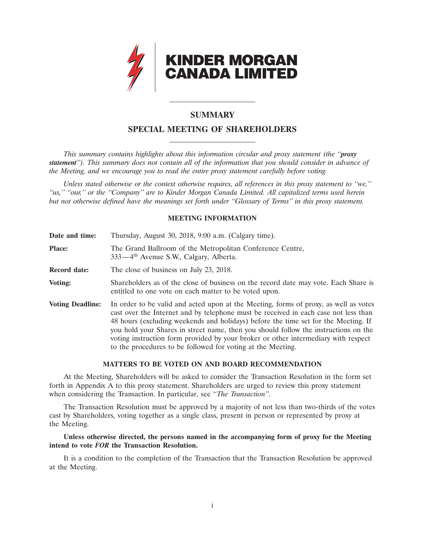

# **SUMMARY**

# **SPECIAL MEETING OF SHAREHOLDERS**

*This summary contains highlights about this information circular and proxy statement (the ''proxy statement''). This summary does not contain all of the information that you should consider in advance of the Meeting, and we encourage you to read the entire proxy statement carefully before voting.*

*Unless stated otherwise or the context otherwise requires, all references in this proxy statement to ''we,'' ''us,'' ''our,'' or the ''Company'' are to Kinder Morgan Canada Limited. All capitalized terms used herein but not otherwise defined have the meanings set forth under ''Glossary of Terms'' in this proxy statement.*

# **MEETING INFORMATION**

| Date and time:          | Thursday, August 30, 2018, 9:00 a.m. (Calgary time).                                                                                                                                                                                                                                                                                                                                                                                                                                                          |
|-------------------------|---------------------------------------------------------------------------------------------------------------------------------------------------------------------------------------------------------------------------------------------------------------------------------------------------------------------------------------------------------------------------------------------------------------------------------------------------------------------------------------------------------------|
| <b>Place:</b>           | The Grand Ballroom of the Metropolitan Conference Centre,<br>333—4 <sup>th</sup> Avenue S.W., Calgary, Alberta.                                                                                                                                                                                                                                                                                                                                                                                               |
| <b>Record date:</b>     | The close of business on July 23, 2018.                                                                                                                                                                                                                                                                                                                                                                                                                                                                       |
| Voting:                 | Shareholders as of the close of business on the record date may vote. Each Share is<br>entitled to one vote on each matter to be voted upon.                                                                                                                                                                                                                                                                                                                                                                  |
| <b>Voting Deadline:</b> | In order to be valid and acted upon at the Meeting, forms of proxy, as well as votes<br>cast over the Internet and by telephone must be received in each case not less than<br>48 hours (excluding weekends and holidays) before the time set for the Meeting. If<br>you hold your Shares in street name, then you should follow the instructions on the<br>voting instruction form provided by your broker or other intermediary with respect<br>to the procedures to be followed for voting at the Meeting. |

# **MATTERS TO BE VOTED ON AND BOARD RECOMMENDATION**

At the Meeting, Shareholders will be asked to consider the Transaction Resolution in the form set forth in Appendix A to this proxy statement. Shareholders are urged to review this proxy statement when considering the Transaction. In particular, see ''*The Transaction''*.

The Transaction Resolution must be approved by a majority of not less than two-thirds of the votes cast by Shareholders, voting together as a single class, present in person or represented by proxy at the Meeting.

# **Unless otherwise directed, the persons named in the accompanying form of proxy for the Meeting intend to vote** *FOR* **the Transaction Resolution.**

It is a condition to the completion of the Transaction that the Transaction Resolution be approved at the Meeting.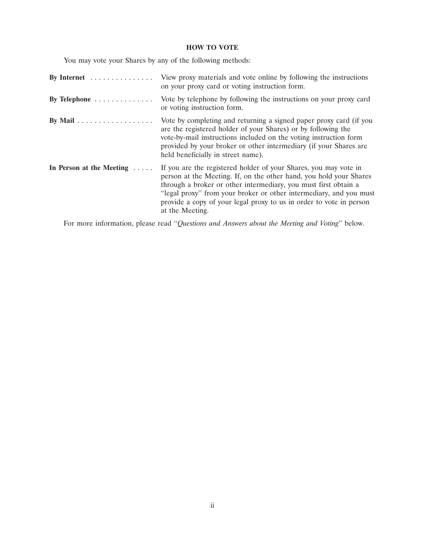# **HOW TO VOTE**

You may vote your Shares by any of the following methods:

| By Internet $\dots \dots \dots \dots$        | View proxy materials and vote online by following the instructions<br>on your proxy card or voting instruction form.                                                                                                                                                                                                                                                      |
|----------------------------------------------|---------------------------------------------------------------------------------------------------------------------------------------------------------------------------------------------------------------------------------------------------------------------------------------------------------------------------------------------------------------------------|
| By Telephone $\dots \dots \dots \dots$       | Vote by telephone by following the instructions on your proxy card<br>or voting instruction form.                                                                                                                                                                                                                                                                         |
| By Mail $\ldots \ldots \ldots \ldots \ldots$ | Vote by completing and returning a signed paper proxy card (if you<br>are the registered holder of your Shares) or by following the<br>vote-by-mail instructions included on the voting instruction form<br>provided by your broker or other intermediary (if your Shares are<br>held beneficially in street name).                                                       |
| In Person at the Meeting $\dots$             | If you are the registered holder of your Shares, you may vote in<br>person at the Meeting. If, on the other hand, you hold your Shares<br>through a broker or other intermediary, you must first obtain a<br>"legal proxy" from your broker or other intermediary, and you must<br>provide a copy of your legal proxy to us in order to vote in person<br>at the Meeting. |

For more information, please read ''*Questions and Answers about the Meeting and Voting*'' below.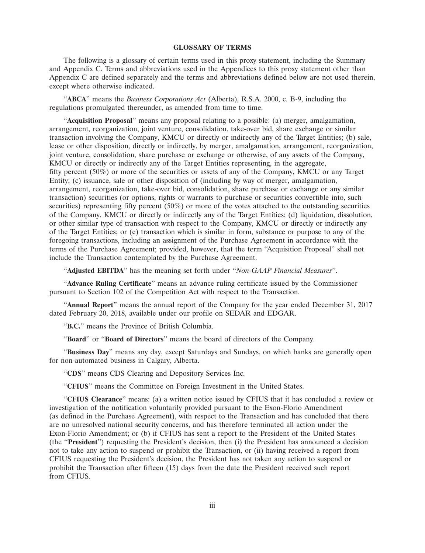# **GLOSSARY OF TERMS**

The following is a glossary of certain terms used in this proxy statement, including the Summary and Appendix C. Terms and abbreviations used in the Appendices to this proxy statement other than Appendix C are defined separately and the terms and abbreviations defined below are not used therein, except where otherwise indicated.

''**ABCA**'' means the *Business Corporations Act* (Alberta), R.S.A. 2000, c. B-9, including the regulations promulgated thereunder, as amended from time to time.

''**Acquisition Proposal**'' means any proposal relating to a possible: (a) merger, amalgamation, arrangement, reorganization, joint venture, consolidation, take-over bid, share exchange or similar transaction involving the Company, KMCU or directly or indirectly any of the Target Entities; (b) sale, lease or other disposition, directly or indirectly, by merger, amalgamation, arrangement, reorganization, joint venture, consolidation, share purchase or exchange or otherwise, of any assets of the Company, KMCU or directly or indirectly any of the Target Entities representing, in the aggregate, fifty percent (50%) or more of the securities or assets of any of the Company, KMCU or any Target Entity; (c) issuance, sale or other disposition of (including by way of merger, amalgamation, arrangement, reorganization, take-over bid, consolidation, share purchase or exchange or any similar transaction) securities (or options, rights or warrants to purchase or securities convertible into, such securities) representing fifty percent  $(50\%)$  or more of the votes attached to the outstanding securities of the Company, KMCU or directly or indirectly any of the Target Entities; (d) liquidation, dissolution, or other similar type of transaction with respect to the Company, KMCU or directly or indirectly any of the Target Entities; or (e) transaction which is similar in form, substance or purpose to any of the foregoing transactions, including an assignment of the Purchase Agreement in accordance with the terms of the Purchase Agreement; provided, however, that the term ''Acquisition Proposal'' shall not include the Transaction contemplated by the Purchase Agreement.

''**Adjusted EBITDA**'' has the meaning set forth under ''*Non-GAAP Financial Measures*''.

''**Advance Ruling Certificate**'' means an advance ruling certificate issued by the Commissioner pursuant to Section 102 of the Competition Act with respect to the Transaction.

''**Annual Report**'' means the annual report of the Company for the year ended December 31, 2017 dated February 20, 2018, available under our profile on SEDAR and EDGAR.

''**B.C.**'' means the Province of British Columbia.

''**Board**'' or ''**Board of Directors**'' means the board of directors of the Company.

''**Business Day**'' means any day, except Saturdays and Sundays, on which banks are generally open for non-automated business in Calgary, Alberta.

''**CDS**'' means CDS Clearing and Depository Services Inc.

"CFIUS" means the Committee on Foreign Investment in the United States.

''**CFIUS Clearance**'' means: (a) a written notice issued by CFIUS that it has concluded a review or investigation of the notification voluntarily provided pursuant to the Exon-Florio Amendment (as defined in the Purchase Agreement), with respect to the Transaction and has concluded that there are no unresolved national security concerns, and has therefore terminated all action under the Exon-Florio Amendment; or (b) if CFIUS has sent a report to the President of the United States (the ''**President**'') requesting the President's decision, then (i) the President has announced a decision not to take any action to suspend or prohibit the Transaction, or (ii) having received a report from CFIUS requesting the President's decision, the President has not taken any action to suspend or prohibit the Transaction after fifteen (15) days from the date the President received such report from CFIUS.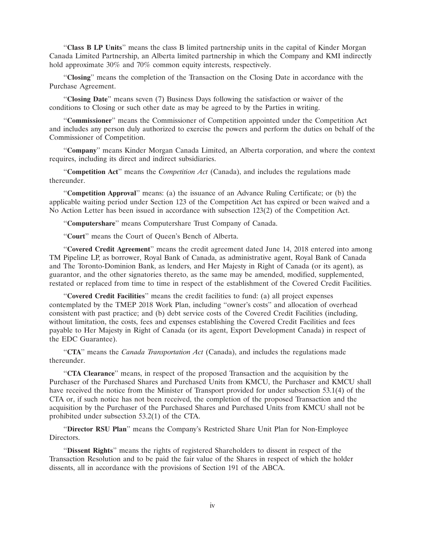''**Class B LP Units**'' means the class B limited partnership units in the capital of Kinder Morgan Canada Limited Partnership, an Alberta limited partnership in which the Company and KMI indirectly hold approximate 30% and 70% common equity interests, respectively.

''**Closing**'' means the completion of the Transaction on the Closing Date in accordance with the Purchase Agreement.

''**Closing Date**'' means seven (7) Business Days following the satisfaction or waiver of the conditions to Closing or such other date as may be agreed to by the Parties in writing.

''**Commissioner**'' means the Commissioner of Competition appointed under the Competition Act and includes any person duly authorized to exercise the powers and perform the duties on behalf of the Commissioner of Competition.

''**Company**'' means Kinder Morgan Canada Limited, an Alberta corporation, and where the context requires, including its direct and indirect subsidiaries.

''**Competition Act**'' means the *Competition Act* (Canada), and includes the regulations made thereunder.

''**Competition Approval**'' means: (a) the issuance of an Advance Ruling Certificate; or (b) the applicable waiting period under Section 123 of the Competition Act has expired or been waived and a No Action Letter has been issued in accordance with subsection 123(2) of the Competition Act.

''**Computershare**'' means Computershare Trust Company of Canada.

''**Court**'' means the Court of Queen's Bench of Alberta.

''**Covered Credit Agreement**'' means the credit agreement dated June 14, 2018 entered into among TM Pipeline LP, as borrower, Royal Bank of Canada, as administrative agent, Royal Bank of Canada and The Toronto-Dominion Bank, as lenders, and Her Majesty in Right of Canada (or its agent), as guarantor, and the other signatories thereto, as the same may be amended, modified, supplemented, restated or replaced from time to time in respect of the establishment of the Covered Credit Facilities.

''**Covered Credit Facilities**'' means the credit facilities to fund: (a) all project expenses contemplated by the TMEP 2018 Work Plan, including ''owner's costs'' and allocation of overhead consistent with past practice; and (b) debt service costs of the Covered Credit Facilities (including, without limitation, the costs, fees and expenses establishing the Covered Credit Facilities and fees payable to Her Majesty in Right of Canada (or its agent, Export Development Canada) in respect of the EDC Guarantee).

''**CTA**'' means the *Canada Transportation Act* (Canada), and includes the regulations made thereunder.

''**CTA Clearance**'' means, in respect of the proposed Transaction and the acquisition by the Purchaser of the Purchased Shares and Purchased Units from KMCU, the Purchaser and KMCU shall have received the notice from the Minister of Transport provided for under subsection 53.1(4) of the CTA or, if such notice has not been received, the completion of the proposed Transaction and the acquisition by the Purchaser of the Purchased Shares and Purchased Units from KMCU shall not be prohibited under subsection 53.2(1) of the CTA.

''**Director RSU Plan**'' means the Company's Restricted Share Unit Plan for Non-Employee Directors.

''**Dissent Rights**'' means the rights of registered Shareholders to dissent in respect of the Transaction Resolution and to be paid the fair value of the Shares in respect of which the holder dissents, all in accordance with the provisions of Section 191 of the ABCA.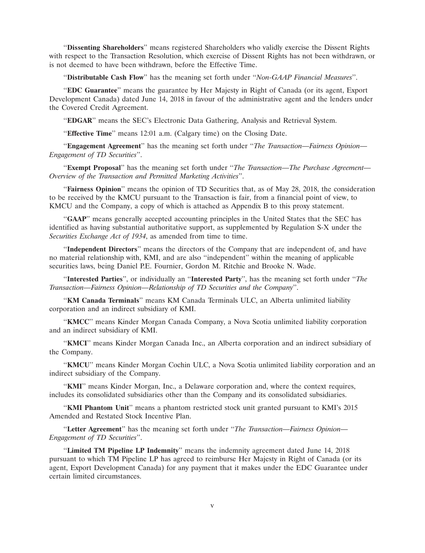''**Dissenting Shareholders**'' means registered Shareholders who validly exercise the Dissent Rights with respect to the Transaction Resolution, which exercise of Dissent Rights has not been withdrawn, or is not deemed to have been withdrawn, before the Effective Time.

''**Distributable Cash Flow**'' has the meaning set forth under ''*Non-GAAP Financial Measures*''.

''**EDC Guarantee**'' means the guarantee by Her Majesty in Right of Canada (or its agent, Export Development Canada) dated June 14, 2018 in favour of the administrative agent and the lenders under the Covered Credit Agreement.

''**EDGAR**'' means the SEC's Electronic Data Gathering, Analysis and Retrieval System.

''**Effective Time**'' means 12:01 a.m. (Calgary time) on the Closing Date.

''**Engagement Agreement**'' has the meaning set forth under ''*The Transaction—Fairness Opinion— Engagement of TD Securities*''.

''**Exempt Proposal**'' has the meaning set forth under ''*The Transaction—The Purchase Agreement— Overview of the Transaction and Permitted Marketing Activities*''.

''**Fairness Opinion**'' means the opinion of TD Securities that, as of May 28, 2018, the consideration to be received by the KMCU pursuant to the Transaction is fair, from a financial point of view, to KMCU and the Company, a copy of which is attached as Appendix B to this proxy statement.

''**GAAP**'' means generally accepted accounting principles in the United States that the SEC has identified as having substantial authoritative support, as supplemented by Regulation S-X under the *Securities Exchange Act of 1934*, as amended from time to time.

''**Independent Directors**'' means the directors of the Company that are independent of, and have no material relationship with, KMI, and are also ''independent'' within the meaning of applicable securities laws, being Daniel P.E. Fournier, Gordon M. Ritchie and Brooke N. Wade.

''**Interested Parties**'', or individually an ''**Interested Party**'', has the meaning set forth under ''*The Transaction—Fairness Opinion—Relationship of TD Securities and the Company*''.

''**KM Canada Terminals**'' means KM Canada Terminals ULC, an Alberta unlimited liability corporation and an indirect subsidiary of KMI.

''**KMCC**'' means Kinder Morgan Canada Company, a Nova Scotia unlimited liability corporation and an indirect subsidiary of KMI.

''**KMCI**'' means Kinder Morgan Canada Inc., an Alberta corporation and an indirect subsidiary of the Company.

''**KMCU**'' means Kinder Morgan Cochin ULC, a Nova Scotia unlimited liability corporation and an indirect subsidiary of the Company.

"**KMI**" means Kinder Morgan, Inc., a Delaware corporation and, where the context requires, includes its consolidated subsidiaries other than the Company and its consolidated subsidiaries.

''**KMI Phantom Unit**'' means a phantom restricted stock unit granted pursuant to KMI's 2015 Amended and Restated Stock Incentive Plan.

''**Letter Agreement**'' has the meaning set forth under ''*The Transaction—Fairness Opinion— Engagement of TD Securities*''.

''**Limited TM Pipeline LP Indemnity**'' means the indemnity agreement dated June 14, 2018 pursuant to which TM Pipeline LP has agreed to reimburse Her Majesty in Right of Canada (or its agent, Export Development Canada) for any payment that it makes under the EDC Guarantee under certain limited circumstances.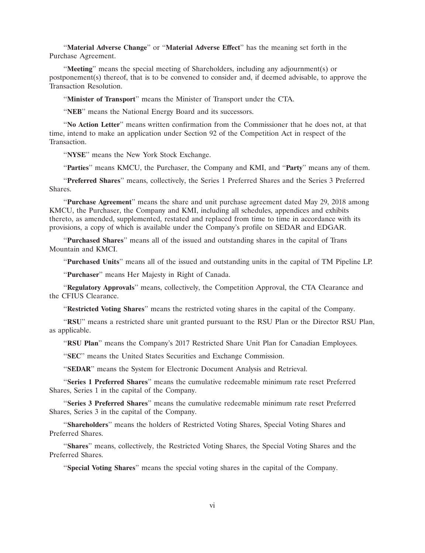''**Material Adverse Change**'' or ''**Material Adverse Effect**'' has the meaning set forth in the Purchase Agreement.

''**Meeting**'' means the special meeting of Shareholders, including any adjournment(s) or postponement(s) thereof, that is to be convened to consider and, if deemed advisable, to approve the Transaction Resolution.

''**Minister of Transport**'' means the Minister of Transport under the CTA.

"NEB" means the National Energy Board and its successors.

''**No Action Letter**'' means written confirmation from the Commissioner that he does not, at that time, intend to make an application under Section 92 of the Competition Act in respect of the Transaction.

''**NYSE**'' means the New York Stock Exchange.

''**Parties**'' means KMCU, the Purchaser, the Company and KMI, and ''**Party**'' means any of them.

''**Preferred Shares**'' means, collectively, the Series 1 Preferred Shares and the Series 3 Preferred Shares.

''**Purchase Agreement**'' means the share and unit purchase agreement dated May 29, 2018 among KMCU, the Purchaser, the Company and KMI, including all schedules, appendices and exhibits thereto, as amended, supplemented, restated and replaced from time to time in accordance with its provisions, a copy of which is available under the Company's profile on SEDAR and EDGAR.

''**Purchased Shares**'' means all of the issued and outstanding shares in the capital of Trans Mountain and KMCI.

''**Purchased Units**'' means all of the issued and outstanding units in the capital of TM Pipeline LP.

''**Purchaser**'' means Her Majesty in Right of Canada.

''**Regulatory Approvals**'' means, collectively, the Competition Approval, the CTA Clearance and the CFIUS Clearance.

''**Restricted Voting Shares**'' means the restricted voting shares in the capital of the Company.

''**RSU**'' means a restricted share unit granted pursuant to the RSU Plan or the Director RSU Plan, as applicable.

''**RSU Plan**'' means the Company's 2017 Restricted Share Unit Plan for Canadian Employees.

"**SEC**" means the United States Securities and Exchange Commission.

"**SEDAR**" means the System for Electronic Document Analysis and Retrieval.

''**Series 1 Preferred Shares**'' means the cumulative redeemable minimum rate reset Preferred Shares, Series 1 in the capital of the Company.

''**Series 3 Preferred Shares**'' means the cumulative redeemable minimum rate reset Preferred Shares, Series 3 in the capital of the Company.

''**Shareholders**'' means the holders of Restricted Voting Shares, Special Voting Shares and Preferred Shares.

''**Shares**'' means, collectively, the Restricted Voting Shares, the Special Voting Shares and the Preferred Shares.

''**Special Voting Shares**'' means the special voting shares in the capital of the Company.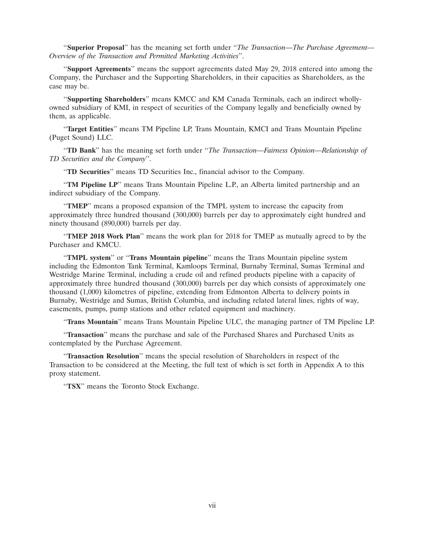''**Superior Proposal**'' has the meaning set forth under ''*The Transaction—The Purchase Agreement— Overview of the Transaction and Permitted Marketing Activities*''.

''**Support Agreements**'' means the support agreements dated May 29, 2018 entered into among the Company, the Purchaser and the Supporting Shareholders, in their capacities as Shareholders, as the case may be.

''**Supporting Shareholders**'' means KMCC and KM Canada Terminals, each an indirect whollyowned subsidiary of KMI, in respect of securities of the Company legally and beneficially owned by them, as applicable.

''**Target Entities**'' means TM Pipeline LP, Trans Mountain, KMCI and Trans Mountain Pipeline (Puget Sound) LLC.

''**TD Bank**'' has the meaning set forth under ''*The Transaction—Fairness Opinion—Relationship of TD Securities and the Company*''.

''**TD Securities**'' means TD Securities Inc., financial advisor to the Company.

''**TM Pipeline LP**'' means Trans Mountain Pipeline L.P., an Alberta limited partnership and an indirect subsidiary of the Company.

''**TMEP**'' means a proposed expansion of the TMPL system to increase the capacity from approximately three hundred thousand (300,000) barrels per day to approximately eight hundred and ninety thousand (890,000) barrels per day.

''**TMEP 2018 Work Plan**'' means the work plan for 2018 for TMEP as mutually agreed to by the Purchaser and KMCU.

''**TMPL system**'' or ''**Trans Mountain pipeline**'' means the Trans Mountain pipeline system including the Edmonton Tank Terminal, Kamloops Terminal, Burnaby Terminal, Sumas Terminal and Westridge Marine Terminal, including a crude oil and refined products pipeline with a capacity of approximately three hundred thousand (300,000) barrels per day which consists of approximately one thousand (1,000) kilometres of pipeline, extending from Edmonton Alberta to delivery points in Burnaby, Westridge and Sumas, British Columbia, and including related lateral lines, rights of way, easements, pumps, pump stations and other related equipment and machinery.

''**Trans Mountain**'' means Trans Mountain Pipeline ULC, the managing partner of TM Pipeline LP.

''**Transaction**'' means the purchase and sale of the Purchased Shares and Purchased Units as contemplated by the Purchase Agreement.

''**Transaction Resolution**'' means the special resolution of Shareholders in respect of the Transaction to be considered at the Meeting, the full text of which is set forth in Appendix A to this proxy statement.

''**TSX**'' means the Toronto Stock Exchange.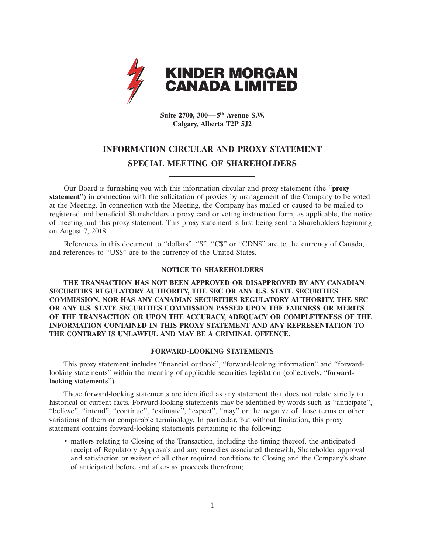

**Suite 2700, 300—5th Avenue S.W. Calgary, Alberta T2P 5J2**

# **INFORMATION CIRCULAR AND PROXY STATEMENT SPECIAL MEETING OF SHAREHOLDERS**

Our Board is furnishing you with this information circular and proxy statement (the ''**proxy statement**'') in connection with the solicitation of proxies by management of the Company to be voted at the Meeting. In connection with the Meeting, the Company has mailed or caused to be mailed to registered and beneficial Shareholders a proxy card or voting instruction form, as applicable, the notice of meeting and this proxy statement. This proxy statement is first being sent to Shareholders beginning on August 7, 2018.

References in this document to "dollars", "\$", "C\$" or "CDN\$" are to the currency of Canada, and references to ''US\$'' are to the currency of the United States.

# **NOTICE TO SHAREHOLDERS**

**THE TRANSACTION HAS NOT BEEN APPROVED OR DISAPPROVED BY ANY CANADIAN SECURITIES REGULATORY AUTHORITY, THE SEC OR ANY U.S. STATE SECURITIES COMMISSION, NOR HAS ANY CANADIAN SECURITIES REGULATORY AUTHORITY, THE SEC OR ANY U.S. STATE SECURITIES COMMISSION PASSED UPON THE FAIRNESS OR MERITS OF THE TRANSACTION OR UPON THE ACCURACY, ADEQUACY OR COMPLETENESS OF THE INFORMATION CONTAINED IN THIS PROXY STATEMENT AND ANY REPRESENTATION TO THE CONTRARY IS UNLAWFUL AND MAY BE A CRIMINAL OFFENCE.**

# **FORWARD-LOOKING STATEMENTS**

This proxy statement includes ''financial outlook'', ''forward-looking information'' and ''forwardlooking statements'' within the meaning of applicable securities legislation (collectively, ''**forwardlooking statements**'').

These forward-looking statements are identified as any statement that does not relate strictly to historical or current facts. Forward-looking statements may be identified by words such as ''anticipate'', "believe", "intend", "continue", "estimate", "expect", "may" or the negative of those terms or other variations of them or comparable terminology. In particular, but without limitation, this proxy statement contains forward-looking statements pertaining to the following:

• matters relating to Closing of the Transaction, including the timing thereof, the anticipated receipt of Regulatory Approvals and any remedies associated therewith, Shareholder approval and satisfaction or waiver of all other required conditions to Closing and the Company's share of anticipated before and after-tax proceeds therefrom;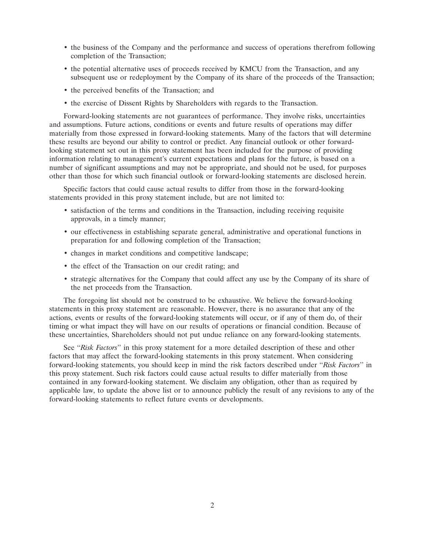- the business of the Company and the performance and success of operations therefrom following completion of the Transaction;
- the potential alternative uses of proceeds received by KMCU from the Transaction, and any subsequent use or redeployment by the Company of its share of the proceeds of the Transaction;
- the perceived benefits of the Transaction; and
- the exercise of Dissent Rights by Shareholders with regards to the Transaction.

Forward-looking statements are not guarantees of performance. They involve risks, uncertainties and assumptions. Future actions, conditions or events and future results of operations may differ materially from those expressed in forward-looking statements. Many of the factors that will determine these results are beyond our ability to control or predict. Any financial outlook or other forwardlooking statement set out in this proxy statement has been included for the purpose of providing information relating to management's current expectations and plans for the future, is based on a number of significant assumptions and may not be appropriate, and should not be used, for purposes other than those for which such financial outlook or forward-looking statements are disclosed herein.

Specific factors that could cause actual results to differ from those in the forward-looking statements provided in this proxy statement include, but are not limited to:

- satisfaction of the terms and conditions in the Transaction, including receiving requisite approvals, in a timely manner;
- our effectiveness in establishing separate general, administrative and operational functions in preparation for and following completion of the Transaction;
- changes in market conditions and competitive landscape;
- the effect of the Transaction on our credit rating; and
- strategic alternatives for the Company that could affect any use by the Company of its share of the net proceeds from the Transaction.

The foregoing list should not be construed to be exhaustive. We believe the forward-looking statements in this proxy statement are reasonable. However, there is no assurance that any of the actions, events or results of the forward-looking statements will occur, or if any of them do, of their timing or what impact they will have on our results of operations or financial condition. Because of these uncertainties, Shareholders should not put undue reliance on any forward-looking statements.

See ''*Risk Factors*'' in this proxy statement for a more detailed description of these and other factors that may affect the forward-looking statements in this proxy statement. When considering forward-looking statements, you should keep in mind the risk factors described under ''*Risk Factors*'' in this proxy statement. Such risk factors could cause actual results to differ materially from those contained in any forward-looking statement. We disclaim any obligation, other than as required by applicable law, to update the above list or to announce publicly the result of any revisions to any of the forward-looking statements to reflect future events or developments.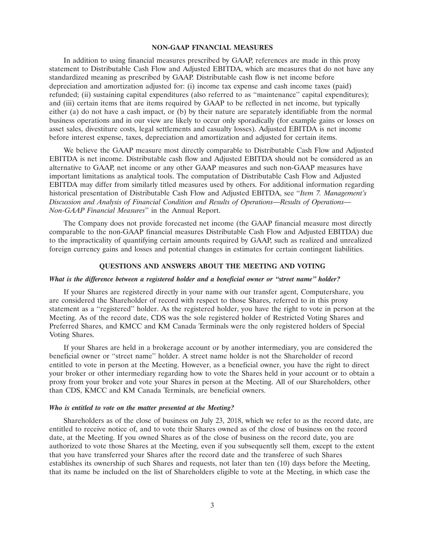#### **NON-GAAP FINANCIAL MEASURES**

In addition to using financial measures prescribed by GAAP, references are made in this proxy statement to Distributable Cash Flow and Adjusted EBITDA, which are measures that do not have any standardized meaning as prescribed by GAAP. Distributable cash flow is net income before depreciation and amortization adjusted for: (i) income tax expense and cash income taxes (paid) refunded; (ii) sustaining capital expenditures (also referred to as ''maintenance'' capital expenditures); and (iii) certain items that are items required by GAAP to be reflected in net income, but typically either (a) do not have a cash impact, or (b) by their nature are separately identifiable from the normal business operations and in our view are likely to occur only sporadically (for example gains or losses on asset sales, divestiture costs, legal settlements and casualty losses). Adjusted EBITDA is net income before interest expense, taxes, depreciation and amortization and adjusted for certain items.

We believe the GAAP measure most directly comparable to Distributable Cash Flow and Adjusted EBITDA is net income. Distributable cash flow and Adjusted EBITDA should not be considered as an alternative to GAAP, net income or any other GAAP measures and such non-GAAP measures have important limitations as analytical tools. The computation of Distributable Cash Flow and Adjusted EBITDA may differ from similarly titled measures used by others. For additional information regarding historical presentation of Distributable Cash Flow and Adjusted EBITDA, see ''*Item 7. Management's Discussion and Analysis of Financial Condition and Results of Operations—Results of Operations— Non-GAAP Financial Measures*'' in the Annual Report.

The Company does not provide forecasted net income (the GAAP financial measure most directly comparable to the non-GAAP financial measures Distributable Cash Flow and Adjusted EBITDA) due to the impracticality of quantifying certain amounts required by GAAP, such as realized and unrealized foreign currency gains and losses and potential changes in estimates for certain contingent liabilities.

# **QUESTIONS AND ANSWERS ABOUT THE MEETING AND VOTING**

## *What is the difference between a registered holder and a beneficial owner or ''street name'' holder?*

If your Shares are registered directly in your name with our transfer agent, Computershare, you are considered the Shareholder of record with respect to those Shares, referred to in this proxy statement as a ''registered'' holder. As the registered holder, you have the right to vote in person at the Meeting. As of the record date, CDS was the sole registered holder of Restricted Voting Shares and Preferred Shares, and KMCC and KM Canada Terminals were the only registered holders of Special Voting Shares.

If your Shares are held in a brokerage account or by another intermediary, you are considered the beneficial owner or ''street name'' holder. A street name holder is not the Shareholder of record entitled to vote in person at the Meeting. However, as a beneficial owner, you have the right to direct your broker or other intermediary regarding how to vote the Shares held in your account or to obtain a proxy from your broker and vote your Shares in person at the Meeting. All of our Shareholders, other than CDS, KMCC and KM Canada Terminals, are beneficial owners.

# *Who is entitled to vote on the matter presented at the Meeting?*

Shareholders as of the close of business on July 23, 2018, which we refer to as the record date, are entitled to receive notice of, and to vote their Shares owned as of the close of business on the record date, at the Meeting. If you owned Shares as of the close of business on the record date, you are authorized to vote those Shares at the Meeting, even if you subsequently sell them, except to the extent that you have transferred your Shares after the record date and the transferee of such Shares establishes its ownership of such Shares and requests, not later than ten (10) days before the Meeting, that its name be included on the list of Shareholders eligible to vote at the Meeting, in which case the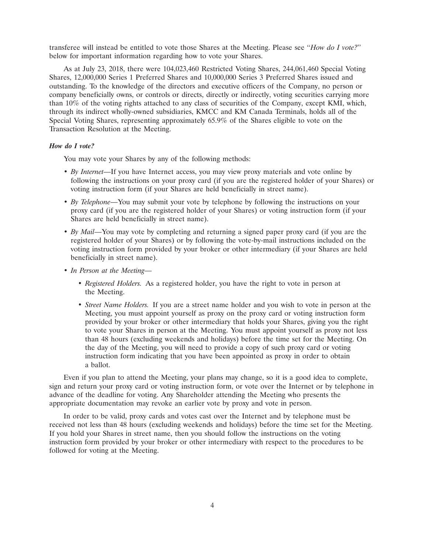transferee will instead be entitled to vote those Shares at the Meeting. Please see ''*How do I vote?*'' below for important information regarding how to vote your Shares.

As at July 23, 2018, there were 104,023,460 Restricted Voting Shares, 244,061,460 Special Voting Shares, 12,000,000 Series 1 Preferred Shares and 10,000,000 Series 3 Preferred Shares issued and outstanding. To the knowledge of the directors and executive officers of the Company, no person or company beneficially owns, or controls or directs, directly or indirectly, voting securities carrying more than 10% of the voting rights attached to any class of securities of the Company, except KMI, which, through its indirect wholly-owned subsidiaries, KMCC and KM Canada Terminals, holds all of the Special Voting Shares, representing approximately 65.9% of the Shares eligible to vote on the Transaction Resolution at the Meeting.

# *How do I vote?*

You may vote your Shares by any of the following methods:

- *By Internet*—If you have Internet access, you may view proxy materials and vote online by following the instructions on your proxy card (if you are the registered holder of your Shares) or voting instruction form (if your Shares are held beneficially in street name).
- *By Telephone*—You may submit your vote by telephone by following the instructions on your proxy card (if you are the registered holder of your Shares) or voting instruction form (if your Shares are held beneficially in street name).
- *By Mail*—You may vote by completing and returning a signed paper proxy card (if you are the registered holder of your Shares) or by following the vote-by-mail instructions included on the voting instruction form provided by your broker or other intermediary (if your Shares are held beneficially in street name).
- *In Person at the Meeting*
	- *Registered Holders.* As a registered holder, you have the right to vote in person at the Meeting.
	- *Street Name Holders.* If you are a street name holder and you wish to vote in person at the Meeting, you must appoint yourself as proxy on the proxy card or voting instruction form provided by your broker or other intermediary that holds your Shares, giving you the right to vote your Shares in person at the Meeting. You must appoint yourself as proxy not less than 48 hours (excluding weekends and holidays) before the time set for the Meeting. On the day of the Meeting, you will need to provide a copy of such proxy card or voting instruction form indicating that you have been appointed as proxy in order to obtain a ballot.

Even if you plan to attend the Meeting, your plans may change, so it is a good idea to complete, sign and return your proxy card or voting instruction form, or vote over the Internet or by telephone in advance of the deadline for voting. Any Shareholder attending the Meeting who presents the appropriate documentation may revoke an earlier vote by proxy and vote in person.

In order to be valid, proxy cards and votes cast over the Internet and by telephone must be received not less than 48 hours (excluding weekends and holidays) before the time set for the Meeting. If you hold your Shares in street name, then you should follow the instructions on the voting instruction form provided by your broker or other intermediary with respect to the procedures to be followed for voting at the Meeting.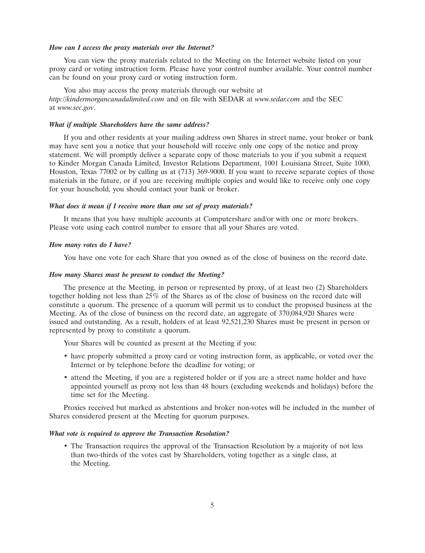#### *How can I access the proxy materials over the Internet?*

You can view the proxy materials related to the Meeting on the Internet website listed on your proxy card or voting instruction form. Please have your control number available. Your control number can be found on your proxy card or voting instruction form.

You also may access the proxy materials through our website at *http://kindermorgancanadalimited.com* and on file with SEDAR at *www.sedar.com* and the SEC at *www.sec.gov*.

## *What if multiple Shareholders have the same address?*

If you and other residents at your mailing address own Shares in street name, your broker or bank may have sent you a notice that your household will receive only one copy of the notice and proxy statement. We will promptly deliver a separate copy of those materials to you if you submit a request to Kinder Morgan Canada Limited, Investor Relations Department, 1001 Louisiana Street, Suite 1000, Houston, Texas 77002 or by calling us at (713) 369-9000. If you want to receive separate copies of those materials in the future, or if you are receiving multiple copies and would like to receive only one copy for your household, you should contact your bank or broker.

## *What does it mean if I receive more than one set of proxy materials?*

It means that you have multiple accounts at Computershare and/or with one or more brokers. Please vote using each control number to ensure that all your Shares are voted.

#### *How many votes do I have?*

You have one vote for each Share that you owned as of the close of business on the record date.

#### *How many Shares must be present to conduct the Meeting?*

The presence at the Meeting, in person or represented by proxy, of at least two (2) Shareholders together holding not less than 25% of the Shares as of the close of business on the record date will constitute a quorum. The presence of a quorum will permit us to conduct the proposed business at the Meeting. As of the close of business on the record date, an aggregate of 370,084,920 Shares were issued and outstanding. As a result, holders of at least 92,521,230 Shares must be present in person or represented by proxy to constitute a quorum.

Your Shares will be counted as present at the Meeting if you:

- have properly submitted a proxy card or voting instruction form, as applicable, or voted over the Internet or by telephone before the deadline for voting; or
- attend the Meeting, if you are a registered holder or if you are a street name holder and have appointed yourself as proxy not less than 48 hours (excluding weekends and holidays) before the time set for the Meeting.

Proxies received but marked as abstentions and broker non-votes will be included in the number of Shares considered present at the Meeting for quorum purposes.

# *What vote is required to approve the Transaction Resolution?*

• The Transaction requires the approval of the Transaction Resolution by a majority of not less than two-thirds of the votes cast by Shareholders, voting together as a single class, at the Meeting.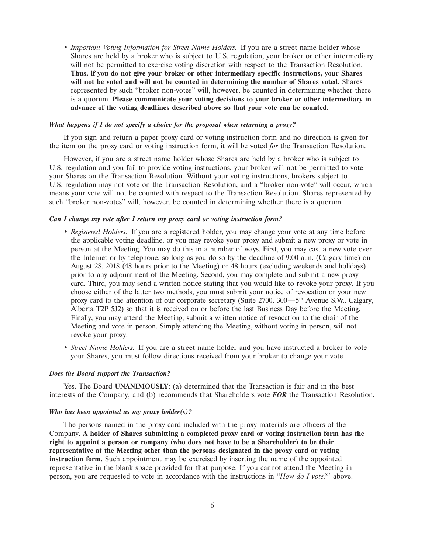• *Important Voting Information for Street Name Holders.* If you are a street name holder whose Shares are held by a broker who is subject to U.S. regulation, your broker or other intermediary will not be permitted to exercise voting discretion with respect to the Transaction Resolution. **Thus, if you do not give your broker or other intermediary specific instructions, your Shares will not be voted and will not be counted in determining the number of Shares voted**. Shares represented by such ''broker non-votes'' will, however, be counted in determining whether there is a quorum. **Please communicate your voting decisions to your broker or other intermediary in advance of the voting deadlines described above so that your vote can be counted.**

# *What happens if I do not specify a choice for the proposal when returning a proxy?*

If you sign and return a paper proxy card or voting instruction form and no direction is given for the item on the proxy card or voting instruction form, it will be voted *for* the Transaction Resolution.

However, if you are a street name holder whose Shares are held by a broker who is subject to U.S. regulation and you fail to provide voting instructions, your broker will not be permitted to vote your Shares on the Transaction Resolution. Without your voting instructions, brokers subject to U.S. regulation may not vote on the Transaction Resolution, and a ''broker non-vote'' will occur, which means your vote will not be counted with respect to the Transaction Resolution. Shares represented by such ''broker non-votes'' will, however, be counted in determining whether there is a quorum.

# *Can I change my vote after I return my proxy card or voting instruction form?*

- *Registered Holders.* If you are a registered holder, you may change your vote at any time before the applicable voting deadline, or you may revoke your proxy and submit a new proxy or vote in person at the Meeting. You may do this in a number of ways. First, you may cast a new vote over the Internet or by telephone, so long as you do so by the deadline of 9:00 a.m. (Calgary time) on August 28, 2018 (48 hours prior to the Meeting) or 48 hours (excluding weekends and holidays) prior to any adjournment of the Meeting. Second, you may complete and submit a new proxy card. Third, you may send a written notice stating that you would like to revoke your proxy. If you choose either of the latter two methods, you must submit your notice of revocation or your new proxy card to the attention of our corporate secretary (Suite  $2700$ ,  $300 - 5$ <sup>th</sup> Avenue S.W., Calgary, Alberta T2P 5J2) so that it is received on or before the last Business Day before the Meeting. Finally, you may attend the Meeting, submit a written notice of revocation to the chair of the Meeting and vote in person. Simply attending the Meeting, without voting in person, will not revoke your proxy.
- *Street Name Holders.* If you are a street name holder and you have instructed a broker to vote your Shares, you must follow directions received from your broker to change your vote.

# *Does the Board support the Transaction?*

Yes. The Board **UNANIMOUSLY**: (a) determined that the Transaction is fair and in the best interests of the Company; and (b) recommends that Shareholders vote *FOR* the Transaction Resolution.

# *Who has been appointed as my proxy holder(s)?*

The persons named in the proxy card included with the proxy materials are officers of the Company. **A holder of Shares submitting a completed proxy card or voting instruction form has the right to appoint a person or company (who does not have to be a Shareholder) to be their representative at the Meeting other than the persons designated in the proxy card or voting instruction form.** Such appointment may be exercised by inserting the name of the appointed representative in the blank space provided for that purpose. If you cannot attend the Meeting in person, you are requested to vote in accordance with the instructions in ''*How do I vote?*'' above.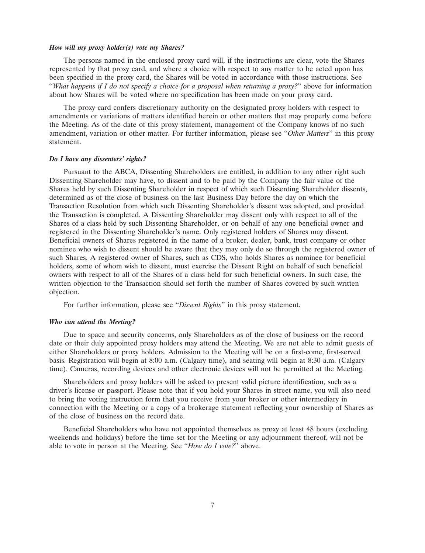#### *How will my proxy holder(s) vote my Shares?*

The persons named in the enclosed proxy card will, if the instructions are clear, vote the Shares represented by that proxy card, and where a choice with respect to any matter to be acted upon has been specified in the proxy card, the Shares will be voted in accordance with those instructions. See ''*What happens if I do not specify a choice for a proposal when returning a proxy?*'' above for information about how Shares will be voted where no specification has been made on your proxy card.

The proxy card confers discretionary authority on the designated proxy holders with respect to amendments or variations of matters identified herein or other matters that may properly come before the Meeting. As of the date of this proxy statement, management of the Company knows of no such amendment, variation or other matter. For further information, please see ''*Other Matters*'' in this proxy statement.

# *Do I have any dissenters' rights?*

Pursuant to the ABCA, Dissenting Shareholders are entitled, in addition to any other right such Dissenting Shareholder may have, to dissent and to be paid by the Company the fair value of the Shares held by such Dissenting Shareholder in respect of which such Dissenting Shareholder dissents, determined as of the close of business on the last Business Day before the day on which the Transaction Resolution from which such Dissenting Shareholder's dissent was adopted, and provided the Transaction is completed. A Dissenting Shareholder may dissent only with respect to all of the Shares of a class held by such Dissenting Shareholder, or on behalf of any one beneficial owner and registered in the Dissenting Shareholder's name. Only registered holders of Shares may dissent. Beneficial owners of Shares registered in the name of a broker, dealer, bank, trust company or other nominee who wish to dissent should be aware that they may only do so through the registered owner of such Shares. A registered owner of Shares, such as CDS, who holds Shares as nominee for beneficial holders, some of whom wish to dissent, must exercise the Dissent Right on behalf of such beneficial owners with respect to all of the Shares of a class held for such beneficial owners. In such case, the written objection to the Transaction should set forth the number of Shares covered by such written objection.

For further information, please see ''*Dissent Rights*'' in this proxy statement.

#### *Who can attend the Meeting?*

Due to space and security concerns, only Shareholders as of the close of business on the record date or their duly appointed proxy holders may attend the Meeting. We are not able to admit guests of either Shareholders or proxy holders. Admission to the Meeting will be on a first-come, first-served basis. Registration will begin at 8:00 a.m. (Calgary time), and seating will begin at 8:30 a.m. (Calgary time). Cameras, recording devices and other electronic devices will not be permitted at the Meeting.

Shareholders and proxy holders will be asked to present valid picture identification, such as a driver's license or passport. Please note that if you hold your Shares in street name, you will also need to bring the voting instruction form that you receive from your broker or other intermediary in connection with the Meeting or a copy of a brokerage statement reflecting your ownership of Shares as of the close of business on the record date.

Beneficial Shareholders who have not appointed themselves as proxy at least 48 hours (excluding weekends and holidays) before the time set for the Meeting or any adjournment thereof, will not be able to vote in person at the Meeting. See ''*How do I vote?*'' above.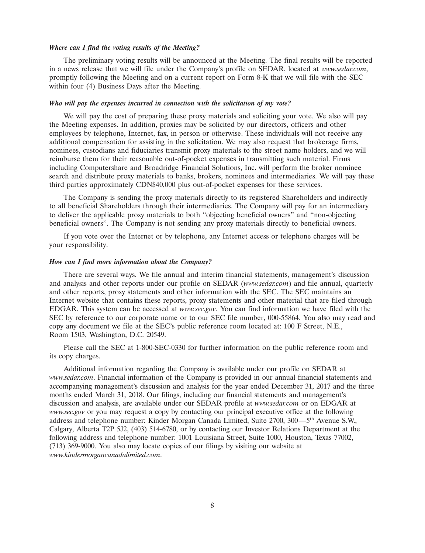## *Where can I find the voting results of the Meeting?*

The preliminary voting results will be announced at the Meeting. The final results will be reported in a news release that we will file under the Company's profile on SEDAR, located at *www.sedar.com*, promptly following the Meeting and on a current report on Form 8-K that we will file with the SEC within four (4) Business Days after the Meeting.

#### *Who will pay the expenses incurred in connection with the solicitation of my vote?*

We will pay the cost of preparing these proxy materials and soliciting your vote. We also will pay the Meeting expenses. In addition, proxies may be solicited by our directors, officers and other employees by telephone, Internet, fax, in person or otherwise. These individuals will not receive any additional compensation for assisting in the solicitation. We may also request that brokerage firms, nominees, custodians and fiduciaries transmit proxy materials to the street name holders, and we will reimburse them for their reasonable out-of-pocket expenses in transmitting such material. Firms including Computershare and Broadridge Financial Solutions, Inc. will perform the broker nominee search and distribute proxy materials to banks, brokers, nominees and intermediaries. We will pay these third parties approximately CDN\$40,000 plus out-of-pocket expenses for these services.

The Company is sending the proxy materials directly to its registered Shareholders and indirectly to all beneficial Shareholders through their intermediaries. The Company will pay for an intermediary to deliver the applicable proxy materials to both ''objecting beneficial owners'' and ''non-objecting beneficial owners''. The Company is not sending any proxy materials directly to beneficial owners.

If you vote over the Internet or by telephone, any Internet access or telephone charges will be your responsibility.

#### *How can I find more information about the Company?*

There are several ways. We file annual and interim financial statements, management's discussion and analysis and other reports under our profile on SEDAR (*www.sedar.com*) and file annual, quarterly and other reports, proxy statements and other information with the SEC. The SEC maintains an Internet website that contains these reports, proxy statements and other material that are filed through EDGAR. This system can be accessed at *www.sec.gov*. You can find information we have filed with the SEC by reference to our corporate name or to our SEC file number, 000-55864. You also may read and copy any document we file at the SEC's public reference room located at: 100 F Street, N.E., Room 1503, Washington, D.C. 20549.

Please call the SEC at 1-800-SEC-0330 for further information on the public reference room and its copy charges.

Additional information regarding the Company is available under our profile on SEDAR at *www.sedar.com*. Financial information of the Company is provided in our annual financial statements and accompanying management's discussion and analysis for the year ended December 31, 2017 and the three months ended March 31, 2018. Our filings, including our financial statements and management's discussion and analysis, are available under our SEDAR profile at *www.sedar.com* or on EDGAR at *www.sec.gov* or you may request a copy by contacting our principal executive office at the following address and telephone number: Kinder Morgan Canada Limited, Suite 2700, 300—5th Avenue S.W., Calgary, Alberta T2P 5J2, (403) 514-6780, or by contacting our Investor Relations Department at the following address and telephone number: 1001 Louisiana Street, Suite 1000, Houston, Texas 77002, (713) 369-9000. You also may locate copies of our filings by visiting our website at *www.kindermorgancanadalimited.com*.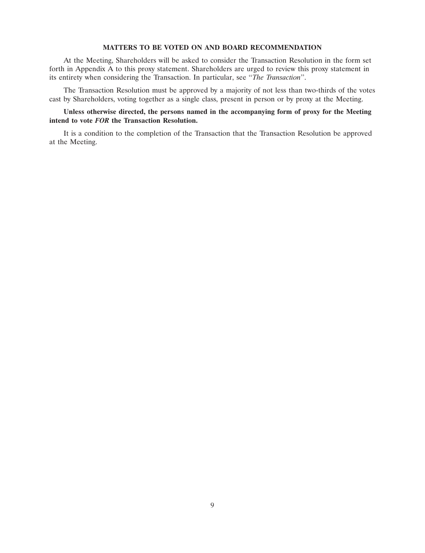# **MATTERS TO BE VOTED ON AND BOARD RECOMMENDATION**

At the Meeting, Shareholders will be asked to consider the Transaction Resolution in the form set forth in Appendix A to this proxy statement. Shareholders are urged to review this proxy statement in its entirety when considering the Transaction. In particular, see ''*The Transaction*''.

The Transaction Resolution must be approved by a majority of not less than two-thirds of the votes cast by Shareholders, voting together as a single class, present in person or by proxy at the Meeting.

# **Unless otherwise directed, the persons named in the accompanying form of proxy for the Meeting intend to vote** *FOR* **the Transaction Resolution.**

It is a condition to the completion of the Transaction that the Transaction Resolution be approved at the Meeting.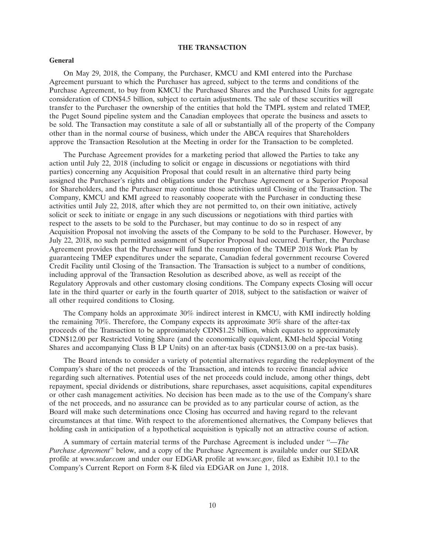## **THE TRANSACTION**

#### **General**

On May 29, 2018, the Company, the Purchaser, KMCU and KMI entered into the Purchase Agreement pursuant to which the Purchaser has agreed, subject to the terms and conditions of the Purchase Agreement, to buy from KMCU the Purchased Shares and the Purchased Units for aggregate consideration of CDN\$4.5 billion, subject to certain adjustments. The sale of these securities will transfer to the Purchaser the ownership of the entities that hold the TMPL system and related TMEP, the Puget Sound pipeline system and the Canadian employees that operate the business and assets to be sold. The Transaction may constitute a sale of all or substantially all of the property of the Company other than in the normal course of business, which under the ABCA requires that Shareholders approve the Transaction Resolution at the Meeting in order for the Transaction to be completed.

The Purchase Agreement provides for a marketing period that allowed the Parties to take any action until July 22, 2018 (including to solicit or engage in discussions or negotiations with third parties) concerning any Acquisition Proposal that could result in an alternative third party being assigned the Purchaser's rights and obligations under the Purchase Agreement or a Superior Proposal for Shareholders, and the Purchaser may continue those activities until Closing of the Transaction. The Company, KMCU and KMI agreed to reasonably cooperate with the Purchaser in conducting these activities until July 22, 2018, after which they are not permitted to, on their own initiative, actively solicit or seek to initiate or engage in any such discussions or negotiations with third parties with respect to the assets to be sold to the Purchaser, but may continue to do so in respect of any Acquisition Proposal not involving the assets of the Company to be sold to the Purchaser. However, by July 22, 2018, no such permitted assignment of Superior Proposal had occurred. Further, the Purchase Agreement provides that the Purchaser will fund the resumption of the TMEP 2018 Work Plan by guaranteeing TMEP expenditures under the separate, Canadian federal government recourse Covered Credit Facility until Closing of the Transaction. The Transaction is subject to a number of conditions, including approval of the Transaction Resolution as described above, as well as receipt of the Regulatory Approvals and other customary closing conditions. The Company expects Closing will occur late in the third quarter or early in the fourth quarter of 2018, subject to the satisfaction or waiver of all other required conditions to Closing.

The Company holds an approximate 30% indirect interest in KMCU, with KMI indirectly holding the remaining 70%. Therefore, the Company expects its approximate 30% share of the after-tax proceeds of the Transaction to be approximately CDN\$1.25 billion, which equates to approximately CDN\$12.00 per Restricted Voting Share (and the economically equivalent, KMI-held Special Voting Shares and accompanying Class B LP Units) on an after-tax basis (CDN\$13.00 on a pre-tax basis).

The Board intends to consider a variety of potential alternatives regarding the redeployment of the Company's share of the net proceeds of the Transaction, and intends to receive financial advice regarding such alternatives. Potential uses of the net proceeds could include, among other things, debt repayment, special dividends or distributions, share repurchases, asset acquisitions, capital expenditures or other cash management activities. No decision has been made as to the use of the Company's share of the net proceeds, and no assurance can be provided as to any particular course of action, as the Board will make such determinations once Closing has occurred and having regard to the relevant circumstances at that time. With respect to the aforementioned alternatives, the Company believes that holding cash in anticipation of a hypothetical acquisition is typically not an attractive course of action.

A summary of certain material terms of the Purchase Agreement is included under ''*—The Purchase Agreement*'' below, and a copy of the Purchase Agreement is available under our SEDAR profile at *www.sedar.com* and under our EDGAR profile at *www.sec.gov*, filed as Exhibit 10.1 to the Company's Current Report on Form 8-K filed via EDGAR on June 1, 2018.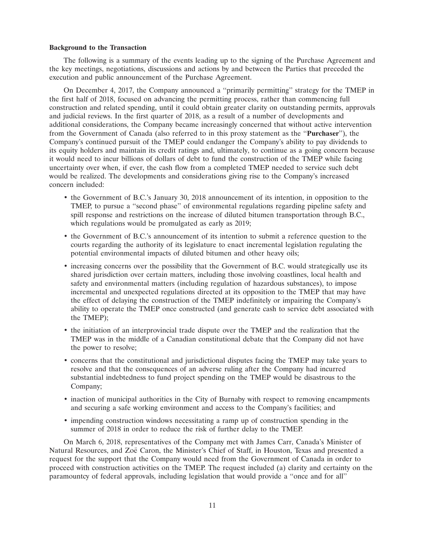## **Background to the Transaction**

The following is a summary of the events leading up to the signing of the Purchase Agreement and the key meetings, negotiations, discussions and actions by and between the Parties that preceded the execution and public announcement of the Purchase Agreement.

On December 4, 2017, the Company announced a ''primarily permitting'' strategy for the TMEP in the first half of 2018, focused on advancing the permitting process, rather than commencing full construction and related spending, until it could obtain greater clarity on outstanding permits, approvals and judicial reviews. In the first quarter of 2018, as a result of a number of developments and additional considerations, the Company became increasingly concerned that without active intervention from the Government of Canada (also referred to in this proxy statement as the ''**Purchaser**''), the Company's continued pursuit of the TMEP could endanger the Company's ability to pay dividends to its equity holders and maintain its credit ratings and, ultimately, to continue as a going concern because it would need to incur billions of dollars of debt to fund the construction of the TMEP while facing uncertainty over when, if ever, the cash flow from a completed TMEP needed to service such debt would be realized. The developments and considerations giving rise to the Company's increased concern included:

- the Government of B.C.'s January 30, 2018 announcement of its intention, in opposition to the TMEP, to pursue a ''second phase'' of environmental regulations regarding pipeline safety and spill response and restrictions on the increase of diluted bitumen transportation through B.C., which regulations would be promulgated as early as 2019;
- the Government of B.C.'s announcement of its intention to submit a reference question to the courts regarding the authority of its legislature to enact incremental legislation regulating the potential environmental impacts of diluted bitumen and other heavy oils;
- increasing concerns over the possibility that the Government of B.C. would strategically use its shared jurisdiction over certain matters, including those involving coastlines, local health and safety and environmental matters (including regulation of hazardous substances), to impose incremental and unexpected regulations directed at its opposition to the TMEP that may have the effect of delaying the construction of the TMEP indefinitely or impairing the Company's ability to operate the TMEP once constructed (and generate cash to service debt associated with the TMEP);
- the initiation of an interprovincial trade dispute over the TMEP and the realization that the TMEP was in the middle of a Canadian constitutional debate that the Company did not have the power to resolve;
- concerns that the constitutional and jurisdictional disputes facing the TMEP may take years to resolve and that the consequences of an adverse ruling after the Company had incurred substantial indebtedness to fund project spending on the TMEP would be disastrous to the Company;
- inaction of municipal authorities in the City of Burnaby with respect to removing encampments and securing a safe working environment and access to the Company's facilities; and
- impending construction windows necessitating a ramp up of construction spending in the summer of 2018 in order to reduce the risk of further delay to the TMEP.

On March 6, 2018, representatives of the Company met with James Carr, Canada's Minister of Natural Resources, and Zoë Caron, the Minister's Chief of Staff, in Houston, Texas and presented a request for the support that the Company would need from the Government of Canada in order to proceed with construction activities on the TMEP. The request included (a) clarity and certainty on the paramountcy of federal approvals, including legislation that would provide a ''once and for all''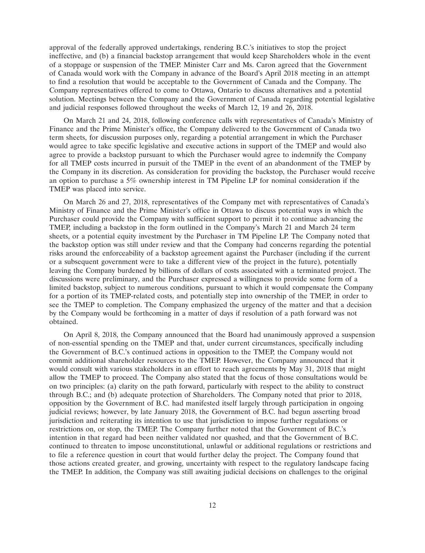approval of the federally approved undertakings, rendering B.C.'s initiatives to stop the project ineffective, and (b) a financial backstop arrangement that would keep Shareholders whole in the event of a stoppage or suspension of the TMEP. Minister Carr and Ms. Caron agreed that the Government of Canada would work with the Company in advance of the Board's April 2018 meeting in an attempt to find a resolution that would be acceptable to the Government of Canada and the Company. The Company representatives offered to come to Ottawa, Ontario to discuss alternatives and a potential solution. Meetings between the Company and the Government of Canada regarding potential legislative and judicial responses followed throughout the weeks of March 12, 19 and 26, 2018.

On March 21 and 24, 2018, following conference calls with representatives of Canada's Ministry of Finance and the Prime Minister's office, the Company delivered to the Government of Canada two term sheets, for discussion purposes only, regarding a potential arrangement in which the Purchaser would agree to take specific legislative and executive actions in support of the TMEP and would also agree to provide a backstop pursuant to which the Purchaser would agree to indemnify the Company for all TMEP costs incurred in pursuit of the TMEP in the event of an abandonment of the TMEP by the Company in its discretion. As consideration for providing the backstop, the Purchaser would receive an option to purchase a 5% ownership interest in TM Pipeline LP for nominal consideration if the TMEP was placed into service.

On March 26 and 27, 2018, representatives of the Company met with representatives of Canada's Ministry of Finance and the Prime Minister's office in Ottawa to discuss potential ways in which the Purchaser could provide the Company with sufficient support to permit it to continue advancing the TMEP, including a backstop in the form outlined in the Company's March 21 and March 24 term sheets, or a potential equity investment by the Purchaser in TM Pipeline LP. The Company noted that the backstop option was still under review and that the Company had concerns regarding the potential risks around the enforceability of a backstop agreement against the Purchaser (including if the current or a subsequent government were to take a different view of the project in the future), potentially leaving the Company burdened by billions of dollars of costs associated with a terminated project. The discussions were preliminary, and the Purchaser expressed a willingness to provide some form of a limited backstop, subject to numerous conditions, pursuant to which it would compensate the Company for a portion of its TMEP-related costs, and potentially step into ownership of the TMEP, in order to see the TMEP to completion. The Company emphasized the urgency of the matter and that a decision by the Company would be forthcoming in a matter of days if resolution of a path forward was not obtained.

On April 8, 2018, the Company announced that the Board had unanimously approved a suspension of non-essential spending on the TMEP and that, under current circumstances, specifically including the Government of B.C.'s continued actions in opposition to the TMEP, the Company would not commit additional shareholder resources to the TMEP. However, the Company announced that it would consult with various stakeholders in an effort to reach agreements by May 31, 2018 that might allow the TMEP to proceed. The Company also stated that the focus of those consultations would be on two principles: (a) clarity on the path forward, particularly with respect to the ability to construct through B.C.; and (b) adequate protection of Shareholders. The Company noted that prior to 2018, opposition by the Government of B.C. had manifested itself largely through participation in ongoing judicial reviews; however, by late January 2018, the Government of B.C. had begun asserting broad jurisdiction and reiterating its intention to use that jurisdiction to impose further regulations or restrictions on, or stop, the TMEP. The Company further noted that the Government of B.C.'s intention in that regard had been neither validated nor quashed, and that the Government of B.C. continued to threaten to impose unconstitutional, unlawful or additional regulations or restrictions and to file a reference question in court that would further delay the project. The Company found that those actions created greater, and growing, uncertainty with respect to the regulatory landscape facing the TMEP. In addition, the Company was still awaiting judicial decisions on challenges to the original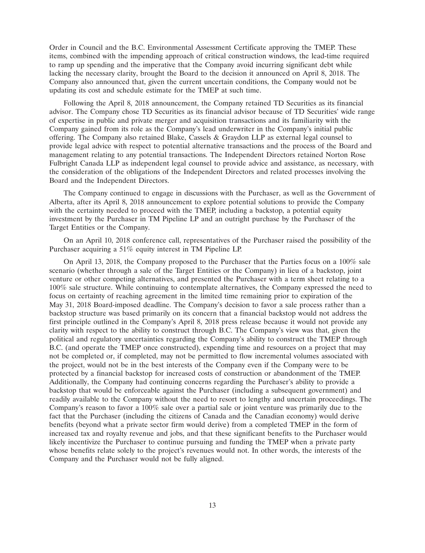Order in Council and the B.C. Environmental Assessment Certificate approving the TMEP. These items, combined with the impending approach of critical construction windows, the lead-time required to ramp up spending and the imperative that the Company avoid incurring significant debt while lacking the necessary clarity, brought the Board to the decision it announced on April 8, 2018. The Company also announced that, given the current uncertain conditions, the Company would not be updating its cost and schedule estimate for the TMEP at such time.

Following the April 8, 2018 announcement, the Company retained TD Securities as its financial advisor. The Company chose TD Securities as its financial advisor because of TD Securities' wide range of expertise in public and private merger and acquisition transactions and its familiarity with the Company gained from its role as the Company's lead underwriter in the Company's initial public offering. The Company also retained Blake, Cassels & Graydon LLP as external legal counsel to provide legal advice with respect to potential alternative transactions and the process of the Board and management relating to any potential transactions. The Independent Directors retained Norton Rose Fulbright Canada LLP as independent legal counsel to provide advice and assistance, as necessary, with the consideration of the obligations of the Independent Directors and related processes involving the Board and the Independent Directors.

The Company continued to engage in discussions with the Purchaser, as well as the Government of Alberta, after its April 8, 2018 announcement to explore potential solutions to provide the Company with the certainty needed to proceed with the TMEP, including a backstop, a potential equity investment by the Purchaser in TM Pipeline LP and an outright purchase by the Purchaser of the Target Entities or the Company.

On an April 10, 2018 conference call, representatives of the Purchaser raised the possibility of the Purchaser acquiring a 51% equity interest in TM Pipeline LP.

On April 13, 2018, the Company proposed to the Purchaser that the Parties focus on a 100% sale scenario (whether through a sale of the Target Entities or the Company) in lieu of a backstop, joint venture or other competing alternatives, and presented the Purchaser with a term sheet relating to a 100% sale structure. While continuing to contemplate alternatives, the Company expressed the need to focus on certainty of reaching agreement in the limited time remaining prior to expiration of the May 31, 2018 Board-imposed deadline. The Company's decision to favor a sale process rather than a backstop structure was based primarily on its concern that a financial backstop would not address the first principle outlined in the Company's April 8, 2018 press release because it would not provide any clarity with respect to the ability to construct through B.C. The Company's view was that, given the political and regulatory uncertainties regarding the Company's ability to construct the TMEP through B.C. (and operate the TMEP once constructed), expending time and resources on a project that may not be completed or, if completed, may not be permitted to flow incremental volumes associated with the project, would not be in the best interests of the Company even if the Company were to be protected by a financial backstop for increased costs of construction or abandonment of the TMEP. Additionally, the Company had continuing concerns regarding the Purchaser's ability to provide a backstop that would be enforceable against the Purchaser (including a subsequent government) and readily available to the Company without the need to resort to lengthy and uncertain proceedings. The Company's reason to favor a 100% sale over a partial sale or joint venture was primarily due to the fact that the Purchaser (including the citizens of Canada and the Canadian economy) would derive benefits (beyond what a private sector firm would derive) from a completed TMEP in the form of increased tax and royalty revenue and jobs, and that these significant benefits to the Purchaser would likely incentivize the Purchaser to continue pursuing and funding the TMEP when a private party whose benefits relate solely to the project's revenues would not. In other words, the interests of the Company and the Purchaser would not be fully aligned.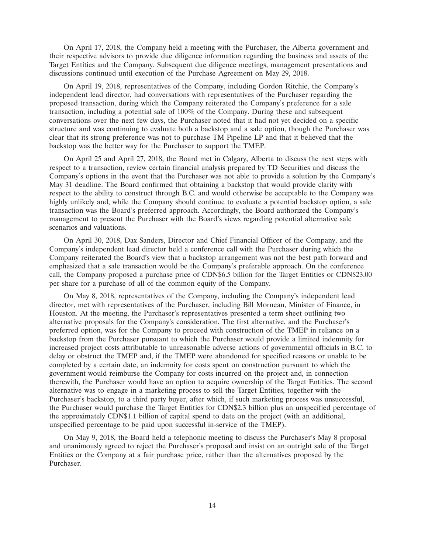On April 17, 2018, the Company held a meeting with the Purchaser, the Alberta government and their respective advisors to provide due diligence information regarding the business and assets of the Target Entities and the Company. Subsequent due diligence meetings, management presentations and discussions continued until execution of the Purchase Agreement on May 29, 2018.

On April 19, 2018, representatives of the Company, including Gordon Ritchie, the Company's independent lead director, had conversations with representatives of the Purchaser regarding the proposed transaction, during which the Company reiterated the Company's preference for a sale transaction, including a potential sale of 100% of the Company. During these and subsequent conversations over the next few days, the Purchaser noted that it had not yet decided on a specific structure and was continuing to evaluate both a backstop and a sale option, though the Purchaser was clear that its strong preference was not to purchase TM Pipeline LP and that it believed that the backstop was the better way for the Purchaser to support the TMEP.

On April 25 and April 27, 2018, the Board met in Calgary, Alberta to discuss the next steps with respect to a transaction, review certain financial analysis prepared by TD Securities and discuss the Company's options in the event that the Purchaser was not able to provide a solution by the Company's May 31 deadline. The Board confirmed that obtaining a backstop that would provide clarity with respect to the ability to construct through B.C. and would otherwise be acceptable to the Company was highly unlikely and, while the Company should continue to evaluate a potential backstop option, a sale transaction was the Board's preferred approach. Accordingly, the Board authorized the Company's management to present the Purchaser with the Board's views regarding potential alternative sale scenarios and valuations.

On April 30, 2018, Dax Sanders, Director and Chief Financial Officer of the Company, and the Company's independent lead director held a conference call with the Purchaser during which the Company reiterated the Board's view that a backstop arrangement was not the best path forward and emphasized that a sale transaction would be the Company's preferable approach. On the conference call, the Company proposed a purchase price of CDN\$6.5 billion for the Target Entities or CDN\$23.00 per share for a purchase of all of the common equity of the Company.

On May 8, 2018, representatives of the Company, including the Company's independent lead director, met with representatives of the Purchaser, including Bill Morneau, Minister of Finance, in Houston. At the meeting, the Purchaser's representatives presented a term sheet outlining two alternative proposals for the Company's consideration. The first alternative, and the Purchaser's preferred option, was for the Company to proceed with construction of the TMEP in reliance on a backstop from the Purchaser pursuant to which the Purchaser would provide a limited indemnity for increased project costs attributable to unreasonable adverse actions of governmental officials in B.C. to delay or obstruct the TMEP and, if the TMEP were abandoned for specified reasons or unable to be completed by a certain date, an indemnity for costs spent on construction pursuant to which the government would reimburse the Company for costs incurred on the project and, in connection therewith, the Purchaser would have an option to acquire ownership of the Target Entities. The second alternative was to engage in a marketing process to sell the Target Entities, together with the Purchaser's backstop, to a third party buyer, after which, if such marketing process was unsuccessful, the Purchaser would purchase the Target Entities for CDN\$2.3 billion plus an unspecified percentage of the approximately CDN\$1.1 billion of capital spend to date on the project (with an additional, unspecified percentage to be paid upon successful in-service of the TMEP).

On May 9, 2018, the Board held a telephonic meeting to discuss the Purchaser's May 8 proposal and unanimously agreed to reject the Purchaser's proposal and insist on an outright sale of the Target Entities or the Company at a fair purchase price, rather than the alternatives proposed by the Purchaser.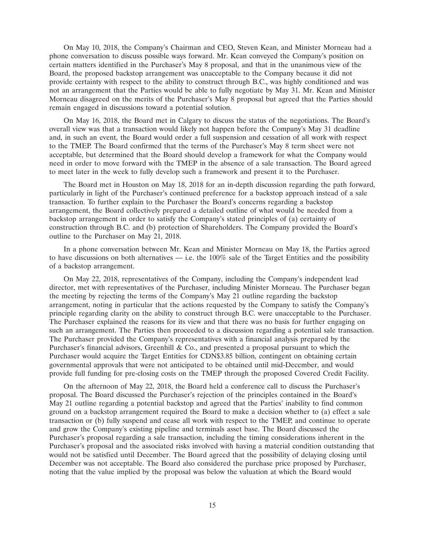On May 10, 2018, the Company's Chairman and CEO, Steven Kean, and Minister Morneau had a phone conversation to discuss possible ways forward. Mr. Kean conveyed the Company's position on certain matters identified in the Purchaser's May 8 proposal, and that in the unanimous view of the Board, the proposed backstop arrangement was unacceptable to the Company because it did not provide certainty with respect to the ability to construct through B.C., was highly conditioned and was not an arrangement that the Parties would be able to fully negotiate by May 31. Mr. Kean and Minister Morneau disagreed on the merits of the Purchaser's May 8 proposal but agreed that the Parties should remain engaged in discussions toward a potential solution.

On May 16, 2018, the Board met in Calgary to discuss the status of the negotiations. The Board's overall view was that a transaction would likely not happen before the Company's May 31 deadline and, in such an event, the Board would order a full suspension and cessation of all work with respect to the TMEP. The Board confirmed that the terms of the Purchaser's May 8 term sheet were not acceptable, but determined that the Board should develop a framework for what the Company would need in order to move forward with the TMEP in the absence of a sale transaction. The Board agreed to meet later in the week to fully develop such a framework and present it to the Purchaser.

The Board met in Houston on May 18, 2018 for an in-depth discussion regarding the path forward, particularly in light of the Purchaser's continued preference for a backstop approach instead of a sale transaction. To further explain to the Purchaser the Board's concerns regarding a backstop arrangement, the Board collectively prepared a detailed outline of what would be needed from a backstop arrangement in order to satisfy the Company's stated principles of (a) certainty of construction through B.C. and (b) protection of Shareholders. The Company provided the Board's outline to the Purchaser on May 21, 2018.

In a phone conversation between Mr. Kean and Minister Morneau on May 18, the Parties agreed to have discussions on both alternatives  $-$  i.e. the 100% sale of the Target Entities and the possibility of a backstop arrangement.

On May 22, 2018, representatives of the Company, including the Company's independent lead director, met with representatives of the Purchaser, including Minister Morneau. The Purchaser began the meeting by rejecting the terms of the Company's May 21 outline regarding the backstop arrangement, noting in particular that the actions requested by the Company to satisfy the Company's principle regarding clarity on the ability to construct through B.C. were unacceptable to the Purchaser. The Purchaser explained the reasons for its view and that there was no basis for further engaging on such an arrangement. The Parties then proceeded to a discussion regarding a potential sale transaction. The Purchaser provided the Company's representatives with a financial analysis prepared by the Purchaser's financial advisors, Greenhill  $\&$  Co., and presented a proposal pursuant to which the Purchaser would acquire the Target Entities for CDN\$3.85 billion, contingent on obtaining certain governmental approvals that were not anticipated to be obtained until mid-December, and would provide full funding for pre-closing costs on the TMEP through the proposed Covered Credit Facility.

On the afternoon of May 22, 2018, the Board held a conference call to discuss the Purchaser's proposal. The Board discussed the Purchaser's rejection of the principles contained in the Board's May 21 outline regarding a potential backstop and agreed that the Parties' inability to find common ground on a backstop arrangement required the Board to make a decision whether to (a) effect a sale transaction or (b) fully suspend and cease all work with respect to the TMEP, and continue to operate and grow the Company's existing pipeline and terminals asset base. The Board discussed the Purchaser's proposal regarding a sale transaction, including the timing considerations inherent in the Purchaser's proposal and the associated risks involved with having a material condition outstanding that would not be satisfied until December. The Board agreed that the possibility of delaying closing until December was not acceptable. The Board also considered the purchase price proposed by Purchaser, noting that the value implied by the proposal was below the valuation at which the Board would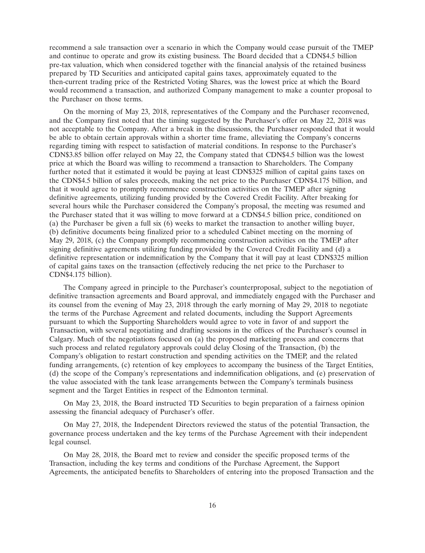recommend a sale transaction over a scenario in which the Company would cease pursuit of the TMEP and continue to operate and grow its existing business. The Board decided that a CDN\$4.5 billion pre-tax valuation, which when considered together with the financial analysis of the retained business prepared by TD Securities and anticipated capital gains taxes, approximately equated to the then-current trading price of the Restricted Voting Shares, was the lowest price at which the Board would recommend a transaction, and authorized Company management to make a counter proposal to the Purchaser on those terms.

On the morning of May 23, 2018, representatives of the Company and the Purchaser reconvened, and the Company first noted that the timing suggested by the Purchaser's offer on May 22, 2018 was not acceptable to the Company. After a break in the discussions, the Purchaser responded that it would be able to obtain certain approvals within a shorter time frame, alleviating the Company's concerns regarding timing with respect to satisfaction of material conditions. In response to the Purchaser's CDN\$3.85 billion offer relayed on May 22, the Company stated that CDN\$4.5 billion was the lowest price at which the Board was willing to recommend a transaction to Shareholders. The Company further noted that it estimated it would be paying at least CDN\$325 million of capital gains taxes on the CDN\$4.5 billion of sales proceeds, making the net price to the Purchaser CDN\$4.175 billion, and that it would agree to promptly recommence construction activities on the TMEP after signing definitive agreements, utilizing funding provided by the Covered Credit Facility. After breaking for several hours while the Purchaser considered the Company's proposal, the meeting was resumed and the Purchaser stated that it was willing to move forward at a CDN\$4.5 billion price, conditioned on (a) the Purchaser be given a full six  $\overline{(6)}$  weeks to market the transaction to another willing buyer, (b) definitive documents being finalized prior to a scheduled Cabinet meeting on the morning of May 29, 2018, (c) the Company promptly recommencing construction activities on the TMEP after signing definitive agreements utilizing funding provided by the Covered Credit Facility and (d) a definitive representation or indemnification by the Company that it will pay at least CDN\$325 million of capital gains taxes on the transaction (effectively reducing the net price to the Purchaser to CDN\$4.175 billion).

The Company agreed in principle to the Purchaser's counterproposal, subject to the negotiation of definitive transaction agreements and Board approval, and immediately engaged with the Purchaser and its counsel from the evening of May 23, 2018 through the early morning of May 29, 2018 to negotiate the terms of the Purchase Agreement and related documents, including the Support Agreements pursuant to which the Supporting Shareholders would agree to vote in favor of and support the Transaction, with several negotiating and drafting sessions in the offices of the Purchaser's counsel in Calgary. Much of the negotiations focused on (a) the proposed marketing process and concerns that such process and related regulatory approvals could delay Closing of the Transaction, (b) the Company's obligation to restart construction and spending activities on the TMEP, and the related funding arrangements, (c) retention of key employees to accompany the business of the Target Entities, (d) the scope of the Company's representations and indemnification obligations, and (e) preservation of the value associated with the tank lease arrangements between the Company's terminals business segment and the Target Entities in respect of the Edmonton terminal.

On May 23, 2018, the Board instructed TD Securities to begin preparation of a fairness opinion assessing the financial adequacy of Purchaser's offer.

On May 27, 2018, the Independent Directors reviewed the status of the potential Transaction, the governance process undertaken and the key terms of the Purchase Agreement with their independent legal counsel.

On May 28, 2018, the Board met to review and consider the specific proposed terms of the Transaction, including the key terms and conditions of the Purchase Agreement, the Support Agreements, the anticipated benefits to Shareholders of entering into the proposed Transaction and the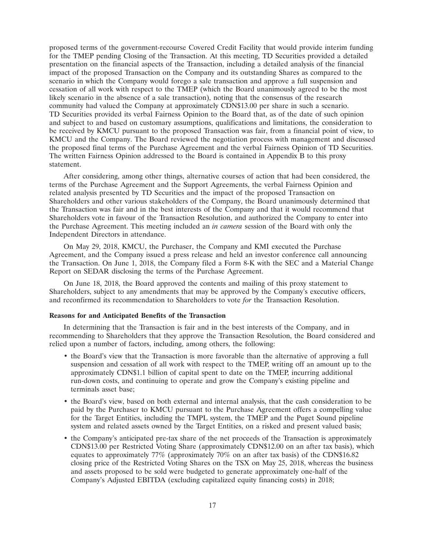proposed terms of the government-recourse Covered Credit Facility that would provide interim funding for the TMEP pending Closing of the Transaction. At this meeting, TD Securities provided a detailed presentation on the financial aspects of the Transaction, including a detailed analysis of the financial impact of the proposed Transaction on the Company and its outstanding Shares as compared to the scenario in which the Company would forego a sale transaction and approve a full suspension and cessation of all work with respect to the TMEP (which the Board unanimously agreed to be the most likely scenario in the absence of a sale transaction), noting that the consensus of the research community had valued the Company at approximately CDN\$13.00 per share in such a scenario. TD Securities provided its verbal Fairness Opinion to the Board that, as of the date of such opinion and subject to and based on customary assumptions, qualifications and limitations, the consideration to be received by KMCU pursuant to the proposed Transaction was fair, from a financial point of view, to KMCU and the Company. The Board reviewed the negotiation process with management and discussed the proposed final terms of the Purchase Agreement and the verbal Fairness Opinion of TD Securities. The written Fairness Opinion addressed to the Board is contained in Appendix B to this proxy statement.

After considering, among other things, alternative courses of action that had been considered, the terms of the Purchase Agreement and the Support Agreements, the verbal Fairness Opinion and related analysis presented by TD Securities and the impact of the proposed Transaction on Shareholders and other various stakeholders of the Company, the Board unanimously determined that the Transaction was fair and in the best interests of the Company and that it would recommend that Shareholders vote in favour of the Transaction Resolution, and authorized the Company to enter into the Purchase Agreement. This meeting included an *in camera* session of the Board with only the Independent Directors in attendance.

On May 29, 2018, KMCU, the Purchaser, the Company and KMI executed the Purchase Agreement, and the Company issued a press release and held an investor conference call announcing the Transaction. On June 1, 2018, the Company filed a Form 8-K with the SEC and a Material Change Report on SEDAR disclosing the terms of the Purchase Agreement.

On June 18, 2018, the Board approved the contents and mailing of this proxy statement to Shareholders, subject to any amendments that may be approved by the Company's executive officers, and reconfirmed its recommendation to Shareholders to vote *for* the Transaction Resolution.

## **Reasons for and Anticipated Benefits of the Transaction**

In determining that the Transaction is fair and in the best interests of the Company, and in recommending to Shareholders that they approve the Transaction Resolution, the Board considered and relied upon a number of factors, including, among others, the following:

- the Board's view that the Transaction is more favorable than the alternative of approving a full suspension and cessation of all work with respect to the TMEP, writing off an amount up to the approximately CDN\$1.1 billion of capital spent to date on the TMEP, incurring additional run-down costs, and continuing to operate and grow the Company's existing pipeline and terminals asset base;
- the Board's view, based on both external and internal analysis, that the cash consideration to be paid by the Purchaser to KMCU pursuant to the Purchase Agreement offers a compelling value for the Target Entities, including the TMPL system, the TMEP and the Puget Sound pipeline system and related assets owned by the Target Entities, on a risked and present valued basis;
- the Company's anticipated pre-tax share of the net proceeds of the Transaction is approximately CDN\$13.00 per Restricted Voting Share (approximately CDN\$12.00 on an after tax basis), which equates to approximately 77% (approximately 70% on an after tax basis) of the CDN\$16.82 closing price of the Restricted Voting Shares on the TSX on May 25, 2018, whereas the business and assets proposed to be sold were budgeted to generate approximately one-half of the Company's Adjusted EBITDA (excluding capitalized equity financing costs) in 2018;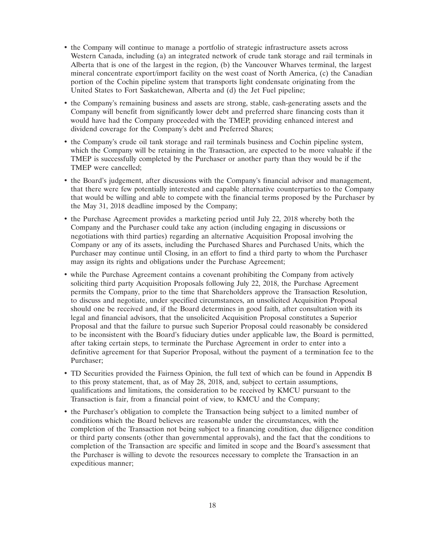- the Company will continue to manage a portfolio of strategic infrastructure assets across Western Canada, including (a) an integrated network of crude tank storage and rail terminals in Alberta that is one of the largest in the region, (b) the Vancouver Wharves terminal, the largest mineral concentrate export/import facility on the west coast of North America, (c) the Canadian portion of the Cochin pipeline system that transports light condensate originating from the United States to Fort Saskatchewan, Alberta and (d) the Jet Fuel pipeline;
- the Company's remaining business and assets are strong, stable, cash-generating assets and the Company will benefit from significantly lower debt and preferred share financing costs than it would have had the Company proceeded with the TMEP, providing enhanced interest and dividend coverage for the Company's debt and Preferred Shares;
- the Company's crude oil tank storage and rail terminals business and Cochin pipeline system, which the Company will be retaining in the Transaction, are expected to be more valuable if the TMEP is successfully completed by the Purchaser or another party than they would be if the TMEP were cancelled;
- the Board's judgement, after discussions with the Company's financial advisor and management, that there were few potentially interested and capable alternative counterparties to the Company that would be willing and able to compete with the financial terms proposed by the Purchaser by the May 31, 2018 deadline imposed by the Company;
- the Purchase Agreement provides a marketing period until July 22, 2018 whereby both the Company and the Purchaser could take any action (including engaging in discussions or negotiations with third parties) regarding an alternative Acquisition Proposal involving the Company or any of its assets, including the Purchased Shares and Purchased Units, which the Purchaser may continue until Closing, in an effort to find a third party to whom the Purchaser may assign its rights and obligations under the Purchase Agreement;
- while the Purchase Agreement contains a covenant prohibiting the Company from actively soliciting third party Acquisition Proposals following July 22, 2018, the Purchase Agreement permits the Company, prior to the time that Shareholders approve the Transaction Resolution, to discuss and negotiate, under specified circumstances, an unsolicited Acquisition Proposal should one be received and, if the Board determines in good faith, after consultation with its legal and financial advisors, that the unsolicited Acquisition Proposal constitutes a Superior Proposal and that the failure to pursue such Superior Proposal could reasonably be considered to be inconsistent with the Board's fiduciary duties under applicable law, the Board is permitted, after taking certain steps, to terminate the Purchase Agreement in order to enter into a definitive agreement for that Superior Proposal, without the payment of a termination fee to the Purchaser;
- TD Securities provided the Fairness Opinion, the full text of which can be found in Appendix B to this proxy statement, that, as of May 28, 2018, and, subject to certain assumptions, qualifications and limitations, the consideration to be received by KMCU pursuant to the Transaction is fair, from a financial point of view, to KMCU and the Company;
- the Purchaser's obligation to complete the Transaction being subject to a limited number of conditions which the Board believes are reasonable under the circumstances, with the completion of the Transaction not being subject to a financing condition, due diligence condition or third party consents (other than governmental approvals), and the fact that the conditions to completion of the Transaction are specific and limited in scope and the Board's assessment that the Purchaser is willing to devote the resources necessary to complete the Transaction in an expeditious manner;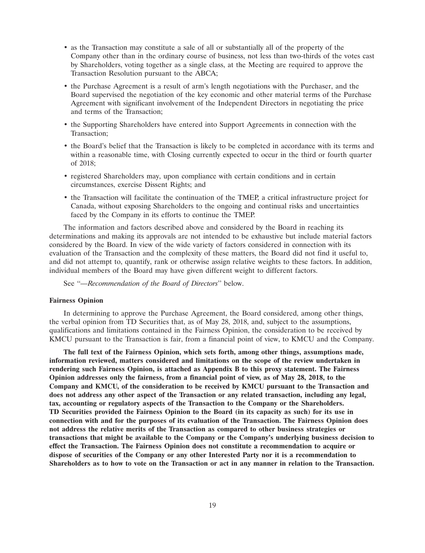- as the Transaction may constitute a sale of all or substantially all of the property of the Company other than in the ordinary course of business, not less than two-thirds of the votes cast by Shareholders, voting together as a single class, at the Meeting are required to approve the Transaction Resolution pursuant to the ABCA;
- the Purchase Agreement is a result of arm's length negotiations with the Purchaser, and the Board supervised the negotiation of the key economic and other material terms of the Purchase Agreement with significant involvement of the Independent Directors in negotiating the price and terms of the Transaction;
- the Supporting Shareholders have entered into Support Agreements in connection with the Transaction;
- the Board's belief that the Transaction is likely to be completed in accordance with its terms and within a reasonable time, with Closing currently expected to occur in the third or fourth quarter of 2018;
- registered Shareholders may, upon compliance with certain conditions and in certain circumstances, exercise Dissent Rights; and
- the Transaction will facilitate the continuation of the TMEP, a critical infrastructure project for Canada, without exposing Shareholders to the ongoing and continual risks and uncertainties faced by the Company in its efforts to continue the TMEP.

The information and factors described above and considered by the Board in reaching its determinations and making its approvals are not intended to be exhaustive but include material factors considered by the Board. In view of the wide variety of factors considered in connection with its evaluation of the Transaction and the complexity of these matters, the Board did not find it useful to, and did not attempt to, quantify, rank or otherwise assign relative weights to these factors. In addition, individual members of the Board may have given different weight to different factors.

See ''*—Recommendation of the Board of Directors*'' below.

#### **Fairness Opinion**

In determining to approve the Purchase Agreement, the Board considered, among other things, the verbal opinion from TD Securities that, as of May 28, 2018, and, subject to the assumptions, qualifications and limitations contained in the Fairness Opinion, the consideration to be received by KMCU pursuant to the Transaction is fair, from a financial point of view, to KMCU and the Company.

**The full text of the Fairness Opinion, which sets forth, among other things, assumptions made, information reviewed, matters considered and limitations on the scope of the review undertaken in rendering such Fairness Opinion, is attached as Appendix B to this proxy statement. The Fairness Opinion addresses only the fairness, from a financial point of view, as of May 28, 2018, to the Company and KMCU, of the consideration to be received by KMCU pursuant to the Transaction and does not address any other aspect of the Transaction or any related transaction, including any legal, tax, accounting or regulatory aspects of the Transaction to the Company or the Shareholders. TD Securities provided the Fairness Opinion to the Board (in its capacity as such) for its use in connection with and for the purposes of its evaluation of the Transaction. The Fairness Opinion does not address the relative merits of the Transaction as compared to other business strategies or transactions that might be available to the Company or the Company's underlying business decision to effect the Transaction. The Fairness Opinion does not constitute a recommendation to acquire or dispose of securities of the Company or any other Interested Party nor it is a recommendation to Shareholders as to how to vote on the Transaction or act in any manner in relation to the Transaction.**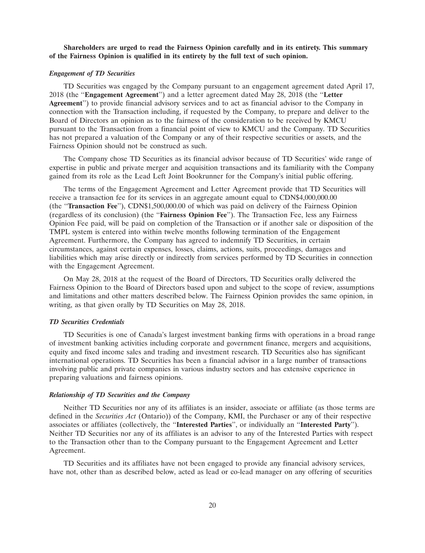# **Shareholders are urged to read the Fairness Opinion carefully and in its entirety. This summary of the Fairness Opinion is qualified in its entirety by the full text of such opinion.**

#### *Engagement of TD Securities*

TD Securities was engaged by the Company pursuant to an engagement agreement dated April 17, 2018 (the ''**Engagement Agreement**'') and a letter agreement dated May 28, 2018 (the ''**Letter Agreement**'') to provide financial advisory services and to act as financial advisor to the Company in connection with the Transaction including, if requested by the Company, to prepare and deliver to the Board of Directors an opinion as to the fairness of the consideration to be received by KMCU pursuant to the Transaction from a financial point of view to KMCU and the Company. TD Securities has not prepared a valuation of the Company or any of their respective securities or assets, and the Fairness Opinion should not be construed as such.

The Company chose TD Securities as its financial advisor because of TD Securities' wide range of expertise in public and private merger and acquisition transactions and its familiarity with the Company gained from its role as the Lead Left Joint Bookrunner for the Company's initial public offering.

The terms of the Engagement Agreement and Letter Agreement provide that TD Securities will receive a transaction fee for its services in an aggregate amount equal to CDN\$4,000,000.00 (the ''**Transaction Fee**''), CDN\$1,500,000.00 of which was paid on delivery of the Fairness Opinion (regardless of its conclusion) (the ''**Fairness Opinion Fee**''). The Transaction Fee, less any Fairness Opinion Fee paid, will be paid on completion of the Transaction or if another sale or disposition of the TMPL system is entered into within twelve months following termination of the Engagement Agreement. Furthermore, the Company has agreed to indemnify TD Securities, in certain circumstances, against certain expenses, losses, claims, actions, suits, proceedings, damages and liabilities which may arise directly or indirectly from services performed by TD Securities in connection with the Engagement Agreement.

On May 28, 2018 at the request of the Board of Directors, TD Securities orally delivered the Fairness Opinion to the Board of Directors based upon and subject to the scope of review, assumptions and limitations and other matters described below. The Fairness Opinion provides the same opinion, in writing, as that given orally by TD Securities on May 28, 2018.

#### *TD Securities Credentials*

TD Securities is one of Canada's largest investment banking firms with operations in a broad range of investment banking activities including corporate and government finance, mergers and acquisitions, equity and fixed income sales and trading and investment research. TD Securities also has significant international operations. TD Securities has been a financial advisor in a large number of transactions involving public and private companies in various industry sectors and has extensive experience in preparing valuations and fairness opinions.

# *Relationship of TD Securities and the Company*

Neither TD Securities nor any of its affiliates is an insider, associate or affiliate (as those terms are defined in the *Securities Act* (Ontario)) of the Company, KMI, the Purchaser or any of their respective associates or affiliates (collectively, the ''**Interested Parties**'', or individually an ''**Interested Party**''). Neither TD Securities nor any of its affiliates is an advisor to any of the Interested Parties with respect to the Transaction other than to the Company pursuant to the Engagement Agreement and Letter Agreement.

TD Securities and its affiliates have not been engaged to provide any financial advisory services, have not, other than as described below, acted as lead or co-lead manager on any offering of securities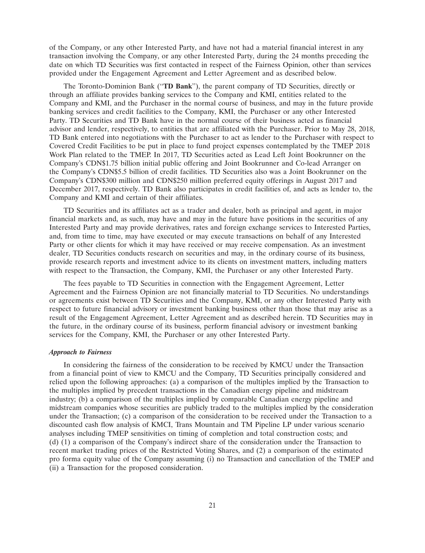of the Company, or any other Interested Party, and have not had a material financial interest in any transaction involving the Company, or any other Interested Party, during the 24 months preceding the date on which TD Securities was first contacted in respect of the Fairness Opinion, other than services provided under the Engagement Agreement and Letter Agreement and as described below.

The Toronto-Dominion Bank (''**TD Bank**''), the parent company of TD Securities, directly or through an affiliate provides banking services to the Company and KMI, entities related to the Company and KMI, and the Purchaser in the normal course of business, and may in the future provide banking services and credit facilities to the Company, KMI, the Purchaser or any other Interested Party. TD Securities and TD Bank have in the normal course of their business acted as financial advisor and lender, respectively, to entities that are affiliated with the Purchaser. Prior to May 28, 2018, TD Bank entered into negotiations with the Purchaser to act as lender to the Purchaser with respect to Covered Credit Facilities to be put in place to fund project expenses contemplated by the TMEP 2018 Work Plan related to the TMEP. In 2017, TD Securities acted as Lead Left Joint Bookrunner on the Company's CDN\$1.75 billion initial public offering and Joint Bookrunner and Co-lead Arranger on the Company's CDN\$5.5 billion of credit facilities. TD Securities also was a Joint Bookrunner on the Company's CDN\$300 million and CDN\$250 million preferred equity offerings in August 2017 and December 2017, respectively. TD Bank also participates in credit facilities of, and acts as lender to, the Company and KMI and certain of their affiliates.

TD Securities and its affiliates act as a trader and dealer, both as principal and agent, in major financial markets and, as such, may have and may in the future have positions in the securities of any Interested Party and may provide derivatives, rates and foreign exchange services to Interested Parties, and, from time to time, may have executed or may execute transactions on behalf of any Interested Party or other clients for which it may have received or may receive compensation. As an investment dealer, TD Securities conducts research on securities and may, in the ordinary course of its business, provide research reports and investment advice to its clients on investment matters, including matters with respect to the Transaction, the Company, KMI, the Purchaser or any other Interested Party.

The fees payable to TD Securities in connection with the Engagement Agreement, Letter Agreement and the Fairness Opinion are not financially material to TD Securities. No understandings or agreements exist between TD Securities and the Company, KMI, or any other Interested Party with respect to future financial advisory or investment banking business other than those that may arise as a result of the Engagement Agreement, Letter Agreement and as described herein. TD Securities may in the future, in the ordinary course of its business, perform financial advisory or investment banking services for the Company, KMI, the Purchaser or any other Interested Party.

#### *Approach to Fairness*

In considering the fairness of the consideration to be received by KMCU under the Transaction from a financial point of view to KMCU and the Company, TD Securities principally considered and relied upon the following approaches: (a) a comparison of the multiples implied by the Transaction to the multiples implied by precedent transactions in the Canadian energy pipeline and midstream industry; (b) a comparison of the multiples implied by comparable Canadian energy pipeline and midstream companies whose securities are publicly traded to the multiples implied by the consideration under the Transaction; (c) a comparison of the consideration to be received under the Transaction to a discounted cash flow analysis of KMCI, Trans Mountain and TM Pipeline LP under various scenario analyses including TMEP sensitivities on timing of completion and total construction costs; and (d) (1) a comparison of the Company's indirect share of the consideration under the Transaction to recent market trading prices of the Restricted Voting Shares, and (2) a comparison of the estimated pro forma equity value of the Company assuming (i) no Transaction and cancellation of the TMEP and (ii) a Transaction for the proposed consideration.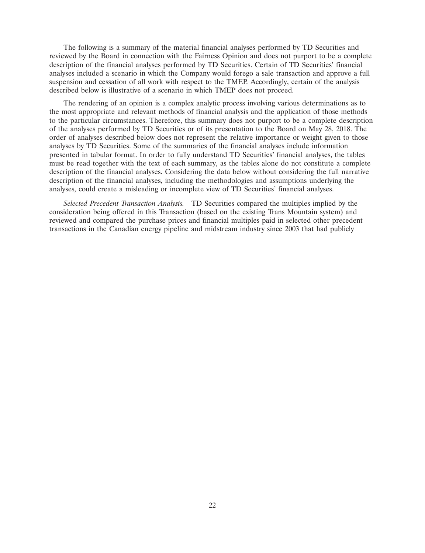The following is a summary of the material financial analyses performed by TD Securities and reviewed by the Board in connection with the Fairness Opinion and does not purport to be a complete description of the financial analyses performed by TD Securities. Certain of TD Securities' financial analyses included a scenario in which the Company would forego a sale transaction and approve a full suspension and cessation of all work with respect to the TMEP. Accordingly, certain of the analysis described below is illustrative of a scenario in which TMEP does not proceed.

The rendering of an opinion is a complex analytic process involving various determinations as to the most appropriate and relevant methods of financial analysis and the application of those methods to the particular circumstances. Therefore, this summary does not purport to be a complete description of the analyses performed by TD Securities or of its presentation to the Board on May 28, 2018. The order of analyses described below does not represent the relative importance or weight given to those analyses by TD Securities. Some of the summaries of the financial analyses include information presented in tabular format. In order to fully understand TD Securities' financial analyses, the tables must be read together with the text of each summary, as the tables alone do not constitute a complete description of the financial analyses. Considering the data below without considering the full narrative description of the financial analyses, including the methodologies and assumptions underlying the analyses, could create a misleading or incomplete view of TD Securities' financial analyses.

*Selected Precedent Transaction Analysis.* TD Securities compared the multiples implied by the consideration being offered in this Transaction (based on the existing Trans Mountain system) and reviewed and compared the purchase prices and financial multiples paid in selected other precedent transactions in the Canadian energy pipeline and midstream industry since 2003 that had publicly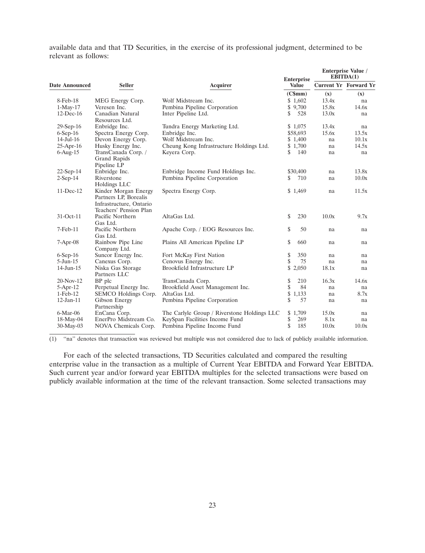available data and that TD Securities, in the exercise of its professional judgment, determined to be relevant as follows:

|                       |                                                                                                    |                                             | <b>Enterprise</b> | <b>Enterprise Value</b> /<br>EBITDA(1) |                              |
|-----------------------|----------------------------------------------------------------------------------------------------|---------------------------------------------|-------------------|----------------------------------------|------------------------------|
| <b>Date Announced</b> | <b>Seller</b>                                                                                      | <b>Acquirer</b>                             | Value             |                                        | <b>Current Yr Forward Yr</b> |
|                       |                                                                                                    |                                             | (C\$mm)           | (x)                                    | (x)                          |
| 8-Feb-18              | MEG Energy Corp.                                                                                   | Wolf Midstream Inc.                         | \$1,602           | 13.4x                                  | na                           |
| $1-Mav-17$            | Veresen Inc.                                                                                       | Pembina Pipeline Corporation                | \$9,700           | 15.8x                                  | 14.6x                        |
| $12$ -Dec-16          | Canadian Natural<br>Resources Ltd.                                                                 | Inter Pipeline Ltd.                         | \$<br>528         | 13.0x                                  | na                           |
| $29-Sep-16$           | Enbridge Inc.                                                                                      | Tundra Energy Marketing Ltd.                | \$1,075           | 13.4x                                  | na                           |
| $6-Sep-16$            | Spectra Energy Corp.                                                                               | Enbridge Inc.                               | \$58,693          | 15.6x                                  | 13.5x                        |
| $14$ -Jul- $16$       | Devon Energy Corp.                                                                                 | Wolf Midstream Inc.                         | \$1,400           | na                                     | 10.1x                        |
| $25$ -Apr-16          | Husky Energy Inc.                                                                                  | Cheung Kong Infrastructure Holdings Ltd.    | \$1,700           | na                                     | 14.5x                        |
| $6-Aug-15$            | TransCanada Corp. /<br>Grand Rapids<br>Pipeline LP                                                 | Keyera Corp.                                | \$<br>140         | na                                     | na                           |
| $22-Sep-14$           | Enbridge Inc.                                                                                      | Enbridge Income Fund Holdings Inc.          | \$30,400          | na                                     | 13.8x                        |
| $2-Sep-14$            | Riverstone<br>Holdings LLC                                                                         | Pembina Pipeline Corporation                | \$<br>710         | na                                     | 10.0x                        |
| 11-Dec-12             | Kinder Morgan Energy<br>Partners LP, Borealis<br>Infrastructure, Ontario<br>Teachers' Pension Plan | Spectra Energy Corp.                        | \$1,469           | na                                     | 11.5x                        |
| 31-Oct-11             | Pacific Northern<br>Gas Ltd.                                                                       | AltaGas Ltd.                                | \$<br>230         | 10.0x                                  | 9.7x                         |
| 7-Feb-11              | Pacific Northern<br>Gas Ltd.                                                                       | Apache Corp. / EOG Resources Inc.           | \$<br>50          | na                                     | na                           |
| $7-Apr-08$            | Rainbow Pipe Line<br>Company Ltd.                                                                  | Plains All American Pipeline LP             | \$<br>660         | na                                     | na                           |
| $6-Sep-16$            | Suncor Energy Inc.                                                                                 | Fort McKay First Nation                     | \$<br>350         | na                                     | na                           |
| $5 - Jun-15$          | Canexus Corp.                                                                                      | Cenovus Energy Inc.                         | \$<br>75          | na                                     | na                           |
| 14-Jun-15             | Niska Gas Storage<br>Partners LLC                                                                  | Brookfield Infrastructure LP                | \$2,050           | 18.1x                                  | na                           |
| 20-Nov-12             | BP plc                                                                                             | TransCanada Corp.                           | \$<br>210         | 16.3x                                  | 14.6x                        |
| $5-Apr-12$            | Perpetual Energy Inc.                                                                              | Brookfield Asset Management Inc.            | \$<br>84          | na                                     | na                           |
| $1-Feb-12$            | SEMCO Holdings Corp.                                                                               | AltaGas Ltd.                                | \$<br>1,133       | na                                     | 8.7x                         |
| $12$ -Jan- $11$       | Gibson Energy<br>Partnership                                                                       | Pembina Pipeline Corporation                | \$<br>57          | na                                     | na                           |
| $6-Mar-06$            | EnCana Corp.                                                                                       | The Carlyle Group / Riverstone Holdings LLC | \$1,709           | 15.0x                                  | na                           |
| 18-May-04             | EnerPro Midstream Co.                                                                              | KeySpan Facilities Income Fund              | \$<br>269         | 8.1x                                   | na                           |
| 30-May-03             | NOVA Chemicals Corp.                                                                               | Pembina Pipeline Income Fund                | \$<br>185         | 10.0x                                  | 10.0x                        |

 $(1)$  "na" denotes that transaction was reviewed but multiple was not considered due to lack of publicly available information.

For each of the selected transactions, TD Securities calculated and compared the resulting enterprise value in the transaction as a multiple of Current Year EBITDA and Forward Year EBITDA. Such current year and/or forward year EBITDA multiples for the selected transactions were based on publicly available information at the time of the relevant transaction. Some selected transactions may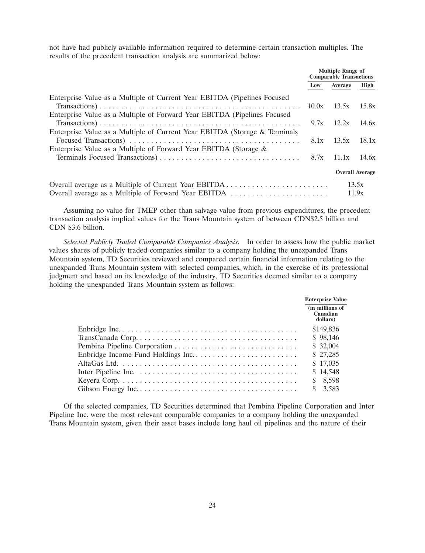not have had publicly available information required to determine certain transaction multiples. The results of the precedent transaction analysis are summarized below:

|                                                                            | <b>Multiple Range of</b><br><b>Comparable Transactions</b> |              |                        |
|----------------------------------------------------------------------------|------------------------------------------------------------|--------------|------------------------|
|                                                                            | Low                                                        | Average      | High                   |
| Enterprise Value as a Multiple of Current Year EBITDA (Pipelines Focused)  |                                                            |              |                        |
|                                                                            | 10.0x                                                      | 13.5x        | 15.8x                  |
| Enterprise Value as a Multiple of Forward Year EBITDA (Pipelines Focused)  |                                                            |              |                        |
|                                                                            |                                                            | $9.7x$ 12.2x | 14.6x                  |
| Enterprise Value as a Multiple of Current Year EBITDA (Storage & Terminals |                                                            |              |                        |
|                                                                            | 8.1x                                                       | 13.5x        | 18.1x                  |
| Enterprise Value as a Multiple of Forward Year EBITDA (Storage &           |                                                            |              |                        |
|                                                                            | 8.7x                                                       | 11.1x        | 14.6x                  |
|                                                                            |                                                            |              | <b>Overall Average</b> |
| Overall average as a Multiple of Current Year EBITDA                       |                                                            |              | 13.5x                  |
| Overall average as a Multiple of Forward Year EBITDA                       |                                                            |              | 11.9x                  |

Assuming no value for TMEP other than salvage value from previous expenditures, the precedent transaction analysis implied values for the Trans Mountain system of between CDN\$2.5 billion and CDN \$3.6 billion.

*Selected Publicly Traded Comparable Companies Analysis.* In order to assess how the public market values shares of publicly traded companies similar to a company holding the unexpanded Trans Mountain system, TD Securities reviewed and compared certain financial information relating to the unexpanded Trans Mountain system with selected companies, which, in the exercise of its professional judgment and based on its knowledge of the industry, TD Securities deemed similar to a company holding the unexpanded Trans Mountain system as follows:

| <b>Enterprise Value</b>                 |  |
|-----------------------------------------|--|
| (in millions of<br>Canadian<br>dollars) |  |
| \$149,836                               |  |
| \$98,146                                |  |
| \$32,004                                |  |
| \$27,285                                |  |
| \$17,035                                |  |
| \$14,548                                |  |
| \$8,598                                 |  |
| \$3.583                                 |  |

Of the selected companies, TD Securities determined that Pembina Pipeline Corporation and Inter Pipeline Inc. were the most relevant comparable companies to a company holding the unexpanded Trans Mountain system, given their asset bases include long haul oil pipelines and the nature of their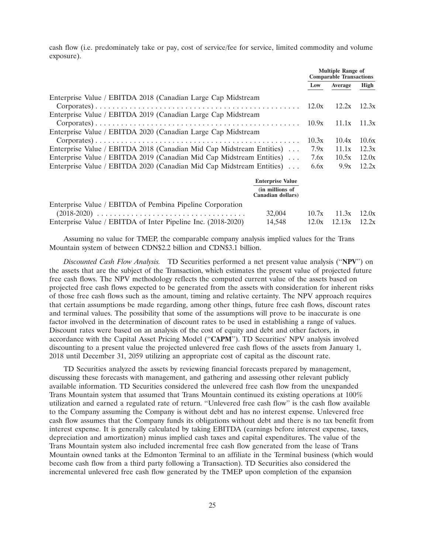cash flow (i.e. predominately take or pay, cost of service/fee for service, limited commodity and volume exposure).

|                                                                      |                                      | <b>Multiple Range of</b><br><b>Comparable Transactions</b> |         |       |
|----------------------------------------------------------------------|--------------------------------------|------------------------------------------------------------|---------|-------|
|                                                                      |                                      | Low                                                        | Average | High  |
| Enterprise Value / EBITDA 2018 (Canadian Large Cap Midstream         |                                      | 12.0x                                                      | 12.2x   | 12.3x |
| Enterprise Value / EBITDA 2019 (Canadian Large Cap Midstream         |                                      |                                                            |         |       |
|                                                                      |                                      | 10.9x                                                      | 11.1x   | 11.3x |
| Enterprise Value / EBITDA 2020 (Canadian Large Cap Midstream         |                                      |                                                            |         |       |
|                                                                      |                                      | 10.3x                                                      | 10.4x   | 10.6x |
| Enterprise Value / EBITDA 2018 (Canadian Mid Cap Midstream Entities) |                                      | 7.9x                                                       | 11.1x   | 12.3x |
| Enterprise Value / EBITDA 2019 (Canadian Mid Cap Midstream Entities) |                                      | 7.6x                                                       | 10.5x   | 12.0x |
| Enterprise Value / EBITDA 2020 (Canadian Mid Cap Midstream Entities) | 6.6x                                 | 9.9x                                                       | 12.2x   |       |
|                                                                      | <b>Enterprise Value</b>              |                                                            |         |       |
|                                                                      | (in millions of<br>Canadian dollars) |                                                            |         |       |
| Enterprise Value / EBITDA of Pembina Pipeline Corporation            |                                      |                                                            |         |       |
|                                                                      | 32,004                               | 10.7x                                                      | 11.3x   | 12.0x |
| Enterprise Value / EBITDA of Inter Pipeline Inc. (2018-2020)         | 14,548                               | 12.0x                                                      | 12.13x  | 12.2x |

Assuming no value for TMEP, the comparable company analysis implied values for the Trans Mountain system of between CDN\$2.2 billion and CDN\$3.1 billion.

*Discounted Cash Flow Analysis.* TD Securities performed a net present value analysis (''**NPV**'') on the assets that are the subject of the Transaction, which estimates the present value of projected future free cash flows. The NPV methodology reflects the computed current value of the assets based on projected free cash flows expected to be generated from the assets with consideration for inherent risks of those free cash flows such as the amount, timing and relative certainty. The NPV approach requires that certain assumptions be made regarding, among other things, future free cash flows, discount rates and terminal values. The possibility that some of the assumptions will prove to be inaccurate is one factor involved in the determination of discount rates to be used in establishing a range of values. Discount rates were based on an analysis of the cost of equity and debt and other factors, in accordance with the Capital Asset Pricing Model (''**CAPM**''). TD Securities' NPV analysis involved discounting to a present value the projected unlevered free cash flows of the assets from January 1, 2018 until December 31, 2059 utilizing an appropriate cost of capital as the discount rate.

TD Securities analyzed the assets by reviewing financial forecasts prepared by management, discussing these forecasts with management, and gathering and assessing other relevant publicly available information. TD Securities considered the unlevered free cash flow from the unexpanded Trans Mountain system that assumed that Trans Mountain continued its existing operations at 100% utilization and earned a regulated rate of return. ''Unlevered free cash flow'' is the cash flow available to the Company assuming the Company is without debt and has no interest expense. Unlevered free cash flow assumes that the Company funds its obligations without debt and there is no tax benefit from interest expense. It is generally calculated by taking EBITDA (earnings before interest expense, taxes, depreciation and amortization) minus implied cash taxes and capital expenditures. The value of the Trans Mountain system also included incremental free cash flow generated from the lease of Trans Mountain owned tanks at the Edmonton Terminal to an affiliate in the Terminal business (which would become cash flow from a third party following a Transaction). TD Securities also considered the incremental unlevered free cash flow generated by the TMEP upon completion of the expansion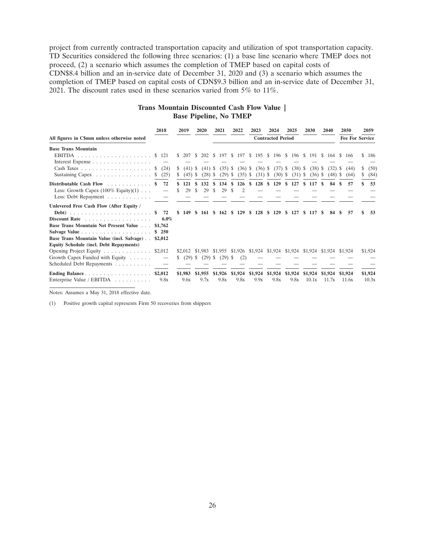project from currently contracted transportation capacity and utilization of spot transportation capacity. TD Securities considered the following three scenarios: (1) a base line scenario where TMEP does not proceed, (2) a scenario which assumes the completion of TMEP based on capital costs of CDN\$8.4 billion and an in-service date of December 31, 2020 and (3) a scenario which assumes the completion of TMEP based on capital costs of CDN\$9.3 billion and an in-service date of December 31, 2021. The discount rates used in these scenarios varied from 5% to 11%.

# **Trans Mountain Discounted Cash Flow Value | Base Pipeline, No TMEP**

|                                                               |    | 2018            |   | 2019            |     | 2020            |     | 2021            |    | 2022                    |              | 2023                     |     | 2024            |    | 2025                                                                            |   | 2030             |      | 2040             | 2050                   | 2059             |
|---------------------------------------------------------------|----|-----------------|---|-----------------|-----|-----------------|-----|-----------------|----|-------------------------|--------------|--------------------------|-----|-----------------|----|---------------------------------------------------------------------------------|---|------------------|------|------------------|------------------------|------------------|
| All figures in C\$mm unless otherwise noted                   |    |                 |   |                 |     |                 |     |                 |    |                         |              | <b>Contracted Period</b> |     |                 |    |                                                                                 |   |                  |      |                  | <b>Fee For Service</b> |                  |
| <b>Base Trans Mountain</b>                                    |    |                 |   |                 |     |                 |     |                 |    |                         |              |                          |     |                 |    |                                                                                 |   |                  |      |                  |                        |                  |
|                                                               |    |                 |   | \$207S          |     | 202 \$          |     | 197 \$          |    |                         |              |                          |     |                 |    | 197 \$ 195 \$ 196 \$ 196 \$ 191 \$ 164 \$                                       |   |                  |      |                  | 166                    | \$186            |
| Interest Expense                                              |    |                 |   |                 |     |                 |     |                 |    |                         |              |                          |     |                 |    |                                                                                 |   |                  |      |                  |                        |                  |
|                                                               | S. | (24)            | S | $(41)$ \$       |     | $(41)$ \$       |     | $(35)$ \$       |    | $(36)$ \$               |              | $(36)$ \$                |     | $(37)$ \$       |    | (38)                                                                            | S | (38)             | - 55 | (32)             | (44)                   | (50)             |
| Sustaining Capex $\ldots \ldots \ldots \ldots \ldots$ \$ (25) |    |                 | S | (45)            | - S | (28)            | S   | (29)            | S  | (35)                    | <sup>S</sup> | (31)                     | S   | $(30)$ \$       |    | (31)                                                                            | S | (36)             | -S   | $(48)$ \$        | (64)                   | \$<br>(84)       |
| Distributable Cash Flow $\ldots$ ,                            |    | 72              |   | 121             |     | 132             |     | 134             |    | 126                     | S.           | 128                      |     |                 |    | \$ 129 \$ 127                                                                   |   | \$117            | -SS  | -84              | 57                     | 53               |
| Less: Growth Capex $(100\% \text{ Equity})(1) \dots$          |    |                 |   | 29              | -S  | 29              |     | 29              | S  |                         |              |                          |     |                 |    |                                                                                 |   |                  |      |                  |                        |                  |
| Less: Debt Repayment                                          |    |                 |   |                 |     |                 |     |                 |    |                         |              |                          |     |                 |    |                                                                                 |   |                  |      |                  |                        |                  |
| Unlevered Free Cash Flow (After Equity /                      |    |                 |   |                 |     |                 |     |                 |    |                         |              |                          |     |                 |    |                                                                                 |   |                  |      |                  |                        |                  |
|                                                               |    | 72              |   | \$149           |     | \$161           | -SS | 162             | -S | 129                     | -SS          | 128                      | -SS | 129             | S. | 127                                                                             | S | -117             |      | 84               | 57                     | -53              |
| Discount Rate                                                 |    | 6.0%            |   |                 |     |                 |     |                 |    |                         |              |                          |     |                 |    |                                                                                 |   |                  |      |                  |                        |                  |
| <b>Base Trans Mountain Net Present Value </b>                 |    | \$1,762         |   |                 |     |                 |     |                 |    |                         |              |                          |     |                 |    |                                                                                 |   |                  |      |                  |                        |                  |
|                                                               | S  | <b>250</b>      |   |                 |     |                 |     |                 |    |                         |              |                          |     |                 |    |                                                                                 |   |                  |      |                  |                        |                  |
| Base Trans Mountain Value (incl. Salvage)                     |    | \$2,012         |   |                 |     |                 |     |                 |    |                         |              |                          |     |                 |    |                                                                                 |   |                  |      |                  |                        |                  |
| <b>Equity Schedule (incl. Debt Repayments)</b>                |    |                 |   |                 |     |                 |     |                 |    |                         |              |                          |     |                 |    |                                                                                 |   |                  |      |                  |                        |                  |
| Opening Project Equity \$2,012                                |    |                 |   |                 |     |                 |     |                 |    |                         |              |                          |     |                 |    | \$2,012 \$1,983 \$1,955 \$1,926 \$1,924 \$1,924 \$1,924 \$1,924 \$1,924 \$1,924 |   |                  |      |                  |                        | \$1,924          |
| Growth Capex Funded with Equity                               |    |                 | S | $(29)$ \$       |     | (29)            | \$  | $(29)$ \$       |    | (2)                     |              |                          |     |                 |    |                                                                                 |   |                  |      |                  |                        |                  |
| Scheduled Debt Repayments                                     |    |                 |   |                 |     |                 |     |                 |    |                         |              |                          |     |                 |    |                                                                                 |   |                  |      |                  |                        |                  |
| Ending Balance<br>Enterprise Value / EBITDA                   |    | \$2,012<br>9.8x |   | \$1,983<br>9.6x |     | \$1,955<br>9.7x |     | \$1,926<br>9.8x |    | \$1,924 \$1,924<br>9.8x |              | 9.9x                     |     | \$1,924<br>9.8x |    | \$1,924<br>9.8x                                                                 |   | \$1,924<br>10.1x |      | \$1,924<br>11.7x | \$1,924<br>11.6x       | \$1,924<br>10.3x |

Notes: Assumes a May 31, 2018 effective date.

(1) Positive growth capital represents Firm 50 recoveries from shippers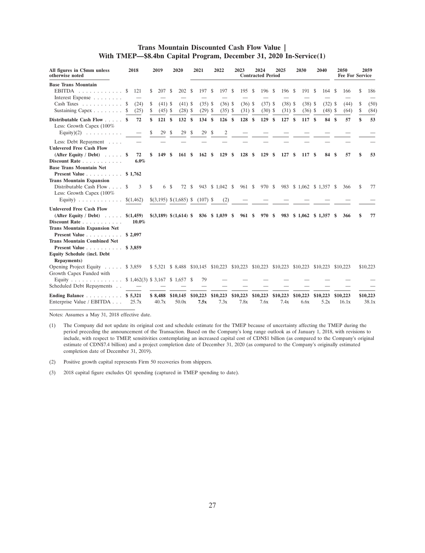# **Trans Mountain Discounted Cash Flow Value | With TMEP—\$8.4bn Capital Program, December 31, 2020 In-Service(1)**

| All figures in C\$mm unless<br>otherwise noted                                               | 2018               |         | 2019                                                                                      |                        | 2020                   |     | 2021                   |               | 2022                        |      | 2023                   |      | 2024<br><b>Contracted Period</b> |    | 2025                   |     | 2030                   |     | 2040                     |               | <b>2050</b><br><b>Fee For Service</b> |          | 2059              |
|----------------------------------------------------------------------------------------------|--------------------|---------|-------------------------------------------------------------------------------------------|------------------------|------------------------|-----|------------------------|---------------|-----------------------------|------|------------------------|------|----------------------------------|----|------------------------|-----|------------------------|-----|--------------------------|---------------|---------------------------------------|----------|-------------------|
| <b>Base Trans Mountain</b><br>EBITDA<br>Interest Expense                                     | \$.<br>121         |         | \$<br>207                                                                                 | - \$                   | 202                    | -S  | 197                    | S             | 197                         | - \$ | 195                    | - \$ | 196                              | \$ | 196 \$                 |     | 191 \$                 |     | 164                      | S             | 166                                   | \$       | 186               |
| Cash Taxes $\ldots$ , \$<br>Sustaining Capex \$                                              | (24)<br>(25)       |         | \$<br>\$                                                                                  | $(41)$ \$<br>$(45)$ \$ | $(41)$ \$<br>$(28)$ \$ |     | $(35)$ \$<br>$(29)$ \$ |               | $(36)$ \$<br>$(35)$ \$      |      | $(36)$ \$<br>$(31)$ \$ |      | $(37)$ \$<br>$(30)$ \$           |    | $(38)$ \$<br>$(31)$ \$ |     | $(38)$ \$<br>$(36)$ \$ |     | $(32)$ \$<br>$(48)$ \$   |               | (44)<br>(64)                          | \$<br>\$ | (50)<br>(84)      |
| Distributable Cash Flow \$<br>Less: Growth Capex (100%                                       | 72                 |         | 121S<br>\$                                                                                |                        | 132S                   |     | 134                    | $\mathbf{\$}$ | 126S                        |      | 128S                   |      | 129                              | \$ | 127S                   |     | 117 \$                 |     | 84                       | <sup>\$</sup> | 57                                    | \$       | 53                |
| Equity $)(2)$                                                                                |                    |         | 29                                                                                        | S                      | 29                     | -S  | 29                     | S             | 2                           |      |                        |      |                                  |    |                        |     |                        |     |                          |               |                                       |          |                   |
| Less: Debt Repayment<br><b>Unlevered Free Cash Flow</b><br>(After Equity / Debt) $\ldots$ \$ | 72                 |         | 149 \$<br>\$                                                                              |                        | 161                    | -\$ | 162                    | <sup>\$</sup> | 129                         | - \$ | 128                    | -S   | 129                              | \$ | 127                    | \$. | 117                    | -\$ | 84                       | S             | 57                                    | \$       | 53                |
| Discount Rate<br><b>Base Trans Mountain Net</b>                                              |                    | $6.0\%$ |                                                                                           |                        |                        |     |                        |               |                             |      |                        |      |                                  |    |                        |     |                        |     |                          |               |                                       |          |                   |
| Present Value<br><b>Trans Mountain Expansion</b>                                             | \$1,762            |         |                                                                                           |                        |                        |     |                        |               |                             |      |                        |      |                                  |    |                        |     |                        |     |                          |               |                                       |          |                   |
| Distributable Cash Flow \$<br>Less: Growth Capex (100%                                       | 3                  |         | \$                                                                                        | 6 \$                   | 72 \$                  |     | 943                    |               | $$1,042$ \$                 |      | 961 \$                 |      | 970 \$                           |    |                        |     |                        |     | 983 \$ 1,062 \$ 1,357 \$ |               | 366                                   | \$       | 77                |
| Equity) $\ldots \ldots \ldots \ldots$ \$(1,462)                                              |                    |         | $$(3,195) \$(1,685) \$ (107) \$$                                                          |                        |                        |     |                        |               | (2)                         |      |                        |      |                                  |    |                        |     |                        |     |                          |               |                                       |          |                   |
| <b>Unlevered Free Cash Flow</b><br>(After Equity / Debt) $\ldots$ .<br>Discount Rate         | \$(1,459)<br>10.0% |         | \$(3,189) \$(1,614)                                                                       |                        |                        |     |                        |               | 836 \$ 1,039 \$             |      | 961 \$                 |      | 970                              | -S |                        |     |                        |     | 983 \$ 1,062 \$ 1,357    | -S            | 366                                   |          | 77                |
| <b>Trans Mountain Expansion Net</b><br>Present Value                                         | \$2,097            |         |                                                                                           |                        |                        |     |                        |               |                             |      |                        |      |                                  |    |                        |     |                        |     |                          |               |                                       |          |                   |
| <b>Trans Mountain Combined Net</b><br>Present Value<br><b>Equity Schedule (incl. Debt</b>    | \$3,859            |         |                                                                                           |                        |                        |     |                        |               |                             |      |                        |      |                                  |    |                        |     |                        |     |                          |               |                                       |          |                   |
| <b>Repayments</b> )<br>Opening Project Equity \$ 3,859                                       |                    |         | \$ 5,321 \$ 8,488 \$10,145 \$10,223 \$10,223 \$10,223 \$10,223 \$10,223 \$10,223 \$10,223 |                        |                        |     |                        |               |                             |      |                        |      |                                  |    |                        |     |                        |     |                          |               |                                       |          | \$10,223          |
| Growth Capex Funded with<br>Equity<br>Scheduled Debt Repayments                              |                    |         | \$1,462(3) \$3,167 \$1,657 \$                                                             |                        |                        |     | 79                     |               |                             |      |                        |      |                                  |    |                        |     |                        |     |                          |               |                                       |          |                   |
| Ending Balance \$ 5,321<br>Enterprise Value / EBITDA                                         | 25.7x              |         | \$8,488 \$10,145 \$10,223<br>40.7x                                                        |                        | 50.0x                  |     | 7.5x                   |               | $$10,223$ $$10,223$<br>7.3x |      | 7.8x                   |      | \$10,223<br>7.6x                 |    | \$10,223<br>7.4x       |     | \$10,223<br>6.6x       |     | \$10,223<br>5.2x         |               | \$10,223<br>16.1x                     |          | \$10,223<br>38.1x |

Notes: Assumes a May 31, 2018 effective date.

- (1) The Company did not update its original cost and schedule estimate for the TMEP because of uncertainty affecting the TMEP during the period preceding the announcement of the Transaction. Based on the Company's long range outlook as of January 1, 2018, with revisions to include, with respect to TMEP, sensitivities contemplating an increased capital cost of CDN\$1 billion (as compared to the Company's original estimate of CDN\$7.4 billion) and a project completion date of December 31, 2020 (as compared to the Company's originally estimated completion date of December 31, 2019).
- (2) Positive growth capital represents Firm 50 recoveries from shippers.
- (3) 2018 capital figure excludes Q1 spending (captured in TMEP spending to date).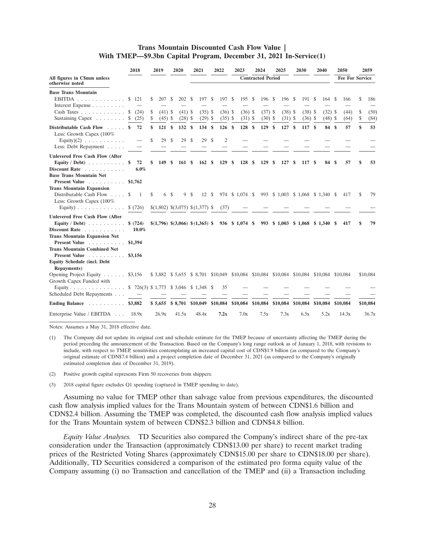### **Trans Mountain Discounted Cash Flow Value | With TMEP—\$9.3bn Capital Program, December 31, 2021 In-Service(1)**

|                                                                                                                                                                                           | 2018                                | 2019                                            | 2020                                                                                   | 2021                                | 2022                               | 2023                                  | 2024                                     | 2025                             | 2030                              | 2040                          | 2050                                 | 2059                                  |
|-------------------------------------------------------------------------------------------------------------------------------------------------------------------------------------------|-------------------------------------|-------------------------------------------------|----------------------------------------------------------------------------------------|-------------------------------------|------------------------------------|---------------------------------------|------------------------------------------|----------------------------------|-----------------------------------|-------------------------------|--------------------------------------|---------------------------------------|
| All figures in C\$mm unless<br>otherwise noted                                                                                                                                            |                                     |                                                 |                                                                                        |                                     |                                    |                                       | <b>Contracted Period</b>                 |                                  |                                   |                               | <b>Fee For Service</b>               |                                       |
| <b>Base Trans Mountain</b><br>EBITDA $\ldots \ldots \ldots \ldots$<br>Interest Expense<br>$Cash \text{ Taxes } \ldots \ldots \ldots \ldots$<br>Sustaining Capex $\ldots \ldots \ldots$ \$ | \$121<br>S<br>(24)<br>(25)          | \$<br>207<br>\$<br>$(41)$ \$<br>\$<br>$(45)$ \$ | 202<br>S<br>$(41)$ \$<br>$(28)$ \$                                                     | 197<br>-S<br>$(35)$ \$<br>$(29)$ \$ | S<br>197<br>$(36)$ \$<br>$(35)$ \$ | 195<br>- \$<br>$(36)$ \$<br>$(31)$ \$ | - \$<br>196 \$<br>$(37)$ \$<br>$(30)$ \$ | 196 \$<br>$(38)$ \$<br>$(31)$ \$ | 191 \$<br>$(38)$ \$<br>$(36)$ \$  | 164<br>$(32)$ \$<br>$(48)$ \$ | <sup>\$</sup><br>166<br>(44)<br>(64) | \$<br>186<br>\$<br>(50)<br>\$<br>(84) |
| Distributable Cash Flow \$<br>Less: Growth Capex (100%<br>Equity) $(2)$<br>Less: Debt Repayment                                                                                           | 72                                  | \$<br>121<br>\$<br>29                           | $\mathbf{s}$<br>132<br>29<br><sup>\$</sup>                                             | - \$<br>134<br>\$<br>29             | 126S<br>$\mathbf{s}$<br>S<br>2     | 128S                                  | 129                                      | \$<br>127S                       | 117S                              | 84                            | <sup>\$</sup><br>57                  | \$<br>53                              |
| <b>Unlevered Free Cash Flow (After</b><br>Equity / Debt $) \ldots \ldots \ldots$<br>Discount Rate<br><b>Base Trans Mountain Net</b><br>Present Value                                      | 72<br>S,<br>6.0%<br>\$1,762         | \$<br>149                                       | \$<br>161                                                                              | -S<br>162                           | $\mathbf{s}$<br>129                | S<br>128                              | <sup>\$</sup><br>129                     | \$<br>127                        | \$<br>117                         | -S<br>84                      | \$<br>57                             | 53<br>\$                              |
| <b>Trans Mountain Expansion</b><br>Distributable Cash Flow $\ldots$<br>Less: Growth Capex $(100\%$<br>Equity) $\ldots \ldots \ldots \ldots$                                               | \$<br>1<br>\$ (726)                 | \$                                              | 6 \$<br>9<br>\$(1,802) \$(3,075) \$(1,377) \$                                          | -S<br>12S                           | (37)                               | 974 \$ 1,074 \$                       |                                          |                                  | 993 \$ 1,003 \$ 1,068 \$ 1,340 \$ |                               | 417                                  | \$<br>79                              |
| <b>Unlevered Free Cash Flow (After</b><br>Equity / Debt) $\ldots$<br>Discount Rate<br><b>Trans Mountain Expansion Net</b><br>Present Value                                                | \$ (724)<br>$10.0\%$<br>\$1,394     |                                                 | $$(1,796)$ $$(3,066)$ $$(1,365)$ $$$ 936 $$1,074$ $$$                                  |                                     |                                    |                                       |                                          |                                  | 993 \$ 1,003 \$ 1,068 \$ 1,340    |                               | S<br>417                             | 79<br>s                               |
| <b>Trans Mountain Combined Net</b><br>Present Value<br><b>Equity Schedule (incl. Debt</b><br><b>Repayments</b> )                                                                          | \$3,156                             |                                                 |                                                                                        |                                     |                                    |                                       |                                          |                                  |                                   |                               |                                      |                                       |
| Opening Project Equity $\ldots$ $\ldots$ \$3,156<br>Growth Capex Funded with<br>Equity<br>Scheduled Debt Repayments                                                                       | \$726(3) \$1,773 \$3,046 \$1,348 \$ |                                                 | \$3,882 \$5,655 \$8,701 \$10,049 \$10,084 \$10,084 \$10,084 \$10,084 \$10,084 \$10,084 |                                     | 35                                 |                                       |                                          |                                  |                                   |                               |                                      | \$10,084                              |
| Ending Balance $\ldots$ ,                                                                                                                                                                 | \$3,882                             |                                                 | $$5,655$ $$8,701$ $$10,049$                                                            |                                     |                                    | \$10,084 \$10,084                     | \$10,084                                 |                                  | \$10,084 \$10,084                 | \$10,084                      | \$10,084                             | \$10,084                              |
| Enterprise Value / EBITDA                                                                                                                                                                 | 18.9x                               | 26.9x                                           | 41.5x                                                                                  | 48.4x                               | 7.2x                               | 7.0x                                  | 7.5x                                     | 7.3x                             | 6.5x                              | 5.2x                          | 14.3x                                | 36.7x                                 |

Notes: Assumes a May 31, 2018 effective date.

(2) Positive growth capital represents Firm 50 recoveries from shippers.

(3) 2018 capital figure excludes Q1 spending (captured in TMEP spending to date).

Assuming no value for TMEP other than salvage value from previous expenditures, the discounted cash flow analysis implied values for the Trans Mountain system of between CDN\$1.6 billion and CDN\$2.4 billion. Assuming the TMEP was completed, the discounted cash flow analysis implied values for the Trans Mountain system of between CDN\$2.3 billion and CDN\$4.8 billion.

*Equity Value Analyses.* TD Securities also compared the Company's indirect share of the pre-tax consideration under the Transaction (approximately CDN\$13.00 per share) to recent market trading prices of the Restricted Voting Shares (approximately CDN\$15.00 per share to CDN\$18.00 per share). Additionally, TD Securities considered a comparison of the estimated pro forma equity value of the Company assuming (i) no Transaction and cancellation of the TMEP and (ii) a Transaction including

<sup>(1)</sup> The Company did not update its original cost and schedule estimate for the TMEP because of uncertainty affecting the TMEP during the period preceding the announcement of the Transaction. Based on the Company's long range outlook as of January 1, 2018, with revisions to include, with respect to TMEP, sensitivities contemplating an increased capital cost of CDN\$1.9 billion (as compared to the Company's original estimate of CDN\$7.4 billion) and a project completion date of December 31, 2021 (as compared to the Company's originally estimated completion date of December 31, 2019).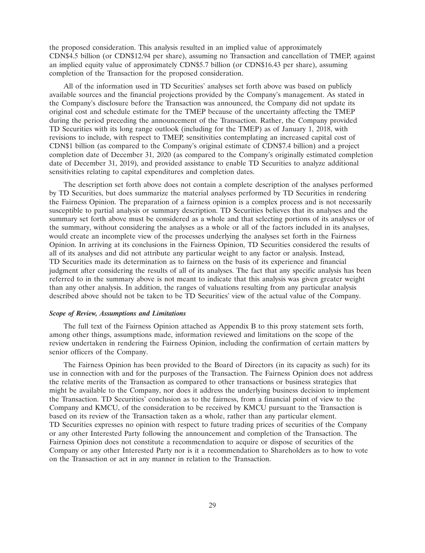the proposed consideration. This analysis resulted in an implied value of approximately CDN\$4.5 billion (or CDN\$12.94 per share), assuming no Transaction and cancellation of TMEP, against an implied equity value of approximately CDN\$5.7 billion (or CDN\$16.43 per share), assuming completion of the Transaction for the proposed consideration.

All of the information used in TD Securities' analyses set forth above was based on publicly available sources and the financial projections provided by the Company's management. As stated in the Company's disclosure before the Transaction was announced, the Company did not update its original cost and schedule estimate for the TMEP because of the uncertainty affecting the TMEP during the period preceding the announcement of the Transaction. Rather, the Company provided TD Securities with its long range outlook (including for the TMEP) as of January 1, 2018, with revisions to include, with respect to TMEP, sensitivities contemplating an increased capital cost of CDN\$1 billion (as compared to the Company's original estimate of CDN\$7.4 billion) and a project completion date of December 31, 2020 (as compared to the Company's originally estimated completion date of December 31, 2019), and provided assistance to enable TD Securities to analyze additional sensitivities relating to capital expenditures and completion dates.

The description set forth above does not contain a complete description of the analyses performed by TD Securities, but does summarize the material analyses performed by TD Securities in rendering the Fairness Opinion. The preparation of a fairness opinion is a complex process and is not necessarily susceptible to partial analysis or summary description. TD Securities believes that its analyses and the summary set forth above must be considered as a whole and that selecting portions of its analyses or of the summary, without considering the analyses as a whole or all of the factors included in its analyses, would create an incomplete view of the processes underlying the analyses set forth in the Fairness Opinion. In arriving at its conclusions in the Fairness Opinion, TD Securities considered the results of all of its analyses and did not attribute any particular weight to any factor or analysis. Instead, TD Securities made its determination as to fairness on the basis of its experience and financial judgment after considering the results of all of its analyses. The fact that any specific analysis has been referred to in the summary above is not meant to indicate that this analysis was given greater weight than any other analysis. In addition, the ranges of valuations resulting from any particular analysis described above should not be taken to be TD Securities' view of the actual value of the Company.

### *Scope of Review, Assumptions and Limitations*

The full text of the Fairness Opinion attached as Appendix B to this proxy statement sets forth, among other things, assumptions made, information reviewed and limitations on the scope of the review undertaken in rendering the Fairness Opinion, including the confirmation of certain matters by senior officers of the Company.

The Fairness Opinion has been provided to the Board of Directors (in its capacity as such) for its use in connection with and for the purposes of the Transaction. The Fairness Opinion does not address the relative merits of the Transaction as compared to other transactions or business strategies that might be available to the Company, nor does it address the underlying business decision to implement the Transaction. TD Securities' conclusion as to the fairness, from a financial point of view to the Company and KMCU, of the consideration to be received by KMCU pursuant to the Transaction is based on its review of the Transaction taken as a whole, rather than any particular element. TD Securities expresses no opinion with respect to future trading prices of securities of the Company or any other Interested Party following the announcement and completion of the Transaction. The Fairness Opinion does not constitute a recommendation to acquire or dispose of securities of the Company or any other Interested Party nor is it a recommendation to Shareholders as to how to vote on the Transaction or act in any manner in relation to the Transaction.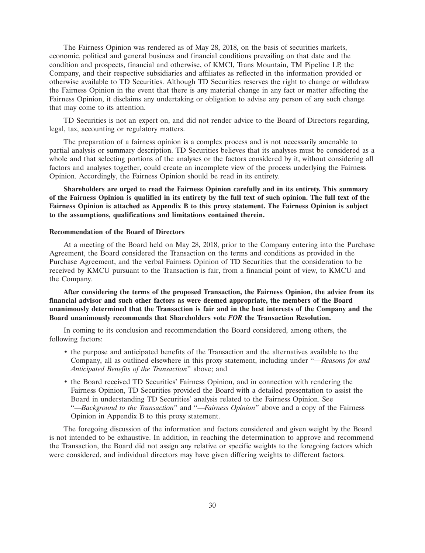The Fairness Opinion was rendered as of May 28, 2018, on the basis of securities markets, economic, political and general business and financial conditions prevailing on that date and the condition and prospects, financial and otherwise, of KMCI, Trans Mountain, TM Pipeline LP, the Company, and their respective subsidiaries and affiliates as reflected in the information provided or otherwise available to TD Securities. Although TD Securities reserves the right to change or withdraw the Fairness Opinion in the event that there is any material change in any fact or matter affecting the Fairness Opinion, it disclaims any undertaking or obligation to advise any person of any such change that may come to its attention.

TD Securities is not an expert on, and did not render advice to the Board of Directors regarding, legal, tax, accounting or regulatory matters.

The preparation of a fairness opinion is a complex process and is not necessarily amenable to partial analysis or summary description. TD Securities believes that its analyses must be considered as a whole and that selecting portions of the analyses or the factors considered by it, without considering all factors and analyses together, could create an incomplete view of the process underlying the Fairness Opinion. Accordingly, the Fairness Opinion should be read in its entirety.

**Shareholders are urged to read the Fairness Opinion carefully and in its entirety. This summary of the Fairness Opinion is qualified in its entirety by the full text of such opinion. The full text of the Fairness Opinion is attached as Appendix B to this proxy statement. The Fairness Opinion is subject to the assumptions, qualifications and limitations contained therein.**

#### **Recommendation of the Board of Directors**

At a meeting of the Board held on May 28, 2018, prior to the Company entering into the Purchase Agreement, the Board considered the Transaction on the terms and conditions as provided in the Purchase Agreement, and the verbal Fairness Opinion of TD Securities that the consideration to be received by KMCU pursuant to the Transaction is fair, from a financial point of view, to KMCU and the Company.

**After considering the terms of the proposed Transaction, the Fairness Opinion, the advice from its financial advisor and such other factors as were deemed appropriate, the members of the Board unanimously determined that the Transaction is fair and in the best interests of the Company and the Board unanimously recommends that Shareholders vote** *FOR* **the Transaction Resolution.**

In coming to its conclusion and recommendation the Board considered, among others, the following factors:

- the purpose and anticipated benefits of the Transaction and the alternatives available to the Company, all as outlined elsewhere in this proxy statement, including under ''*—Reasons for and Anticipated Benefits of the Transaction*'' above; and
- the Board received TD Securities' Fairness Opinion, and in connection with rendering the Fairness Opinion, TD Securities provided the Board with a detailed presentation to assist the Board in understanding TD Securities' analysis related to the Fairness Opinion. See ''—*Background to the Transaction*'' and ''—*Fairness Opinion*'' above and a copy of the Fairness Opinion in Appendix B to this proxy statement.

The foregoing discussion of the information and factors considered and given weight by the Board is not intended to be exhaustive. In addition, in reaching the determination to approve and recommend the Transaction, the Board did not assign any relative or specific weights to the foregoing factors which were considered, and individual directors may have given differing weights to different factors.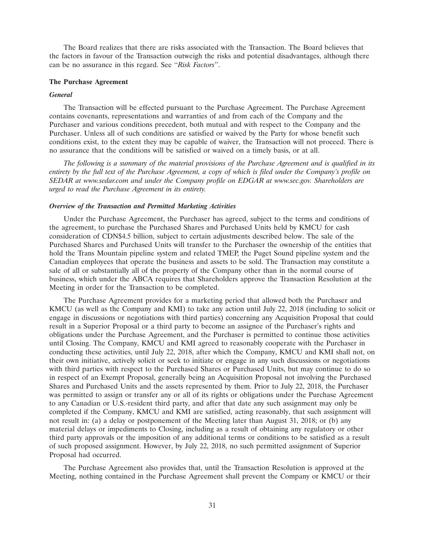The Board realizes that there are risks associated with the Transaction. The Board believes that the factors in favour of the Transaction outweigh the risks and potential disadvantages, although there can be no assurance in this regard. See ''*Risk Factors*''.

### **The Purchase Agreement**

#### *General*

The Transaction will be effected pursuant to the Purchase Agreement. The Purchase Agreement contains covenants, representations and warranties of and from each of the Company and the Purchaser and various conditions precedent, both mutual and with respect to the Company and the Purchaser. Unless all of such conditions are satisfied or waived by the Party for whose benefit such conditions exist, to the extent they may be capable of waiver, the Transaction will not proceed. There is no assurance that the conditions will be satisfied or waived on a timely basis, or at all.

*The following is a summary of the material provisions of the Purchase Agreement and is qualified in its entirety by the full text of the Purchase Agreement, a copy of which is filed under the Company's profile on SEDAR at www.sedar.com and under the Company profile on EDGAR at www.sec.gov. Shareholders are urged to read the Purchase Agreement in its entirety.*

### *Overview of the Transaction and Permitted Marketing Activities*

Under the Purchase Agreement, the Purchaser has agreed, subject to the terms and conditions of the agreement, to purchase the Purchased Shares and Purchased Units held by KMCU for cash consideration of CDN\$4.5 billion, subject to certain adjustments described below. The sale of the Purchased Shares and Purchased Units will transfer to the Purchaser the ownership of the entities that hold the Trans Mountain pipeline system and related TMEP, the Puget Sound pipeline system and the Canadian employees that operate the business and assets to be sold. The Transaction may constitute a sale of all or substantially all of the property of the Company other than in the normal course of business, which under the ABCA requires that Shareholders approve the Transaction Resolution at the Meeting in order for the Transaction to be completed.

The Purchase Agreement provides for a marketing period that allowed both the Purchaser and KMCU (as well as the Company and KMI) to take any action until July 22, 2018 (including to solicit or engage in discussions or negotiations with third parties) concerning any Acquisition Proposal that could result in a Superior Proposal or a third party to become an assignee of the Purchaser's rights and obligations under the Purchase Agreement, and the Purchaser is permitted to continue those activities until Closing. The Company, KMCU and KMI agreed to reasonably cooperate with the Purchaser in conducting these activities, until July 22, 2018, after which the Company, KMCU and KMI shall not, on their own initiative, actively solicit or seek to initiate or engage in any such discussions or negotiations with third parties with respect to the Purchased Shares or Purchased Units, but may continue to do so in respect of an Exempt Proposal, generally being an Acquisition Proposal not involving the Purchased Shares and Purchased Units and the assets represented by them. Prior to July 22, 2018, the Purchaser was permitted to assign or transfer any or all of its rights or obligations under the Purchase Agreement to any Canadian or U.S.-resident third party, and after that date any such assignment may only be completed if the Company, KMCU and KMI are satisfied, acting reasonably, that such assignment will not result in: (a) a delay or postponement of the Meeting later than August 31, 2018; or (b) any material delays or impediments to Closing, including as a result of obtaining any regulatory or other third party approvals or the imposition of any additional terms or conditions to be satisfied as a result of such proposed assignment. However, by July 22, 2018, no such permitted assignment of Superior Proposal had occurred.

The Purchase Agreement also provides that, until the Transaction Resolution is approved at the Meeting, nothing contained in the Purchase Agreement shall prevent the Company or KMCU or their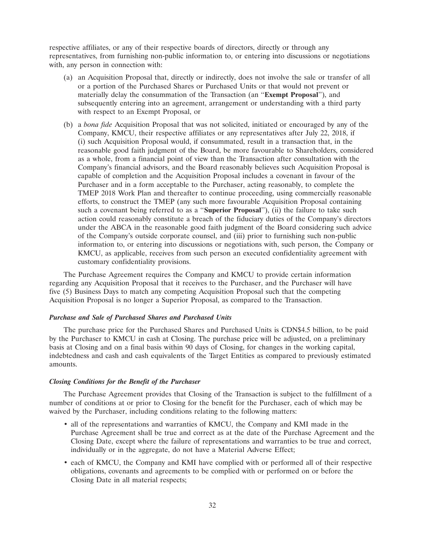respective affiliates, or any of their respective boards of directors, directly or through any representatives, from furnishing non-public information to, or entering into discussions or negotiations with, any person in connection with:

- (a) an Acquisition Proposal that, directly or indirectly, does not involve the sale or transfer of all or a portion of the Purchased Shares or Purchased Units or that would not prevent or materially delay the consummation of the Transaction (an ''**Exempt Proposal**''), and subsequently entering into an agreement, arrangement or understanding with a third party with respect to an Exempt Proposal, or
- (b) a *bona fide* Acquisition Proposal that was not solicited, initiated or encouraged by any of the Company, KMCU, their respective affiliates or any representatives after July 22, 2018, if (i) such Acquisition Proposal would, if consummated, result in a transaction that, in the reasonable good faith judgment of the Board, be more favourable to Shareholders, considered as a whole, from a financial point of view than the Transaction after consultation with the Company's financial advisors, and the Board reasonably believes such Acquisition Proposal is capable of completion and the Acquisition Proposal includes a covenant in favour of the Purchaser and in a form acceptable to the Purchaser, acting reasonably, to complete the TMEP 2018 Work Plan and thereafter to continue proceeding, using commercially reasonable efforts, to construct the TMEP (any such more favourable Acquisition Proposal containing such a covenant being referred to as a ''**Superior Proposal**''), (ii) the failure to take such action could reasonably constitute a breach of the fiduciary duties of the Company's directors under the ABCA in the reasonable good faith judgment of the Board considering such advice of the Company's outside corporate counsel, and (iii) prior to furnishing such non-public information to, or entering into discussions or negotiations with, such person, the Company or KMCU, as applicable, receives from such person an executed confidentiality agreement with customary confidentiality provisions.

The Purchase Agreement requires the Company and KMCU to provide certain information regarding any Acquisition Proposal that it receives to the Purchaser, and the Purchaser will have five (5) Business Days to match any competing Acquisition Proposal such that the competing Acquisition Proposal is no longer a Superior Proposal, as compared to the Transaction.

### *Purchase and Sale of Purchased Shares and Purchased Units*

The purchase price for the Purchased Shares and Purchased Units is CDN\$4.5 billion, to be paid by the Purchaser to KMCU in cash at Closing. The purchase price will be adjusted, on a preliminary basis at Closing and on a final basis within 90 days of Closing, for changes in the working capital, indebtedness and cash and cash equivalents of the Target Entities as compared to previously estimated amounts.

### *Closing Conditions for the Benefit of the Purchaser*

The Purchase Agreement provides that Closing of the Transaction is subject to the fulfillment of a number of conditions at or prior to Closing for the benefit for the Purchaser, each of which may be waived by the Purchaser, including conditions relating to the following matters:

- all of the representations and warranties of KMCU, the Company and KMI made in the Purchase Agreement shall be true and correct as at the date of the Purchase Agreement and the Closing Date, except where the failure of representations and warranties to be true and correct, individually or in the aggregate, do not have a Material Adverse Effect;
- each of KMCU, the Company and KMI have complied with or performed all of their respective obligations, covenants and agreements to be complied with or performed on or before the Closing Date in all material respects;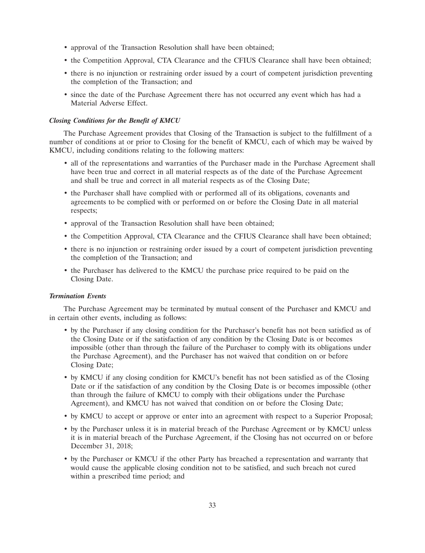- approval of the Transaction Resolution shall have been obtained;
- the Competition Approval, CTA Clearance and the CFIUS Clearance shall have been obtained;
- there is no injunction or restraining order issued by a court of competent jurisdiction preventing the completion of the Transaction; and
- since the date of the Purchase Agreement there has not occurred any event which has had a Material Adverse Effect.

### *Closing Conditions for the Benefit of KMCU*

The Purchase Agreement provides that Closing of the Transaction is subject to the fulfillment of a number of conditions at or prior to Closing for the benefit of KMCU, each of which may be waived by KMCU, including conditions relating to the following matters:

- all of the representations and warranties of the Purchaser made in the Purchase Agreement shall have been true and correct in all material respects as of the date of the Purchase Agreement and shall be true and correct in all material respects as of the Closing Date;
- the Purchaser shall have complied with or performed all of its obligations, covenants and agreements to be complied with or performed on or before the Closing Date in all material respects;
- approval of the Transaction Resolution shall have been obtained;
- the Competition Approval, CTA Clearance and the CFIUS Clearance shall have been obtained;
- there is no injunction or restraining order issued by a court of competent jurisdiction preventing the completion of the Transaction; and
- the Purchaser has delivered to the KMCU the purchase price required to be paid on the Closing Date.

### *Termination Events*

The Purchase Agreement may be terminated by mutual consent of the Purchaser and KMCU and in certain other events, including as follows:

- by the Purchaser if any closing condition for the Purchaser's benefit has not been satisfied as of the Closing Date or if the satisfaction of any condition by the Closing Date is or becomes impossible (other than through the failure of the Purchaser to comply with its obligations under the Purchase Agreement), and the Purchaser has not waived that condition on or before Closing Date;
- by KMCU if any closing condition for KMCU's benefit has not been satisfied as of the Closing Date or if the satisfaction of any condition by the Closing Date is or becomes impossible (other than through the failure of KMCU to comply with their obligations under the Purchase Agreement), and KMCU has not waived that condition on or before the Closing Date;
- by KMCU to accept or approve or enter into an agreement with respect to a Superior Proposal;
- by the Purchaser unless it is in material breach of the Purchase Agreement or by KMCU unless it is in material breach of the Purchase Agreement, if the Closing has not occurred on or before December 31, 2018;
- by the Purchaser or KMCU if the other Party has breached a representation and warranty that would cause the applicable closing condition not to be satisfied, and such breach not cured within a prescribed time period; and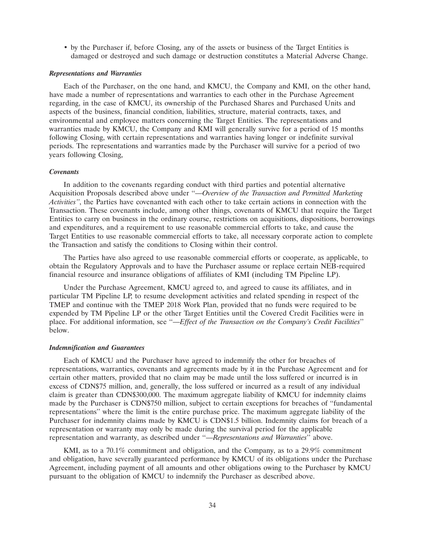• by the Purchaser if, before Closing, any of the assets or business of the Target Entities is damaged or destroyed and such damage or destruction constitutes a Material Adverse Change.

#### *Representations and Warranties*

Each of the Purchaser, on the one hand, and KMCU, the Company and KMI, on the other hand, have made a number of representations and warranties to each other in the Purchase Agreement regarding, in the case of KMCU, its ownership of the Purchased Shares and Purchased Units and aspects of the business, financial condition, liabilities, structure, material contracts, taxes, and environmental and employee matters concerning the Target Entities. The representations and warranties made by KMCU, the Company and KMI will generally survive for a period of 15 months following Closing, with certain representations and warranties having longer or indefinite survival periods. The representations and warranties made by the Purchaser will survive for a period of two years following Closing,

### *Covenants*

In addition to the covenants regarding conduct with third parties and potential alternative Acquisition Proposals described above under ''*—Overview of the Transaction and Permitted Marketing Activities''*, the Parties have covenanted with each other to take certain actions in connection with the Transaction. These covenants include, among other things, covenants of KMCU that require the Target Entities to carry on business in the ordinary course, restrictions on acquisitions, dispositions, borrowings and expenditures, and a requirement to use reasonable commercial efforts to take, and cause the Target Entities to use reasonable commercial efforts to take, all necessary corporate action to complete the Transaction and satisfy the conditions to Closing within their control.

The Parties have also agreed to use reasonable commercial efforts or cooperate, as applicable, to obtain the Regulatory Approvals and to have the Purchaser assume or replace certain NEB-required financial resource and insurance obligations of affiliates of KMI (including TM Pipeline LP).

Under the Purchase Agreement, KMCU agreed to, and agreed to cause its affiliates, and in particular TM Pipeline LP, to resume development activities and related spending in respect of the TMEP and continue with the TMEP 2018 Work Plan, provided that no funds were required to be expended by TM Pipeline LP or the other Target Entities until the Covered Credit Facilities were in place. For additional information, see ''—*Effect of the Transaction on the Company's Credit Facilities*'' below.

#### *Indemnification and Guarantees*

Each of KMCU and the Purchaser have agreed to indemnify the other for breaches of representations, warranties, covenants and agreements made by it in the Purchase Agreement and for certain other matters, provided that no claim may be made until the loss suffered or incurred is in excess of CDN\$75 million, and, generally, the loss suffered or incurred as a result of any individual claim is greater than CDN\$300,000. The maximum aggregate liability of KMCU for indemnity claims made by the Purchaser is CDN\$750 million, subject to certain exceptions for breaches of ''fundamental representations'' where the limit is the entire purchase price. The maximum aggregate liability of the Purchaser for indemnity claims made by KMCU is CDN\$1.5 billion. Indemnity claims for breach of a representation or warranty may only be made during the survival period for the applicable representation and warranty, as described under ''—*Representations and Warranties*'' above.

KMI, as to a 70.1% commitment and obligation, and the Company, as to a 29.9% commitment and obligation, have severally guaranteed performance by KMCU of its obligations under the Purchase Agreement, including payment of all amounts and other obligations owing to the Purchaser by KMCU pursuant to the obligation of KMCU to indemnify the Purchaser as described above.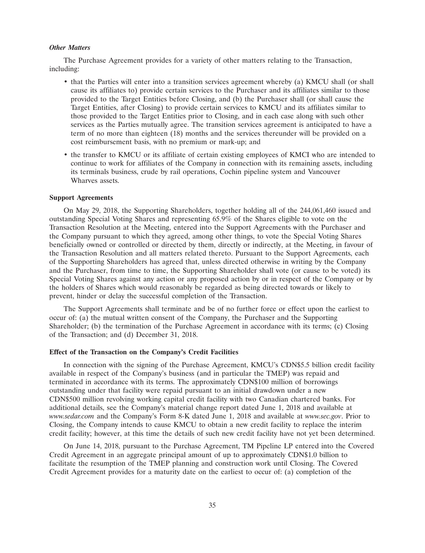### *Other Matters*

The Purchase Agreement provides for a variety of other matters relating to the Transaction, including:

- that the Parties will enter into a transition services agreement whereby (a) KMCU shall (or shall cause its affiliates to) provide certain services to the Purchaser and its affiliates similar to those provided to the Target Entities before Closing, and (b) the Purchaser shall (or shall cause the Target Entities, after Closing) to provide certain services to KMCU and its affiliates similar to those provided to the Target Entities prior to Closing, and in each case along with such other services as the Parties mutually agree. The transition services agreement is anticipated to have a term of no more than eighteen (18) months and the services thereunder will be provided on a cost reimbursement basis, with no premium or mark-up; and
- the transfer to KMCU or its affiliate of certain existing employees of KMCI who are intended to continue to work for affiliates of the Company in connection with its remaining assets, including its terminals business, crude by rail operations, Cochin pipeline system and Vancouver Wharves assets.

### **Support Agreements**

On May 29, 2018, the Supporting Shareholders, together holding all of the 244,061,460 issued and outstanding Special Voting Shares and representing 65.9% of the Shares eligible to vote on the Transaction Resolution at the Meeting, entered into the Support Agreements with the Purchaser and the Company pursuant to which they agreed, among other things, to vote the Special Voting Shares beneficially owned or controlled or directed by them, directly or indirectly, at the Meeting, in favour of the Transaction Resolution and all matters related thereto. Pursuant to the Support Agreements, each of the Supporting Shareholders has agreed that, unless directed otherwise in writing by the Company and the Purchaser, from time to time, the Supporting Shareholder shall vote (or cause to be voted) its Special Voting Shares against any action or any proposed action by or in respect of the Company or by the holders of Shares which would reasonably be regarded as being directed towards or likely to prevent, hinder or delay the successful completion of the Transaction.

The Support Agreements shall terminate and be of no further force or effect upon the earliest to occur of: (a) the mutual written consent of the Company, the Purchaser and the Supporting Shareholder; (b) the termination of the Purchase Agreement in accordance with its terms; (c) Closing of the Transaction; and (d) December 31, 2018.

### **Effect of the Transaction on the Company's Credit Facilities**

In connection with the signing of the Purchase Agreement, KMCU's CDN\$5.5 billion credit facility available in respect of the Company's business (and in particular the TMEP) was repaid and terminated in accordance with its terms. The approximately CDN\$100 million of borrowings outstanding under that facility were repaid pursuant to an initial drawdown under a new CDN\$500 million revolving working capital credit facility with two Canadian chartered banks. For additional details, see the Company's material change report dated June 1, 2018 and available at *www.sedar.com* and the Company's Form 8-K dated June 1, 2018 and available at *www.sec.gov*. Prior to Closing, the Company intends to cause KMCU to obtain a new credit facility to replace the interim credit facility; however, at this time the details of such new credit facility have not yet been determined.

On June 14, 2018, pursuant to the Purchase Agreement, TM Pipeline LP entered into the Covered Credit Agreement in an aggregate principal amount of up to approximately CDN\$1.0 billion to facilitate the resumption of the TMEP planning and construction work until Closing. The Covered Credit Agreement provides for a maturity date on the earliest to occur of: (a) completion of the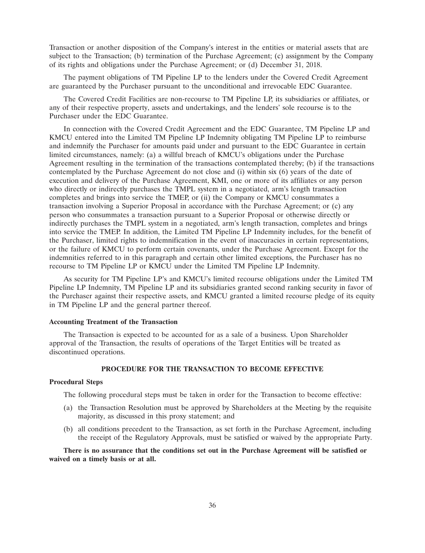Transaction or another disposition of the Company's interest in the entities or material assets that are subject to the Transaction; (b) termination of the Purchase Agreement; (c) assignment by the Company of its rights and obligations under the Purchase Agreement; or (d) December 31, 2018.

The payment obligations of TM Pipeline LP to the lenders under the Covered Credit Agreement are guaranteed by the Purchaser pursuant to the unconditional and irrevocable EDC Guarantee.

The Covered Credit Facilities are non-recourse to TM Pipeline LP, its subsidiaries or affiliates, or any of their respective property, assets and undertakings, and the lenders' sole recourse is to the Purchaser under the EDC Guarantee.

In connection with the Covered Credit Agreement and the EDC Guarantee, TM Pipeline LP and KMCU entered into the Limited TM Pipeline LP Indemnity obligating TM Pipeline LP to reimburse and indemnify the Purchaser for amounts paid under and pursuant to the EDC Guarantee in certain limited circumstances, namely: (a) a willful breach of KMCU's obligations under the Purchase Agreement resulting in the termination of the transactions contemplated thereby; (b) if the transactions contemplated by the Purchase Agreement do not close and (i) within six (6) years of the date of execution and delivery of the Purchase Agreement, KMI, one or more of its affiliates or any person who directly or indirectly purchases the TMPL system in a negotiated, arm's length transaction completes and brings into service the TMEP, or (ii) the Company or KMCU consummates a transaction involving a Superior Proposal in accordance with the Purchase Agreement; or (c) any person who consummates a transaction pursuant to a Superior Proposal or otherwise directly or indirectly purchases the TMPL system in a negotiated, arm's length transaction, completes and brings into service the TMEP. In addition, the Limited TM Pipeline LP Indemnity includes, for the benefit of the Purchaser, limited rights to indemnification in the event of inaccuracies in certain representations, or the failure of KMCU to perform certain covenants, under the Purchase Agreement. Except for the indemnities referred to in this paragraph and certain other limited exceptions, the Purchaser has no recourse to TM Pipeline LP or KMCU under the Limited TM Pipeline LP Indemnity.

As security for TM Pipeline LP's and KMCU's limited recourse obligations under the Limited TM Pipeline LP Indemnity, TM Pipeline LP and its subsidiaries granted second ranking security in favor of the Purchaser against their respective assets, and KMCU granted a limited recourse pledge of its equity in TM Pipeline LP and the general partner thereof.

### **Accounting Treatment of the Transaction**

The Transaction is expected to be accounted for as a sale of a business. Upon Shareholder approval of the Transaction, the results of operations of the Target Entities will be treated as discontinued operations.

# **PROCEDURE FOR THE TRANSACTION TO BECOME EFFECTIVE**

## **Procedural Steps**

The following procedural steps must be taken in order for the Transaction to become effective:

- (a) the Transaction Resolution must be approved by Shareholders at the Meeting by the requisite majority, as discussed in this proxy statement; and
- (b) all conditions precedent to the Transaction, as set forth in the Purchase Agreement, including the receipt of the Regulatory Approvals, must be satisfied or waived by the appropriate Party.

**There is no assurance that the conditions set out in the Purchase Agreement will be satisfied or waived on a timely basis or at all.**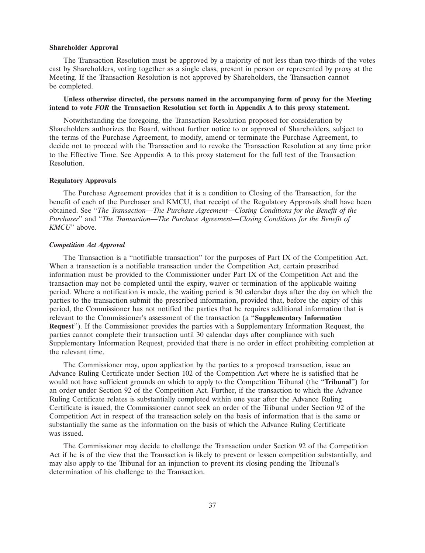#### **Shareholder Approval**

The Transaction Resolution must be approved by a majority of not less than two-thirds of the votes cast by Shareholders, voting together as a single class, present in person or represented by proxy at the Meeting. If the Transaction Resolution is not approved by Shareholders, the Transaction cannot be completed.

### **Unless otherwise directed, the persons named in the accompanying form of proxy for the Meeting intend to vote** *FOR* **the Transaction Resolution set forth in Appendix A to this proxy statement.**

Notwithstanding the foregoing, the Transaction Resolution proposed for consideration by Shareholders authorizes the Board, without further notice to or approval of Shareholders, subject to the terms of the Purchase Agreement, to modify, amend or terminate the Purchase Agreement, to decide not to proceed with the Transaction and to revoke the Transaction Resolution at any time prior to the Effective Time. See Appendix A to this proxy statement for the full text of the Transaction Resolution.

### **Regulatory Approvals**

The Purchase Agreement provides that it is a condition to Closing of the Transaction, for the benefit of each of the Purchaser and KMCU, that receipt of the Regulatory Approvals shall have been obtained. See ''*The Transaction—The Purchase Agreement—Closing Conditions for the Benefit of the Purchaser*'' and ''*The Transaction—The Purchase Agreement—Closing Conditions for the Benefit of KMCU*'' above.

#### *Competition Act Approval*

The Transaction is a ''notifiable transaction'' for the purposes of Part IX of the Competition Act. When a transaction is a notifiable transaction under the Competition Act, certain prescribed information must be provided to the Commissioner under Part IX of the Competition Act and the transaction may not be completed until the expiry, waiver or termination of the applicable waiting period. Where a notification is made, the waiting period is 30 calendar days after the day on which the parties to the transaction submit the prescribed information, provided that, before the expiry of this period, the Commissioner has not notified the parties that he requires additional information that is relevant to the Commissioner's assessment of the transaction (a ''**Supplementary Information Request**''). If the Commissioner provides the parties with a Supplementary Information Request, the parties cannot complete their transaction until 30 calendar days after compliance with such Supplementary Information Request, provided that there is no order in effect prohibiting completion at the relevant time.

The Commissioner may, upon application by the parties to a proposed transaction, issue an Advance Ruling Certificate under Section 102 of the Competition Act where he is satisfied that he would not have sufficient grounds on which to apply to the Competition Tribunal (the ''**Tribunal**'') for an order under Section 92 of the Competition Act. Further, if the transaction to which the Advance Ruling Certificate relates is substantially completed within one year after the Advance Ruling Certificate is issued, the Commissioner cannot seek an order of the Tribunal under Section 92 of the Competition Act in respect of the transaction solely on the basis of information that is the same or substantially the same as the information on the basis of which the Advance Ruling Certificate was issued.

The Commissioner may decide to challenge the Transaction under Section 92 of the Competition Act if he is of the view that the Transaction is likely to prevent or lessen competition substantially, and may also apply to the Tribunal for an injunction to prevent its closing pending the Tribunal's determination of his challenge to the Transaction.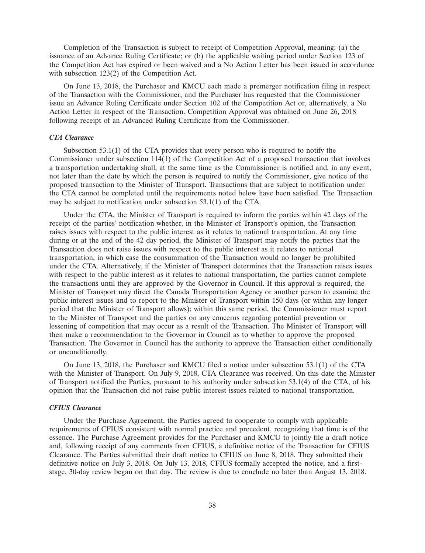Completion of the Transaction is subject to receipt of Competition Approval, meaning: (a) the issuance of an Advance Ruling Certificate; or (b) the applicable waiting period under Section 123 of the Competition Act has expired or been waived and a No Action Letter has been issued in accordance with subsection 123(2) of the Competition Act.

On June 13, 2018, the Purchaser and KMCU each made a premerger notification filing in respect of the Transaction with the Commissioner, and the Purchaser has requested that the Commissioner issue an Advance Ruling Certificate under Section 102 of the Competition Act or, alternatively, a No Action Letter in respect of the Transaction. Competition Approval was obtained on June 26, 2018 following receipt of an Advanced Ruling Certificate from the Commissioner.

### *CTA Clearance*

Subsection 53.1(1) of the CTA provides that every person who is required to notify the Commissioner under subsection  $114(1)$  of the Competition Act of a proposed transaction that involves a transportation undertaking shall, at the same time as the Commissioner is notified and, in any event, not later than the date by which the person is required to notify the Commissioner, give notice of the proposed transaction to the Minister of Transport. Transactions that are subject to notification under the CTA cannot be completed until the requirements noted below have been satisfied. The Transaction may be subject to notification under subsection 53.1(1) of the CTA.

Under the CTA, the Minister of Transport is required to inform the parties within 42 days of the receipt of the parties' notification whether, in the Minister of Transport's opinion, the Transaction raises issues with respect to the public interest as it relates to national transportation. At any time during or at the end of the 42 day period, the Minister of Transport may notify the parties that the Transaction does not raise issues with respect to the public interest as it relates to national transportation, in which case the consummation of the Transaction would no longer be prohibited under the CTA. Alternatively, if the Minister of Transport determines that the Transaction raises issues with respect to the public interest as it relates to national transportation, the parties cannot complete the transactions until they are approved by the Governor in Council. If this approval is required, the Minister of Transport may direct the Canada Transportation Agency or another person to examine the public interest issues and to report to the Minister of Transport within 150 days (or within any longer period that the Minister of Transport allows); within this same period, the Commissioner must report to the Minister of Transport and the parties on any concerns regarding potential prevention or lessening of competition that may occur as a result of the Transaction. The Minister of Transport will then make a recommendation to the Governor in Council as to whether to approve the proposed Transaction. The Governor in Council has the authority to approve the Transaction either conditionally or unconditionally.

On June 13, 2018, the Purchaser and KMCU filed a notice under subsection 53.1(1) of the CTA with the Minister of Transport. On July 9, 2018, CTA Clearance was received. On this date the Minister of Transport notified the Parties, pursuant to his authority under subsection 53.1(4) of the CTA, of his opinion that the Transaction did not raise public interest issues related to national transportation.

### *CFIUS Clearance*

Under the Purchase Agreement, the Parties agreed to cooperate to comply with applicable requirements of CFIUS consistent with normal practice and precedent, recognizing that time is of the essence. The Purchase Agreement provides for the Purchaser and KMCU to jointly file a draft notice and, following receipt of any comments from CFIUS, a definitive notice of the Transaction for CFIUS Clearance. The Parties submitted their draft notice to CFIUS on June 8, 2018. They submitted their definitive notice on July 3, 2018. On July 13, 2018, CFIUS formally accepted the notice, and a firststage, 30-day review began on that day. The review is due to conclude no later than August 13, 2018.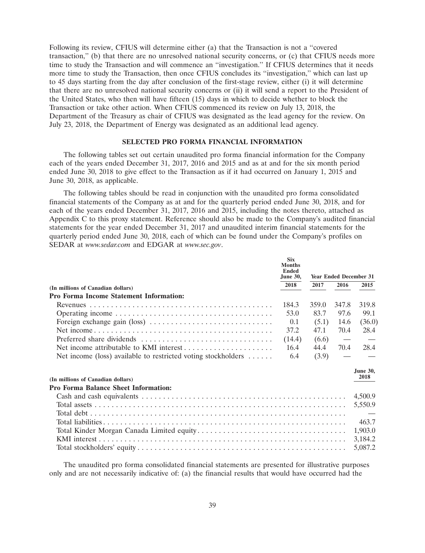Following its review, CFIUS will determine either (a) that the Transaction is not a ''covered transaction,'' (b) that there are no unresolved national security concerns, or (c) that CFIUS needs more time to study the Transaction and will commence an ''investigation.'' If CFIUS determines that it needs more time to study the Transaction, then once CFIUS concludes its ''investigation,'' which can last up to 45 days starting from the day after conclusion of the first-stage review, either (i) it will determine that there are no unresolved national security concerns or (ii) it will send a report to the President of the United States, who then will have fifteen (15) days in which to decide whether to block the Transaction or take other action. When CFIUS commenced its review on July 13, 2018, the Department of the Treasury as chair of CFIUS was designated as the lead agency for the review. On July 23, 2018, the Department of Energy was designated as an additional lead agency.

### **SELECTED PRO FORMA FINANCIAL INFORMATION**

The following tables set out certain unaudited pro forma financial information for the Company each of the years ended December 31, 2017, 2016 and 2015 and as at and for the six month period ended June 30, 2018 to give effect to the Transaction as if it had occurred on January 1, 2015 and June 30, 2018, as applicable.

The following tables should be read in conjunction with the unaudited pro forma consolidated financial statements of the Company as at and for the quarterly period ended June 30, 2018, and for each of the years ended December 31, 2017, 2016 and 2015, including the notes thereto, attached as Appendix C to this proxy statement. Reference should also be made to the Company's audited financial statements for the year ended December 31, 2017 and unaudited interim financial statements for the quarterly period ended June 30, 2018, each of which can be found under the Company's profiles on SEDAR at *www.sedar.com* and EDGAR at *www.sec.gov*.

|                                                                                      | <b>Six</b><br><b>Months</b><br><b>Ended</b><br><b>June 30,</b> |       |       | <b>Year Ended December 31</b> |
|--------------------------------------------------------------------------------------|----------------------------------------------------------------|-------|-------|-------------------------------|
| (In millions of Canadian dollars)                                                    | 2018                                                           | 2017  | 2016  | 2015                          |
| <b>Pro Forma Income Statement Information:</b>                                       |                                                                |       |       |                               |
|                                                                                      | 184.3                                                          | 359.0 | 347.8 | 319.8                         |
|                                                                                      | 53.0                                                           | 83.7  | 97.6  | 99.1                          |
| Foreign exchange gain (loss) $\dots \dots \dots \dots \dots \dots \dots \dots \dots$ | 0.1                                                            | (5.1) | 14.6  | (36.0)                        |
|                                                                                      | 37.2                                                           | 47.1  | 70.4  | 28.4                          |
|                                                                                      | (14.4)                                                         | (6.6) |       |                               |
| Net income attributable to KMI interest $\dots \dots \dots \dots \dots \dots \dots$  | 16.4                                                           | 44.4  | 70.4  | 28.4                          |
| Net income (loss) available to restricted voting stockholders $\dots \dots$          | 6.4                                                            | (3.9) |       |                               |
| (In millions of Canadian dollars)                                                    |                                                                |       |       | <b>June 30,</b><br>2018       |
| <b>Pro Forma Balance Sheet Information:</b>                                          |                                                                |       |       |                               |
|                                                                                      |                                                                |       |       | 4,500.9                       |
|                                                                                      |                                                                |       |       | 5,550.9                       |
|                                                                                      |                                                                |       |       |                               |
|                                                                                      |                                                                |       |       | 463.7                         |
|                                                                                      |                                                                |       |       | 1,903.0                       |
|                                                                                      |                                                                |       |       | 3,184.2                       |
|                                                                                      |                                                                |       |       | 5,087.2                       |

The unaudited pro forma consolidated financial statements are presented for illustrative purposes only and are not necessarily indicative of: (a) the financial results that would have occurred had the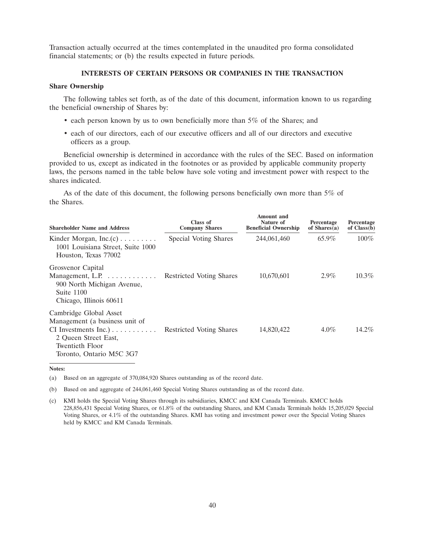Transaction actually occurred at the times contemplated in the unaudited pro forma consolidated financial statements; or (b) the results expected in future periods.

# **INTERESTS OF CERTAIN PERSONS OR COMPANIES IN THE TRANSACTION**

### **Share Ownership**

The following tables set forth, as of the date of this document, information known to us regarding the beneficial ownership of Shares by:

- each person known by us to own beneficially more than 5% of the Shares; and
- each of our directors, each of our executive officers and all of our directors and executive officers as a group.

Beneficial ownership is determined in accordance with the rules of the SEC. Based on information provided to us, except as indicated in the footnotes or as provided by applicable community property laws, the persons named in the table below have sole voting and investment power with respect to the shares indicated.

As of the date of this document, the following persons beneficially own more than 5% of the Shares.

| <b>Shareholder Name and Address</b>                                                                                                                                              | Class of<br><b>Company Shares</b> | <b>Amount</b> and<br>Nature of<br><b>Beneficial Ownership</b> | Percentage<br>of $Shares(a)$ | Percentage<br>of $Class(b)$ |
|----------------------------------------------------------------------------------------------------------------------------------------------------------------------------------|-----------------------------------|---------------------------------------------------------------|------------------------------|-----------------------------|
| Kinder Morgan, $Inc(c) \ldots \ldots$<br>1001 Louisiana Street, Suite 1000<br>Houston, Texas 77002                                                                               | Special Voting Shares             | 244,061,460                                                   | 65.9%                        | $100\%$                     |
| Grosvenor Capital<br>Management, L.P.<br>900 North Michigan Avenue,<br>Suite 1100<br>Chicago, Illinois 60611                                                                     | <b>Restricted Voting Shares</b>   | 10,670,601                                                    | $2.9\%$                      | $10.3\%$                    |
| Cambridge Global Asset<br>Management (a business unit of<br>$CI$ Investments Inc.) $\ldots \ldots \ldots$<br>2 Oueen Street East,<br>Twentieth Floor<br>Toronto, Ontario M5C 3G7 | <b>Restricted Voting Shares</b>   | 14,820,422                                                    | $4.0\%$                      | $14.2\%$                    |

**Notes:**

(a) Based on an aggregate of 370,084,920 Shares outstanding as of the record date.

(b) Based on and aggregate of 244,061,460 Special Voting Shares outstanding as of the record date.

(c) KMI holds the Special Voting Shares through its subsidiaries, KMCC and KM Canada Terminals. KMCC holds 228,856,431 Special Voting Shares, or 61.8% of the outstanding Shares, and KM Canada Terminals holds 15,205,029 Special Voting Shares, or 4.1% of the outstanding Shares. KMI has voting and investment power over the Special Voting Shares held by KMCC and KM Canada Terminals.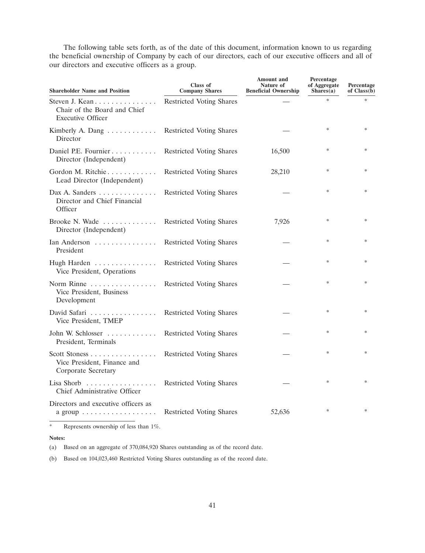The following table sets forth, as of the date of this document, information known to us regarding the beneficial ownership of Company by each of our directors, each of our executive officers and all of our directors and executive officers as a group.

| <b>Shareholder Name and Position</b>                                          | Class of<br><b>Company Shares</b> | <b>Amount and</b><br>Nature of<br><b>Beneficial Ownership</b> | Percentage<br>of Aggregate<br>Shares(a) | Percentage<br>of $Class(b)$ |
|-------------------------------------------------------------------------------|-----------------------------------|---------------------------------------------------------------|-----------------------------------------|-----------------------------|
| Steven J. Kean<br>Chair of the Board and Chief<br><b>Executive Officer</b>    | <b>Restricted Voting Shares</b>   |                                                               | ×.                                      | ×.                          |
| Kimberly A. Dang<br>Director                                                  | Restricted Voting Shares          |                                                               | ∗                                       |                             |
| Daniel P.E. Fournier<br>Director (Independent)                                | Restricted Voting Shares          | 16,500                                                        | ∗                                       |                             |
| Gordon M. Ritchie<br>Lead Director (Independent)                              | <b>Restricted Voting Shares</b>   | 28,210                                                        | $\ast$                                  |                             |
| Dax A. Sanders $\dots \dots \dots$<br>Director and Chief Financial<br>Officer | <b>Restricted Voting Shares</b>   |                                                               | ∗                                       | ∗                           |
| Brooke N. Wade<br>Director (Independent)                                      | <b>Restricted Voting Shares</b>   | 7,926                                                         | ∗                                       |                             |
| Ian Anderson<br>President                                                     | Restricted Voting Shares          |                                                               | $\ast$                                  |                             |
| Hugh Harden<br>Vice President, Operations                                     | Restricted Voting Shares          |                                                               | $\ast$                                  |                             |
| Norm Rinne<br>Vice President, Business<br>Development                         | <b>Restricted Voting Shares</b>   |                                                               | $\ast$                                  |                             |
| David Safari<br>Vice President, TMEP                                          | <b>Restricted Voting Shares</b>   |                                                               | *                                       | $\ast$                      |
| John W. Schlosser<br>President, Terminals                                     | <b>Restricted Voting Shares</b>   |                                                               | $\ast$                                  | $\ast$                      |
| Scott Stoness<br>Vice President, Finance and<br>Corporate Secretary           | Restricted Voting Shares          |                                                               | $\ast$                                  | ∗                           |
| Lisa Shorb<br>Chief Administrative Officer                                    | Restricted Voting Shares          |                                                               | $\ast$                                  |                             |
| Directors and executive officers as                                           | <b>Restricted Voting Shares</b>   | 52,636                                                        | $\ast$                                  | ×,                          |

\* Represents ownership of less than 1%.

### **Notes:**

(a) Based on an aggregate of 370,084,920 Shares outstanding as of the record date.

(b) Based on 104,023,460 Restricted Voting Shares outstanding as of the record date.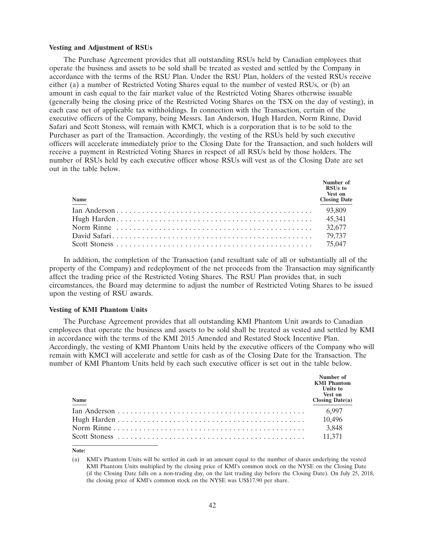#### **Vesting and Adjustment of RSUs**

The Purchase Agreement provides that all outstanding RSUs held by Canadian employees that operate the business and assets to be sold shall be treated as vested and settled by the Company in accordance with the terms of the RSU Plan. Under the RSU Plan, holders of the vested RSUs receive either (a) a number of Restricted Voting Shares equal to the number of vested RSUs, or (b) an amount in cash equal to the fair market value of the Restricted Voting Shares otherwise issuable (generally being the closing price of the Restricted Voting Shares on the TSX on the day of vesting), in each case net of applicable tax withholdings. In connection with the Transaction, certain of the executive officers of the Company, being Messrs. Ian Anderson, Hugh Harden, Norm Rinne, David Safari and Scott Stoness, will remain with KMCI, which is a corporation that is to be sold to the Purchaser as part of the Transaction. Accordingly, the vesting of the RSUs held by such executive officers will accelerate immediately prior to the Closing Date for the Transaction, and such holders will receive a payment in Restricted Voting Shares in respect of all RSUs held by those holders. The number of RSUs held by each executive officer whose RSUs will vest as of the Closing Date are set out in the table below.

| Name | Number of<br>RSU <sub>s</sub> to<br>Vest on<br><b>Closing Date</b> |
|------|--------------------------------------------------------------------|
|      |                                                                    |
|      |                                                                    |
|      |                                                                    |
|      |                                                                    |
|      |                                                                    |

In addition, the completion of the Transaction (and resultant sale of all or substantially all of the property of the Company) and redeployment of the net proceeds from the Transaction may significantly affect the trading price of the Restricted Voting Shares. The RSU Plan provides that, in such circumstances, the Board may determine to adjust the number of Restricted Voting Shares to be issued upon the vesting of RSU awards.

### **Vesting of KMI Phantom Units**

The Purchase Agreement provides that all outstanding KMI Phantom Unit awards to Canadian employees that operate the business and assets to be sold shall be treated as vested and settled by KMI in accordance with the terms of the KMI 2015 Amended and Restated Stock Incentive Plan. Accordingly, the vesting of KMI Phantom Units held by the executive officers of the Company who will remain with KMCI will accelerate and settle for cash as of the Closing Date for the Transaction. The number of KMI Phantom Units held by each such executive officer is set out in the table below.

| Name | Number of<br><b>KMI</b> Phantom<br>Units to<br>Vest on<br><b>Closing Date(a)</b> |
|------|----------------------------------------------------------------------------------|
|      | 6,997                                                                            |
|      | 10,496                                                                           |
|      | 3,848                                                                            |
|      | 11,371                                                                           |

**Note:**

<sup>(</sup>a) KMI's Phantom Units will be settled in cash in an amount equal to the number of shares underlying the vested KMI Phantom Units multiplied by the closing price of KMI's common stock on the NYSE on the Closing Date (if the Closing Date falls on a non-trading day, on the last trading day before the Closing Date). On July 25, 2018, the closing price of KMI's common stock on the NYSE was US\$17.90 per share.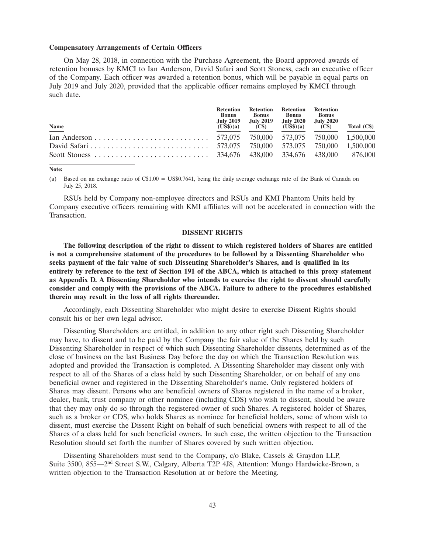#### **Compensatory Arrangements of Certain Officers**

On May 28, 2018, in connection with the Purchase Agreement, the Board approved awards of retention bonuses by KMCI to Ian Anderson, David Safari and Scott Stoness, each an executive officer of the Company. Each officer was awarded a retention bonus, which will be payable in equal parts on July 2019 and July 2020, provided that the applicable officer remains employed by KMCI through such date.

| <b>Name</b> | <b>Retention</b><br><b>Bonus</b><br><b>July 2019</b><br>(US\$)(a) | <b>Bonus</b><br>July 2019<br>(C\$) | Retention Retention<br><b>Bonus</b><br><b>July 2020</b><br>$(US\$)(a)$ | Retention<br><b>Bonus</b><br><b>July 2020</b><br>(C <sub>s</sub> ) | Total $(Cs)$ |
|-------------|-------------------------------------------------------------------|------------------------------------|------------------------------------------------------------------------|--------------------------------------------------------------------|--------------|
|             |                                                                   |                                    |                                                                        |                                                                    |              |
|             |                                                                   |                                    |                                                                        |                                                                    |              |
|             |                                                                   |                                    |                                                                        |                                                                    |              |

#### **Note:**

(a) Based on an exchange ratio of C\$1.00 = US\$0.7641, being the daily average exchange rate of the Bank of Canada on July 25, 2018.

RSUs held by Company non-employee directors and RSUs and KMI Phantom Units held by Company executive officers remaining with KMI affiliates will not be accelerated in connection with the Transaction.

### **DISSENT RIGHTS**

**The following description of the right to dissent to which registered holders of Shares are entitled is not a comprehensive statement of the procedures to be followed by a Dissenting Shareholder who seeks payment of the fair value of such Dissenting Shareholder's Shares, and is qualified in its entirety by reference to the text of Section 191 of the ABCA, which is attached to this proxy statement as Appendix D. A Dissenting Shareholder who intends to exercise the right to dissent should carefully consider and comply with the provisions of the ABCA. Failure to adhere to the procedures established therein may result in the loss of all rights thereunder.**

Accordingly, each Dissenting Shareholder who might desire to exercise Dissent Rights should consult his or her own legal advisor.

Dissenting Shareholders are entitled, in addition to any other right such Dissenting Shareholder may have, to dissent and to be paid by the Company the fair value of the Shares held by such Dissenting Shareholder in respect of which such Dissenting Shareholder dissents, determined as of the close of business on the last Business Day before the day on which the Transaction Resolution was adopted and provided the Transaction is completed. A Dissenting Shareholder may dissent only with respect to all of the Shares of a class held by such Dissenting Shareholder, or on behalf of any one beneficial owner and registered in the Dissenting Shareholder's name. Only registered holders of Shares may dissent. Persons who are beneficial owners of Shares registered in the name of a broker, dealer, bank, trust company or other nominee (including CDS) who wish to dissent, should be aware that they may only do so through the registered owner of such Shares. A registered holder of Shares, such as a broker or CDS, who holds Shares as nominee for beneficial holders, some of whom wish to dissent, must exercise the Dissent Right on behalf of such beneficial owners with respect to all of the Shares of a class held for such beneficial owners. In such case, the written objection to the Transaction Resolution should set forth the number of Shares covered by such written objection.

Dissenting Shareholders must send to the Company, c/o Blake, Cassels & Graydon LLP, Suite 3500, 855—2nd Street S.W., Calgary, Alberta T2P 4J8, Attention: Mungo Hardwicke-Brown, a written objection to the Transaction Resolution at or before the Meeting.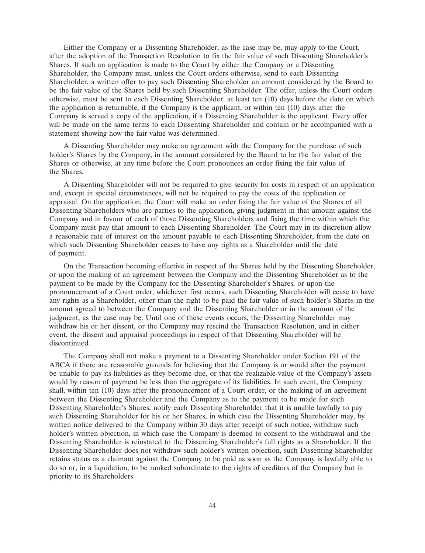Either the Company or a Dissenting Shareholder, as the case may be, may apply to the Court, after the adoption of the Transaction Resolution to fix the fair value of such Dissenting Shareholder's Shares. If such an application is made to the Court by either the Company or a Dissenting Shareholder, the Company must, unless the Court orders otherwise, send to each Dissenting Shareholder, a written offer to pay such Dissenting Shareholder an amount considered by the Board to be the fair value of the Shares held by such Dissenting Shareholder. The offer, unless the Court orders otherwise, must be sent to each Dissenting Shareholder, at least ten (10) days before the date on which the application is returnable, if the Company is the applicant, or within ten (10) days after the Company is served a copy of the application, if a Dissenting Shareholder is the applicant. Every offer will be made on the same terms to each Dissenting Shareholder and contain or be accompanied with a statement showing how the fair value was determined.

A Dissenting Shareholder may make an agreement with the Company for the purchase of such holder's Shares by the Company, in the amount considered by the Board to be the fair value of the Shares or otherwise, at any time before the Court pronounces an order fixing the fair value of the Shares.

A Dissenting Shareholder will not be required to give security for costs in respect of an application and, except in special circumstances, will not be required to pay the costs of the application or appraisal. On the application, the Court will make an order fixing the fair value of the Shares of all Dissenting Shareholders who are parties to the application, giving judgment in that amount against the Company and in favour of each of those Dissenting Shareholders and fixing the time within which the Company must pay that amount to each Dissenting Shareholder. The Court may in its discretion allow a reasonable rate of interest on the amount payable to each Dissenting Shareholder, from the date on which such Dissenting Shareholder ceases to have any rights as a Shareholder until the date of payment.

On the Transaction becoming effective in respect of the Shares held by the Dissenting Shareholder, or upon the making of an agreement between the Company and the Dissenting Shareholder as to the payment to be made by the Company for the Dissenting Shareholder's Shares, or upon the pronouncement of a Court order, whichever first occurs, such Dissenting Shareholder will cease to have any rights as a Shareholder, other than the right to be paid the fair value of such holder's Shares in the amount agreed to between the Company and the Dissenting Shareholder or in the amount of the judgment, as the case may be. Until one of these events occurs, the Dissenting Shareholder may withdraw his or her dissent, or the Company may rescind the Transaction Resolution, and in either event, the dissent and appraisal proceedings in respect of that Dissenting Shareholder will be discontinued.

The Company shall not make a payment to a Dissenting Shareholder under Section 191 of the ABCA if there are reasonable grounds for believing that the Company is or would after the payment be unable to pay its liabilities as they become due, or that the realizable value of the Company's assets would by reason of payment be less than the aggregate of its liabilities. In such event, the Company shall, within ten (10) days after the pronouncement of a Court order, or the making of an agreement between the Dissenting Shareholder and the Company as to the payment to be made for such Dissenting Shareholder's Shares, notify each Dissenting Shareholder that it is unable lawfully to pay such Dissenting Shareholder for his or her Shares, in which case the Dissenting Shareholder may, by written notice delivered to the Company within 30 days after receipt of such notice, withdraw such holder's written objection, in which case the Company is deemed to consent to the withdrawal and the Dissenting Shareholder is reinstated to the Dissenting Shareholder's full rights as a Shareholder. If the Dissenting Shareholder does not withdraw such holder's written objection, such Dissenting Shareholder retains status as a claimant against the Company to be paid as soon as the Company is lawfully able to do so or, in a liquidation, to be ranked subordinate to the rights of creditors of the Company but in priority to its Shareholders.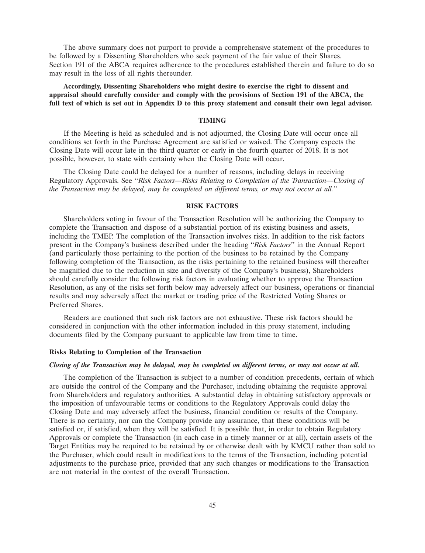The above summary does not purport to provide a comprehensive statement of the procedures to be followed by a Dissenting Shareholders who seek payment of the fair value of their Shares. Section 191 of the ABCA requires adherence to the procedures established therein and failure to do so may result in the loss of all rights thereunder.

**Accordingly, Dissenting Shareholders who might desire to exercise the right to dissent and appraisal should carefully consider and comply with the provisions of Section 191 of the ABCA, the full text of which is set out in Appendix D to this proxy statement and consult their own legal advisor.**

### **TIMING**

If the Meeting is held as scheduled and is not adjourned, the Closing Date will occur once all conditions set forth in the Purchase Agreement are satisfied or waived. The Company expects the Closing Date will occur late in the third quarter or early in the fourth quarter of 2018. It is not possible, however, to state with certainty when the Closing Date will occur.

The Closing Date could be delayed for a number of reasons, including delays in receiving Regulatory Approvals. See ''*Risk Factors—Risks Relating to Completion of the Transaction—Closing of the Transaction may be delayed, may be completed on different terms, or may not occur at all.*''

### **RISK FACTORS**

Shareholders voting in favour of the Transaction Resolution will be authorizing the Company to complete the Transaction and dispose of a substantial portion of its existing business and assets, including the TMEP. The completion of the Transaction involves risks. In addition to the risk factors present in the Company's business described under the heading ''*Risk Factors*'' in the Annual Report (and particularly those pertaining to the portion of the business to be retained by the Company following completion of the Transaction, as the risks pertaining to the retained business will thereafter be magnified due to the reduction in size and diversity of the Company's business), Shareholders should carefully consider the following risk factors in evaluating whether to approve the Transaction Resolution, as any of the risks set forth below may adversely affect our business, operations or financial results and may adversely affect the market or trading price of the Restricted Voting Shares or Preferred Shares.

Readers are cautioned that such risk factors are not exhaustive. These risk factors should be considered in conjunction with the other information included in this proxy statement, including documents filed by the Company pursuant to applicable law from time to time.

### **Risks Relating to Completion of the Transaction**

#### *Closing of the Transaction may be delayed, may be completed on different terms, or may not occur at all.*

The completion of the Transaction is subject to a number of condition precedents, certain of which are outside the control of the Company and the Purchaser, including obtaining the requisite approval from Shareholders and regulatory authorities. A substantial delay in obtaining satisfactory approvals or the imposition of unfavourable terms or conditions to the Regulatory Approvals could delay the Closing Date and may adversely affect the business, financial condition or results of the Company. There is no certainty, nor can the Company provide any assurance, that these conditions will be satisfied or, if satisfied, when they will be satisfied. It is possible that, in order to obtain Regulatory Approvals or complete the Transaction (in each case in a timely manner or at all), certain assets of the Target Entities may be required to be retained by or otherwise dealt with by KMCU rather than sold to the Purchaser, which could result in modifications to the terms of the Transaction, including potential adjustments to the purchase price, provided that any such changes or modifications to the Transaction are not material in the context of the overall Transaction.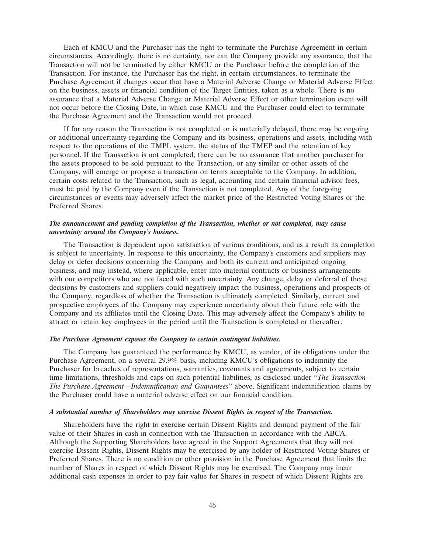Each of KMCU and the Purchaser has the right to terminate the Purchase Agreement in certain circumstances. Accordingly, there is no certainty, nor can the Company provide any assurance, that the Transaction will not be terminated by either KMCU or the Purchaser before the completion of the Transaction. For instance, the Purchaser has the right, in certain circumstances, to terminate the Purchase Agreement if changes occur that have a Material Adverse Change or Material Adverse Effect on the business, assets or financial condition of the Target Entities, taken as a whole. There is no assurance that a Material Adverse Change or Material Adverse Effect or other termination event will not occur before the Closing Date, in which case KMCU and the Purchaser could elect to terminate the Purchase Agreement and the Transaction would not proceed.

If for any reason the Transaction is not completed or is materially delayed, there may be ongoing or additional uncertainty regarding the Company and its business, operations and assets, including with respect to the operations of the TMPL system, the status of the TMEP and the retention of key personnel. If the Transaction is not completed, there can be no assurance that another purchaser for the assets proposed to be sold pursuant to the Transaction, or any similar or other assets of the Company, will emerge or propose a transaction on terms acceptable to the Company. In addition, certain costs related to the Transaction, such as legal, accounting and certain financial advisor fees, must be paid by the Company even if the Transaction is not completed. Any of the foregoing circumstances or events may adversely affect the market price of the Restricted Voting Shares or the Preferred Shares.

### *The announcement and pending completion of the Transaction, whether or not completed, may cause uncertainty around the Company's business.*

The Transaction is dependent upon satisfaction of various conditions, and as a result its completion is subject to uncertainty. In response to this uncertainty, the Company's customers and suppliers may delay or defer decisions concerning the Company and both its current and anticipated ongoing business, and may instead, where applicable, enter into material contracts or business arrangements with our competitors who are not faced with such uncertainty. Any change, delay or deferral of those decisions by customers and suppliers could negatively impact the business, operations and prospects of the Company, regardless of whether the Transaction is ultimately completed. Similarly, current and prospective employees of the Company may experience uncertainty about their future role with the Company and its affiliates until the Closing Date. This may adversely affect the Company's ability to attract or retain key employees in the period until the Transaction is completed or thereafter.

### *The Purchase Agreement exposes the Company to certain contingent liabilities.*

The Company has guaranteed the performance by KMCU, as vendor, of its obligations under the Purchase Agreement, on a several 29.9% basis, including KMCU's obligations to indemnify the Purchaser for breaches of representations, warranties, covenants and agreements, subject to certain time limitations, thresholds and caps on such potential liabilities, as disclosed under ''*The Transaction— The Purchase Agreement—Indemnification and Guarantees*'' above. Significant indemnification claims by the Purchaser could have a material adverse effect on our financial condition.

### *A substantial number of Shareholders may exercise Dissent Rights in respect of the Transaction.*

Shareholders have the right to exercise certain Dissent Rights and demand payment of the fair value of their Shares in cash in connection with the Transaction in accordance with the ABCA. Although the Supporting Shareholders have agreed in the Support Agreements that they will not exercise Dissent Rights, Dissent Rights may be exercised by any holder of Restricted Voting Shares or Preferred Shares. There is no condition or other provision in the Purchase Agreement that limits the number of Shares in respect of which Dissent Rights may be exercised. The Company may incur additional cash expenses in order to pay fair value for Shares in respect of which Dissent Rights are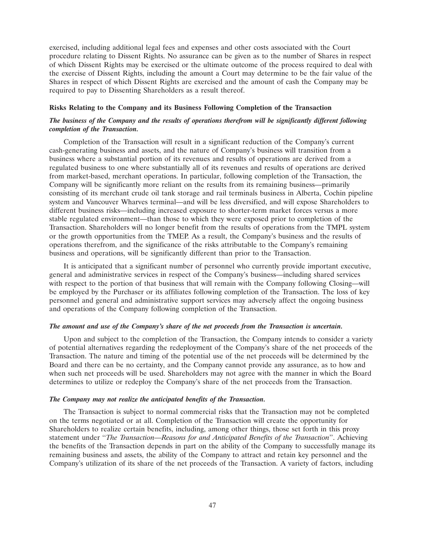exercised, including additional legal fees and expenses and other costs associated with the Court procedure relating to Dissent Rights. No assurance can be given as to the number of Shares in respect of which Dissent Rights may be exercised or the ultimate outcome of the process required to deal with the exercise of Dissent Rights, including the amount a Court may determine to be the fair value of the Shares in respect of which Dissent Rights are exercised and the amount of cash the Company may be required to pay to Dissenting Shareholders as a result thereof.

# **Risks Relating to the Company and its Business Following Completion of the Transaction**

# *The business of the Company and the results of operations therefrom will be significantly different following completion of the Transaction.*

Completion of the Transaction will result in a significant reduction of the Company's current cash-generating business and assets, and the nature of Company's business will transition from a business where a substantial portion of its revenues and results of operations are derived from a regulated business to one where substantially all of its revenues and results of operations are derived from market-based, merchant operations. In particular, following completion of the Transaction, the Company will be significantly more reliant on the results from its remaining business—primarily consisting of its merchant crude oil tank storage and rail terminals business in Alberta, Cochin pipeline system and Vancouver Wharves terminal—and will be less diversified, and will expose Shareholders to different business risks—including increased exposure to shorter-term market forces versus a more stable regulated environment—than those to which they were exposed prior to completion of the Transaction. Shareholders will no longer benefit from the results of operations from the TMPL system or the growth opportunities from the TMEP. As a result, the Company's business and the results of operations therefrom, and the significance of the risks attributable to the Company's remaining business and operations, will be significantly different than prior to the Transaction.

It is anticipated that a significant number of personnel who currently provide important executive, general and administrative services in respect of the Company's business—including shared services with respect to the portion of that business that will remain with the Company following Closing—will be employed by the Purchaser or its affiliates following completion of the Transaction. The loss of key personnel and general and administrative support services may adversely affect the ongoing business and operations of the Company following completion of the Transaction.

### *The amount and use of the Company's share of the net proceeds from the Transaction is uncertain.*

Upon and subject to the completion of the Transaction, the Company intends to consider a variety of potential alternatives regarding the redeployment of the Company's share of the net proceeds of the Transaction. The nature and timing of the potential use of the net proceeds will be determined by the Board and there can be no certainty, and the Company cannot provide any assurance, as to how and when such net proceeds will be used. Shareholders may not agree with the manner in which the Board determines to utilize or redeploy the Company's share of the net proceeds from the Transaction.

### *The Company may not realize the anticipated benefits of the Transaction.*

The Transaction is subject to normal commercial risks that the Transaction may not be completed on the terms negotiated or at all. Completion of the Transaction will create the opportunity for Shareholders to realize certain benefits, including, among other things, those set forth in this proxy statement under ''*The Transaction—Reasons for and Anticipated Benefits of the Transaction*''. Achieving the benefits of the Transaction depends in part on the ability of the Company to successfully manage its remaining business and assets, the ability of the Company to attract and retain key personnel and the Company's utilization of its share of the net proceeds of the Transaction. A variety of factors, including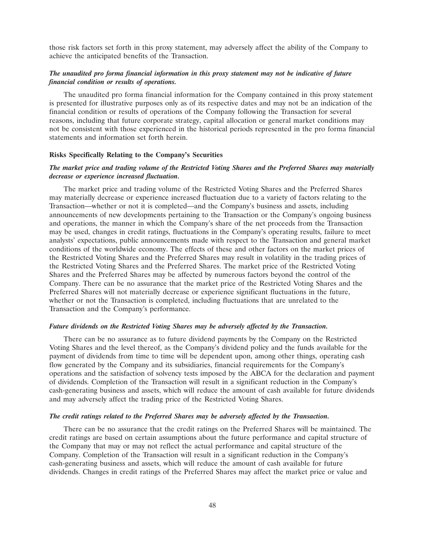those risk factors set forth in this proxy statement, may adversely affect the ability of the Company to achieve the anticipated benefits of the Transaction.

# *The unaudited pro forma financial information in this proxy statement may not be indicative of future financial condition or results of operations.*

The unaudited pro forma financial information for the Company contained in this proxy statement is presented for illustrative purposes only as of its respective dates and may not be an indication of the financial condition or results of operations of the Company following the Transaction for several reasons, including that future corporate strategy, capital allocation or general market conditions may not be consistent with those experienced in the historical periods represented in the pro forma financial statements and information set forth herein.

### **Risks Specifically Relating to the Company's Securities**

### *The market price and trading volume of the Restricted Voting Shares and the Preferred Shares may materially decrease or experience increased fluctuation.*

The market price and trading volume of the Restricted Voting Shares and the Preferred Shares may materially decrease or experience increased fluctuation due to a variety of factors relating to the Transaction—whether or not it is completed—and the Company's business and assets, including announcements of new developments pertaining to the Transaction or the Company's ongoing business and operations, the manner in which the Company's share of the net proceeds from the Transaction may be used, changes in credit ratings, fluctuations in the Company's operating results, failure to meet analysts' expectations, public announcements made with respect to the Transaction and general market conditions of the worldwide economy. The effects of these and other factors on the market prices of the Restricted Voting Shares and the Preferred Shares may result in volatility in the trading prices of the Restricted Voting Shares and the Preferred Shares. The market price of the Restricted Voting Shares and the Preferred Shares may be affected by numerous factors beyond the control of the Company. There can be no assurance that the market price of the Restricted Voting Shares and the Preferred Shares will not materially decrease or experience significant fluctuations in the future, whether or not the Transaction is completed, including fluctuations that are unrelated to the Transaction and the Company's performance.

### *Future dividends on the Restricted Voting Shares may be adversely affected by the Transaction.*

There can be no assurance as to future dividend payments by the Company on the Restricted Voting Shares and the level thereof, as the Company's dividend policy and the funds available for the payment of dividends from time to time will be dependent upon, among other things, operating cash flow generated by the Company and its subsidiaries, financial requirements for the Company's operations and the satisfaction of solvency tests imposed by the ABCA for the declaration and payment of dividends. Completion of the Transaction will result in a significant reduction in the Company's cash-generating business and assets, which will reduce the amount of cash available for future dividends and may adversely affect the trading price of the Restricted Voting Shares.

### *The credit ratings related to the Preferred Shares may be adversely affected by the Transaction.*

There can be no assurance that the credit ratings on the Preferred Shares will be maintained. The credit ratings are based on certain assumptions about the future performance and capital structure of the Company that may or may not reflect the actual performance and capital structure of the Company. Completion of the Transaction will result in a significant reduction in the Company's cash-generating business and assets, which will reduce the amount of cash available for future dividends. Changes in credit ratings of the Preferred Shares may affect the market price or value and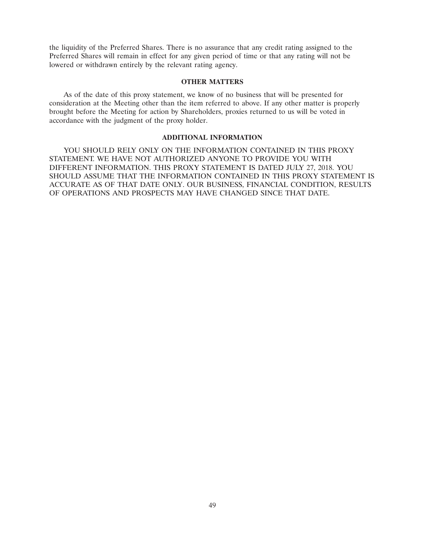the liquidity of the Preferred Shares. There is no assurance that any credit rating assigned to the Preferred Shares will remain in effect for any given period of time or that any rating will not be lowered or withdrawn entirely by the relevant rating agency.

### **OTHER MATTERS**

As of the date of this proxy statement, we know of no business that will be presented for consideration at the Meeting other than the item referred to above. If any other matter is properly brought before the Meeting for action by Shareholders, proxies returned to us will be voted in accordance with the judgment of the proxy holder.

## **ADDITIONAL INFORMATION**

YOU SHOULD RELY ONLY ON THE INFORMATION CONTAINED IN THIS PROXY STATEMENT. WE HAVE NOT AUTHORIZED ANYONE TO PROVIDE YOU WITH DIFFERENT INFORMATION. THIS PROXY STATEMENT IS DATED JULY 27, 2018. YOU SHOULD ASSUME THAT THE INFORMATION CONTAINED IN THIS PROXY STATEMENT IS ACCURATE AS OF THAT DATE ONLY. OUR BUSINESS, FINANCIAL CONDITION, RESULTS OF OPERATIONS AND PROSPECTS MAY HAVE CHANGED SINCE THAT DATE.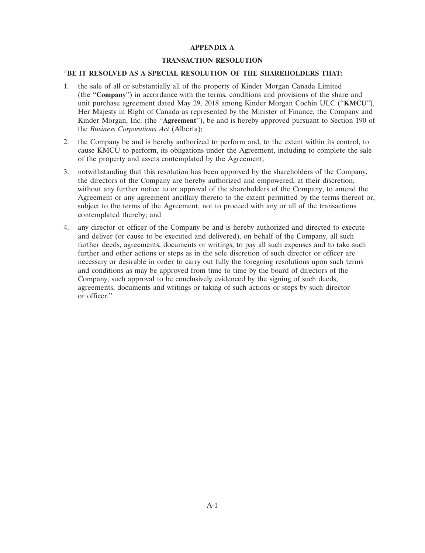## **APPENDIX A**

### **TRANSACTION RESOLUTION**

# ''**BE IT RESOLVED AS A SPECIAL RESOLUTION OF THE SHAREHOLDERS THAT:**

- 1. the sale of all or substantially all of the property of Kinder Morgan Canada Limited (the ''**Company**'') in accordance with the terms, conditions and provisions of the share and unit purchase agreement dated May 29, 2018 among Kinder Morgan Cochin ULC (''**KMCU**''), Her Majesty in Right of Canada as represented by the Minister of Finance, the Company and Kinder Morgan, Inc. (the ''**Agreement**''), be and is hereby approved pursuant to Section 190 of the *Business Corporations Act* (Alberta);
- 2. the Company be and is hereby authorized to perform and, to the extent within its control, to cause KMCU to perform, its obligations under the Agreement, including to complete the sale of the property and assets contemplated by the Agreement;
- 3. notwithstanding that this resolution has been approved by the shareholders of the Company, the directors of the Company are hereby authorized and empowered, at their discretion, without any further notice to or approval of the shareholders of the Company, to amend the Agreement or any agreement ancillary thereto to the extent permitted by the terms thereof or, subject to the terms of the Agreement, not to proceed with any or all of the transactions contemplated thereby; and
- 4. any director or officer of the Company be and is hereby authorized and directed to execute and deliver (or cause to be executed and delivered), on behalf of the Company, all such further deeds, agreements, documents or writings, to pay all such expenses and to take such further and other actions or steps as in the sole discretion of such director or officer are necessary or desirable in order to carry out fully the foregoing resolutions upon such terms and conditions as may be approved from time to time by the board of directors of the Company, such approval to be conclusively evidenced by the signing of such deeds, agreements, documents and writings or taking of such actions or steps by such director or officer.''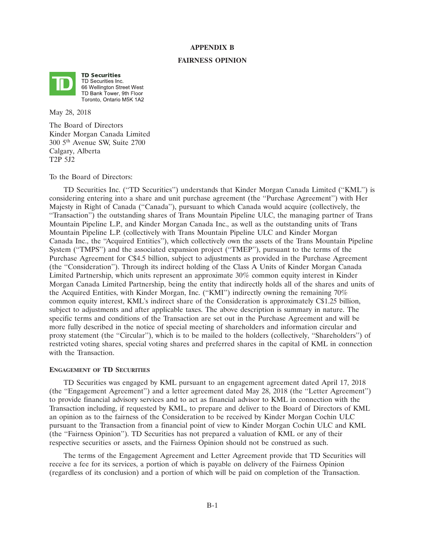### **APPENDIX B**

#### **FAIRNESS OPINION**



**TD Securities** TD Securities Inc. 66 Wellington Street West TD Bank Tower, 9th Floor Toronto, Ontario M5K 1A2

May 28, 2018

The Board of Directors Kinder Morgan Canada Limited 300 5th Avenue SW, Suite 2700 Calgary, Alberta T2P 5J2

To the Board of Directors:

TD Securities Inc. (''TD Securities'') understands that Kinder Morgan Canada Limited (''KML'') is considering entering into a share and unit purchase agreement (the ''Purchase Agreement'') with Her Majesty in Right of Canada (''Canada''), pursuant to which Canada would acquire (collectively, the ''Transaction'') the outstanding shares of Trans Mountain Pipeline ULC, the managing partner of Trans Mountain Pipeline L.P., and Kinder Morgan Canada Inc., as well as the outstanding units of Trans Mountain Pipeline L.P. (collectively with Trans Mountain Pipeline ULC and Kinder Morgan Canada Inc., the ''Acquired Entities''), which collectively own the assets of the Trans Mountain Pipeline System (''TMPS'') and the associated expansion project (''TMEP''), pursuant to the terms of the Purchase Agreement for C\$4.5 billion, subject to adjustments as provided in the Purchase Agreement (the ''Consideration''). Through its indirect holding of the Class A Units of Kinder Morgan Canada Limited Partnership, which units represent an approximate 30% common equity interest in Kinder Morgan Canada Limited Partnership, being the entity that indirectly holds all of the shares and units of the Acquired Entities, with Kinder Morgan, Inc. (''KMI'') indirectly owning the remaining 70% common equity interest, KML's indirect share of the Consideration is approximately C\$1.25 billion, subject to adjustments and after applicable taxes. The above description is summary in nature. The specific terms and conditions of the Transaction are set out in the Purchase Agreement and will be more fully described in the notice of special meeting of shareholders and information circular and proxy statement (the "Circular"), which is to be mailed to the holders (collectively, "Shareholders") of restricted voting shares, special voting shares and preferred shares in the capital of KML in connection with the Transaction.

#### **ENGAGEMENT OF TD SECURITIES**

TD Securities was engaged by KML pursuant to an engagement agreement dated April 17, 2018 (the ''Engagement Agreement'') and a letter agreement dated May 28, 2018 (the ''Letter Agreement'') to provide financial advisory services and to act as financial advisor to KML in connection with the Transaction including, if requested by KML, to prepare and deliver to the Board of Directors of KML an opinion as to the fairness of the Consideration to be received by Kinder Morgan Cochin ULC pursuant to the Transaction from a financial point of view to Kinder Morgan Cochin ULC and KML (the ''Fairness Opinion''). TD Securities has not prepared a valuation of KML or any of their respective securities or assets, and the Fairness Opinion should not be construed as such.

The terms of the Engagement Agreement and Letter Agreement provide that TD Securities will receive a fee for its services, a portion of which is payable on delivery of the Fairness Opinion (regardless of its conclusion) and a portion of which will be paid on completion of the Transaction.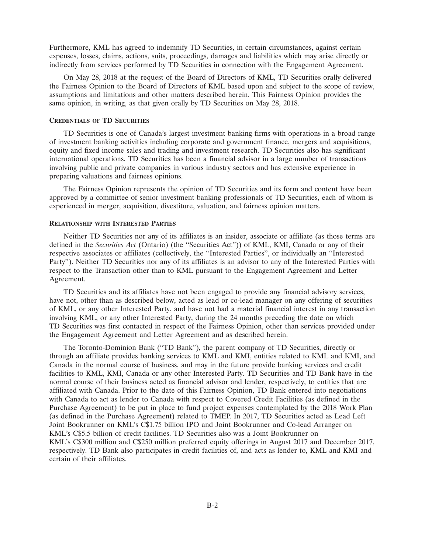Furthermore, KML has agreed to indemnify TD Securities, in certain circumstances, against certain expenses, losses, claims, actions, suits, proceedings, damages and liabilities which may arise directly or indirectly from services performed by TD Securities in connection with the Engagement Agreement.

On May 28, 2018 at the request of the Board of Directors of KML, TD Securities orally delivered the Fairness Opinion to the Board of Directors of KML based upon and subject to the scope of review, assumptions and limitations and other matters described herein. This Fairness Opinion provides the same opinion, in writing, as that given orally by TD Securities on May 28, 2018.

### **CREDENTIALS OF TD SECURITIES**

TD Securities is one of Canada's largest investment banking firms with operations in a broad range of investment banking activities including corporate and government finance, mergers and acquisitions, equity and fixed income sales and trading and investment research. TD Securities also has significant international operations. TD Securities has been a financial advisor in a large number of transactions involving public and private companies in various industry sectors and has extensive experience in preparing valuations and fairness opinions.

The Fairness Opinion represents the opinion of TD Securities and its form and content have been approved by a committee of senior investment banking professionals of TD Securities, each of whom is experienced in merger, acquisition, divestiture, valuation, and fairness opinion matters.

#### **RELATIONSHIP WITH INTERESTED PARTIES**

Neither TD Securities nor any of its affiliates is an insider, associate or affiliate (as those terms are defined in the *Securities Act* (Ontario) (the ''Securities Act'')) of KML, KMI, Canada or any of their respective associates or affiliates (collectively, the ''Interested Parties'', or individually an ''Interested Party''). Neither TD Securities nor any of its affiliates is an advisor to any of the Interested Parties with respect to the Transaction other than to KML pursuant to the Engagement Agreement and Letter Agreement.

TD Securities and its affiliates have not been engaged to provide any financial advisory services, have not, other than as described below, acted as lead or co-lead manager on any offering of securities of KML, or any other Interested Party, and have not had a material financial interest in any transaction involving KML, or any other Interested Party, during the 24 months preceding the date on which TD Securities was first contacted in respect of the Fairness Opinion, other than services provided under the Engagement Agreement and Letter Agreement and as described herein.

The Toronto-Dominion Bank (''TD Bank''), the parent company of TD Securities, directly or through an affiliate provides banking services to KML and KMI, entities related to KML and KMI, and Canada in the normal course of business, and may in the future provide banking services and credit facilities to KML, KMI, Canada or any other Interested Party. TD Securities and TD Bank have in the normal course of their business acted as financial advisor and lender, respectively, to entities that are affiliated with Canada. Prior to the date of this Fairness Opinion, TD Bank entered into negotiations with Canada to act as lender to Canada with respect to Covered Credit Facilities (as defined in the Purchase Agreement) to be put in place to fund project expenses contemplated by the 2018 Work Plan (as defined in the Purchase Agreement) related to TMEP. In 2017, TD Securities acted as Lead Left Joint Bookrunner on KML's C\$1.75 billion IPO and Joint Bookrunner and Co-lead Arranger on KML's C\$5.5 billion of credit facilities. TD Securities also was a Joint Bookrunner on KML's C\$300 million and C\$250 million preferred equity offerings in August 2017 and December 2017, respectively. TD Bank also participates in credit facilities of, and acts as lender to, KML and KMI and certain of their affiliates.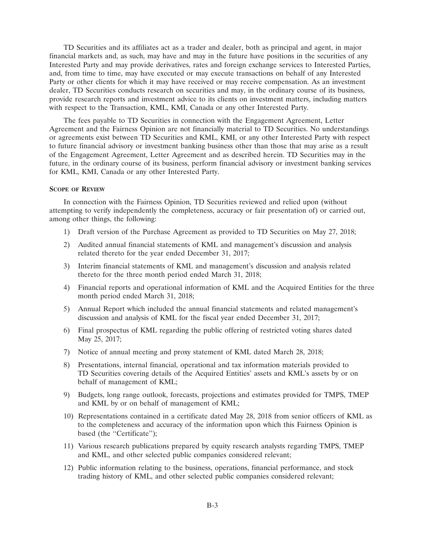TD Securities and its affiliates act as a trader and dealer, both as principal and agent, in major financial markets and, as such, may have and may in the future have positions in the securities of any Interested Party and may provide derivatives, rates and foreign exchange services to Interested Parties, and, from time to time, may have executed or may execute transactions on behalf of any Interested Party or other clients for which it may have received or may receive compensation. As an investment dealer, TD Securities conducts research on securities and may, in the ordinary course of its business, provide research reports and investment advice to its clients on investment matters, including matters with respect to the Transaction, KML, KMI, Canada or any other Interested Party.

The fees payable to TD Securities in connection with the Engagement Agreement, Letter Agreement and the Fairness Opinion are not financially material to TD Securities. No understandings or agreements exist between TD Securities and KML, KMI, or any other Interested Party with respect to future financial advisory or investment banking business other than those that may arise as a result of the Engagement Agreement, Letter Agreement and as described herein. TD Securities may in the future, in the ordinary course of its business, perform financial advisory or investment banking services for KML, KMI, Canada or any other Interested Party.

### **SCOPE OF REVIEW**

In connection with the Fairness Opinion, TD Securities reviewed and relied upon (without attempting to verify independently the completeness, accuracy or fair presentation of) or carried out, among other things, the following:

- 1) Draft version of the Purchase Agreement as provided to TD Securities on May 27, 2018;
- 2) Audited annual financial statements of KML and management's discussion and analysis related thereto for the year ended December 31, 2017;
- 3) Interim financial statements of KML and management's discussion and analysis related thereto for the three month period ended March 31, 2018;
- 4) Financial reports and operational information of KML and the Acquired Entities for the three month period ended March 31, 2018;
- 5) Annual Report which included the annual financial statements and related management's discussion and analysis of KML for the fiscal year ended December 31, 2017;
- 6) Final prospectus of KML regarding the public offering of restricted voting shares dated May 25, 2017;
- 7) Notice of annual meeting and proxy statement of KML dated March 28, 2018;
- 8) Presentations, internal financial, operational and tax information materials provided to TD Securities covering details of the Acquired Entities' assets and KML's assets by or on behalf of management of KML;
- 9) Budgets, long range outlook, forecasts, projections and estimates provided for TMPS, TMEP and KML by or on behalf of management of KML;
- 10) Representations contained in a certificate dated May 28, 2018 from senior officers of KML as to the completeness and accuracy of the information upon which this Fairness Opinion is based (the "Certificate");
- 11) Various research publications prepared by equity research analysts regarding TMPS, TMEP and KML, and other selected public companies considered relevant;
- 12) Public information relating to the business, operations, financial performance, and stock trading history of KML, and other selected public companies considered relevant;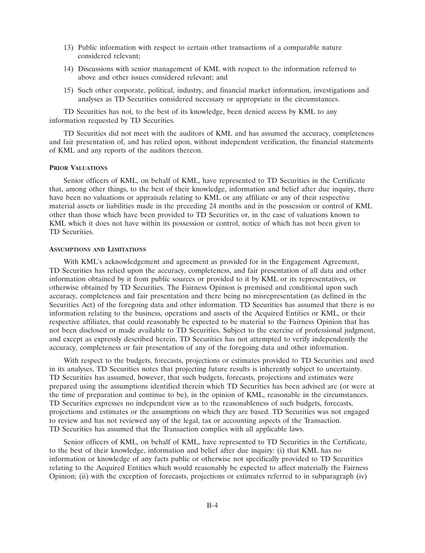- 13) Public information with respect to certain other transactions of a comparable nature considered relevant;
- 14) Discussions with senior management of KML with respect to the information referred to above and other issues considered relevant; and
- 15) Such other corporate, political, industry, and financial market information, investigations and analyses as TD Securities considered necessary or appropriate in the circumstances.

TD Securities has not, to the best of its knowledge, been denied access by KML to any information requested by TD Securities.

TD Securities did not meet with the auditors of KML and has assumed the accuracy, completeness and fair presentation of, and has relied upon, without independent verification, the financial statements of KML and any reports of the auditors thereon.

#### **PRIOR VALUATIONS**

Senior officers of KML, on behalf of KML, have represented to TD Securities in the Certificate that, among other things, to the best of their knowledge, information and belief after due inquiry, there have been no valuations or appraisals relating to KML or any affiliate or any of their respective material assets or liabilities made in the preceding 24 months and in the possession or control of KML other than those which have been provided to TD Securities or, in the case of valuations known to KML which it does not have within its possession or control, notice of which has not been given to TD Securities.

### **ASSUMPTIONS AND LIMITATIONS**

With KML's acknowledgement and agreement as provided for in the Engagement Agreement, TD Securities has relied upon the accuracy, completeness, and fair presentation of all data and other information obtained by it from public sources or provided to it by KML or its representatives, or otherwise obtained by TD Securities. The Fairness Opinion is premised and conditional upon such accuracy, completeness and fair presentation and there being no misrepresentation (as defined in the Securities Act) of the foregoing data and other information. TD Securities has assumed that there is no information relating to the business, operations and assets of the Acquired Entities or KML, or their respective affiliates, that could reasonably be expected to be material to the Fairness Opinion that has not been disclosed or made available to TD Securities. Subject to the exercise of professional judgment, and except as expressly described herein, TD Securities has not attempted to verify independently the accuracy, completeness or fair presentation of any of the foregoing data and other information.

With respect to the budgets, forecasts, projections or estimates provided to TD Securities and used in its analyses, TD Securities notes that projecting future results is inherently subject to uncertainty. TD Securities has assumed, however, that such budgets, forecasts, projections and estimates were prepared using the assumptions identified therein which TD Securities has been advised are (or were at the time of preparation and continue to be), in the opinion of KML, reasonable in the circumstances. TD Securities expresses no independent view as to the reasonableness of such budgets, forecasts, projections and estimates or the assumptions on which they are based. TD Securities was not engaged to review and has not reviewed any of the legal, tax or accounting aspects of the Transaction. TD Securities has assumed that the Transaction complies with all applicable laws.

Senior officers of KML, on behalf of KML, have represented to TD Securities in the Certificate, to the best of their knowledge, information and belief after due inquiry: (i) that KML has no information or knowledge of any facts public or otherwise not specifically provided to TD Securities relating to the Acquired Entities which would reasonably be expected to affect materially the Fairness Opinion; (ii) with the exception of forecasts, projections or estimates referred to in subparagraph (iv)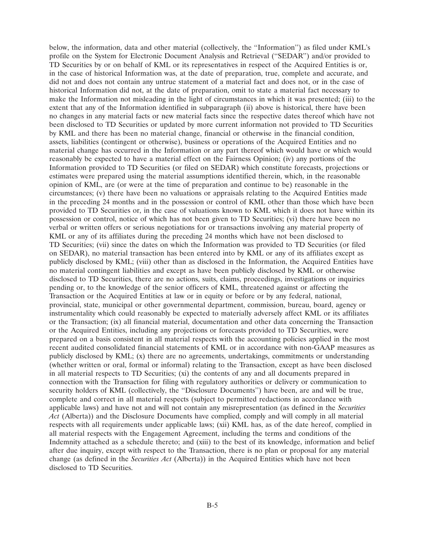below, the information, data and other material (collectively, the ''Information'') as filed under KML's profile on the System for Electronic Document Analysis and Retrieval (''SEDAR'') and/or provided to TD Securities by or on behalf of KML or its representatives in respect of the Acquired Entities is or, in the case of historical Information was, at the date of preparation, true, complete and accurate, and did not and does not contain any untrue statement of a material fact and does not, or in the case of historical Information did not, at the date of preparation, omit to state a material fact necessary to make the Information not misleading in the light of circumstances in which it was presented; (iii) to the extent that any of the Information identified in subparagraph (ii) above is historical, there have been no changes in any material facts or new material facts since the respective dates thereof which have not been disclosed to TD Securities or updated by more current information not provided to TD Securities by KML and there has been no material change, financial or otherwise in the financial condition, assets, liabilities (contingent or otherwise), business or operations of the Acquired Entities and no material change has occurred in the Information or any part thereof which would have or which would reasonably be expected to have a material effect on the Fairness Opinion; (iv) any portions of the Information provided to TD Securities (or filed on SEDAR) which constitute forecasts, projections or estimates were prepared using the material assumptions identified therein, which, in the reasonable opinion of KML, are (or were at the time of preparation and continue to be) reasonable in the circumstances; (v) there have been no valuations or appraisals relating to the Acquired Entities made in the preceding 24 months and in the possession or control of KML other than those which have been provided to TD Securities or, in the case of valuations known to KML which it does not have within its possession or control, notice of which has not been given to TD Securities; (vi) there have been no verbal or written offers or serious negotiations for or transactions involving any material property of KML or any of its affiliates during the preceding 24 months which have not been disclosed to TD Securities; (vii) since the dates on which the Information was provided to TD Securities (or filed on SEDAR), no material transaction has been entered into by KML or any of its affiliates except as publicly disclosed by KML; (viii) other than as disclosed in the Information, the Acquired Entities have no material contingent liabilities and except as have been publicly disclosed by KML or otherwise disclosed to TD Securities, there are no actions, suits, claims, proceedings, investigations or inquiries pending or, to the knowledge of the senior officers of KML, threatened against or affecting the Transaction or the Acquired Entities at law or in equity or before or by any federal, national, provincial, state, municipal or other governmental department, commission, bureau, board, agency or instrumentality which could reasonably be expected to materially adversely affect KML or its affiliates or the Transaction; (ix) all financial material, documentation and other data concerning the Transaction or the Acquired Entities, including any projections or forecasts provided to TD Securities, were prepared on a basis consistent in all material respects with the accounting policies applied in the most recent audited consolidated financial statements of KML or in accordance with non-GAAP measures as publicly disclosed by KML; (x) there are no agreements, undertakings, commitments or understanding (whether written or oral, formal or informal) relating to the Transaction, except as have been disclosed in all material respects to TD Securities; (xi) the contents of any and all documents prepared in connection with the Transaction for filing with regulatory authorities or delivery or communication to security holders of KML (collectively, the "Disclosure Documents") have been, are and will be true, complete and correct in all material respects (subject to permitted redactions in accordance with applicable laws) and have not and will not contain any misrepresentation (as defined in the *Securities Act* (Alberta)) and the Disclosure Documents have complied, comply and will comply in all material respects with all requirements under applicable laws; (xii) KML has, as of the date hereof, complied in all material respects with the Engagement Agreement, including the terms and conditions of the Indemnity attached as a schedule thereto; and (xiii) to the best of its knowledge, information and belief after due inquiry, except with respect to the Transaction, there is no plan or proposal for any material change (as defined in the *Securities Act* (Alberta)) in the Acquired Entities which have not been disclosed to TD Securities.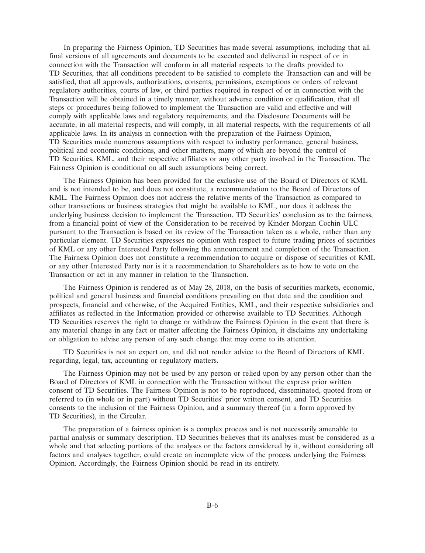In preparing the Fairness Opinion, TD Securities has made several assumptions, including that all final versions of all agreements and documents to be executed and delivered in respect of or in connection with the Transaction will conform in all material respects to the drafts provided to TD Securities, that all conditions precedent to be satisfied to complete the Transaction can and will be satisfied, that all approvals, authorizations, consents, permissions, exemptions or orders of relevant regulatory authorities, courts of law, or third parties required in respect of or in connection with the Transaction will be obtained in a timely manner, without adverse condition or qualification, that all steps or procedures being followed to implement the Transaction are valid and effective and will comply with applicable laws and regulatory requirements, and the Disclosure Documents will be accurate, in all material respects, and will comply, in all material respects, with the requirements of all applicable laws. In its analysis in connection with the preparation of the Fairness Opinion, TD Securities made numerous assumptions with respect to industry performance, general business, political and economic conditions, and other matters, many of which are beyond the control of TD Securities, KML, and their respective affiliates or any other party involved in the Transaction. The Fairness Opinion is conditional on all such assumptions being correct.

The Fairness Opinion has been provided for the exclusive use of the Board of Directors of KML and is not intended to be, and does not constitute, a recommendation to the Board of Directors of KML. The Fairness Opinion does not address the relative merits of the Transaction as compared to other transactions or business strategies that might be available to KML, nor does it address the underlying business decision to implement the Transaction. TD Securities' conclusion as to the fairness, from a financial point of view of the Consideration to be received by Kinder Morgan Cochin ULC pursuant to the Transaction is based on its review of the Transaction taken as a whole, rather than any particular element. TD Securities expresses no opinion with respect to future trading prices of securities of KML or any other Interested Party following the announcement and completion of the Transaction. The Fairness Opinion does not constitute a recommendation to acquire or dispose of securities of KML or any other Interested Party nor is it a recommendation to Shareholders as to how to vote on the Transaction or act in any manner in relation to the Transaction.

The Fairness Opinion is rendered as of May 28, 2018, on the basis of securities markets, economic, political and general business and financial conditions prevailing on that date and the condition and prospects, financial and otherwise, of the Acquired Entities, KML, and their respective subsidiaries and affiliates as reflected in the Information provided or otherwise available to TD Securities. Although TD Securities reserves the right to change or withdraw the Fairness Opinion in the event that there is any material change in any fact or matter affecting the Fairness Opinion, it disclaims any undertaking or obligation to advise any person of any such change that may come to its attention.

TD Securities is not an expert on, and did not render advice to the Board of Directors of KML regarding, legal, tax, accounting or regulatory matters.

The Fairness Opinion may not be used by any person or relied upon by any person other than the Board of Directors of KML in connection with the Transaction without the express prior written consent of TD Securities. The Fairness Opinion is not to be reproduced, disseminated, quoted from or referred to (in whole or in part) without TD Securities' prior written consent, and TD Securities consents to the inclusion of the Fairness Opinion, and a summary thereof (in a form approved by TD Securities), in the Circular.

The preparation of a fairness opinion is a complex process and is not necessarily amenable to partial analysis or summary description. TD Securities believes that its analyses must be considered as a whole and that selecting portions of the analyses or the factors considered by it, without considering all factors and analyses together, could create an incomplete view of the process underlying the Fairness Opinion. Accordingly, the Fairness Opinion should be read in its entirety.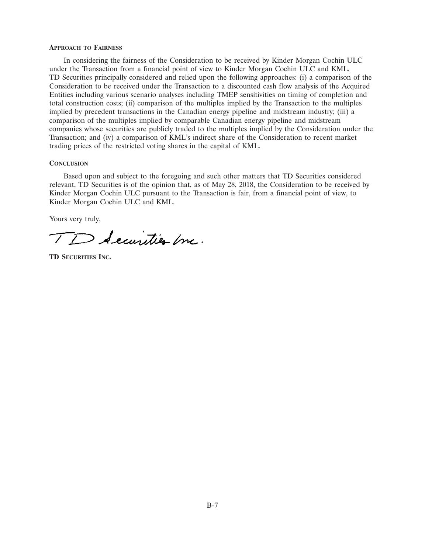#### **APPROACH TO FAIRNESS**

In considering the fairness of the Consideration to be received by Kinder Morgan Cochin ULC under the Transaction from a financial point of view to Kinder Morgan Cochin ULC and KML, TD Securities principally considered and relied upon the following approaches: (i) a comparison of the Consideration to be received under the Transaction to a discounted cash flow analysis of the Acquired Entities including various scenario analyses including TMEP sensitivities on timing of completion and total construction costs; (ii) comparison of the multiples implied by the Transaction to the multiples implied by precedent transactions in the Canadian energy pipeline and midstream industry; (iii) a comparison of the multiples implied by comparable Canadian energy pipeline and midstream companies whose securities are publicly traded to the multiples implied by the Consideration under the Transaction; and (iv) a comparison of KML's indirect share of the Consideration to recent market trading prices of the restricted voting shares in the capital of KML.

### **CONCLUSION**

Based upon and subject to the foregoing and such other matters that TD Securities considered relevant, TD Securities is of the opinion that, as of May 28, 2018, the Consideration to be received by Kinder Morgan Cochin ULC pursuant to the Transaction is fair, from a financial point of view, to Kinder Morgan Cochin ULC and KML.

Yours very truly,

TD Securities Inc.

**TD SECURITIES INC.**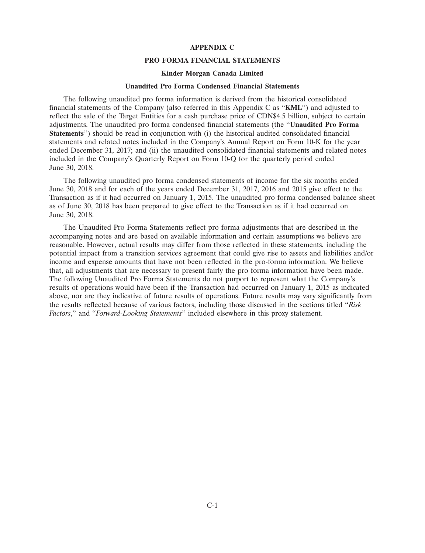### **APPENDIX C**

### **PRO FORMA FINANCIAL STATEMENTS**

### **Kinder Morgan Canada Limited**

### **Unaudited Pro Forma Condensed Financial Statements**

The following unaudited pro forma information is derived from the historical consolidated financial statements of the Company (also referred in this Appendix C as ''**KML**'') and adjusted to reflect the sale of the Target Entities for a cash purchase price of CDN\$4.5 billion, subject to certain adjustments. The unaudited pro forma condensed financial statements (the ''**Unaudited Pro Forma Statements**'') should be read in conjunction with (i) the historical audited consolidated financial statements and related notes included in the Company's Annual Report on Form 10-K for the year ended December 31, 2017; and (ii) the unaudited consolidated financial statements and related notes included in the Company's Quarterly Report on Form 10-Q for the quarterly period ended June 30, 2018.

The following unaudited pro forma condensed statements of income for the six months ended June 30, 2018 and for each of the years ended December 31, 2017, 2016 and 2015 give effect to the Transaction as if it had occurred on January 1, 2015. The unaudited pro forma condensed balance sheet as of June 30, 2018 has been prepared to give effect to the Transaction as if it had occurred on June 30, 2018.

The Unaudited Pro Forma Statements reflect pro forma adjustments that are described in the accompanying notes and are based on available information and certain assumptions we believe are reasonable. However, actual results may differ from those reflected in these statements, including the potential impact from a transition services agreement that could give rise to assets and liabilities and/or income and expense amounts that have not been reflected in the pro-forma information. We believe that, all adjustments that are necessary to present fairly the pro forma information have been made. The following Unaudited Pro Forma Statements do not purport to represent what the Company's results of operations would have been if the Transaction had occurred on January 1, 2015 as indicated above, nor are they indicative of future results of operations. Future results may vary significantly from the results reflected because of various factors, including those discussed in the sections titled ''*Risk Factors*,'' and ''*Forward-Looking Statements*'' included elsewhere in this proxy statement.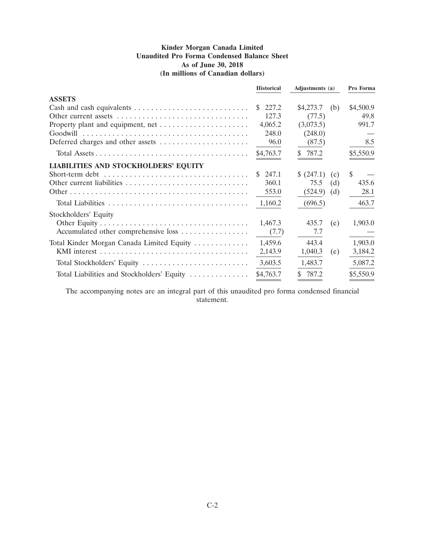# **Kinder Morgan Canada Limited Unaudited Pro Forma Condensed Balance Sheet As of June 30, 2018 (In millions of Canadian dollars)**

|                                             | <b>Historical</b> | Adjustments (a) | Pro Forma |           |
|---------------------------------------------|-------------------|-----------------|-----------|-----------|
| <b>ASSETS</b>                               |                   |                 |           |           |
|                                             | 227.2<br>S.       | \$4,273.7       | (b)       | \$4,500.9 |
| Other current assets                        | 127.3             | (77.5)          |           | 49.8      |
|                                             | 4,065.2           | (3,073.5)       |           | 991.7     |
| Goodwill                                    | 248.0             | (248.0)         |           |           |
| Deferred charges and other assets           | 96.0              | (87.5)          |           | 8.5       |
|                                             | \$4,763.7         | \$787.2         |           | \$5,550.9 |
| <b>LIABILITIES AND STOCKHOLDERS' EQUITY</b> |                   |                 |           |           |
|                                             | 247.1<br>S.       | \$(247.1)       | (c)       | \$.       |
|                                             | 360.1             | 75.5            | (d)       | 435.6     |
|                                             | 553.0             | (524.9)         | (d)       | 28.1      |
| Total Liabilities                           | 1,160.2           | (696.5)         |           | 463.7     |
| Stockholders' Equity                        |                   |                 |           |           |
|                                             | 1,467.3           | 435.7           | (e)       | 1,903.0   |
| Accumulated other comprehensive loss        | (7.7)             | 7.7             |           |           |
| Total Kinder Morgan Canada Limited Equity   | 1,459.6           | 443.4           |           | 1,903.0   |
|                                             | 2,143.9           | 1,040.3         | (e)       | 3,184.2   |
| Total Stockholders' Equity                  | 3,603.5           | 1,483.7         |           | 5,087.2   |
| Total Liabilities and Stockholders' Equity  | \$4,763.7         | \$<br>787.2     |           | \$5,550.9 |

The accompanying notes are an integral part of this unaudited pro forma condensed financial statement.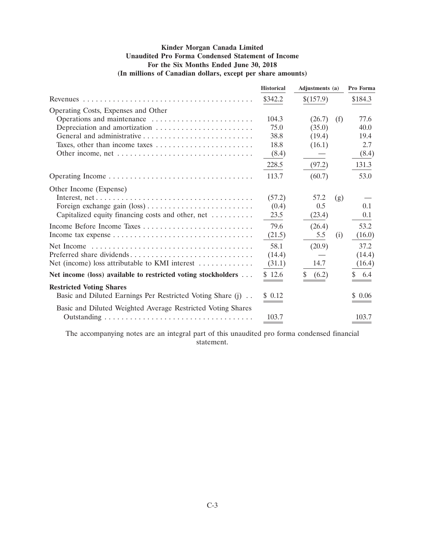# **Kinder Morgan Canada Limited Unaudited Pro Forma Condensed Statement of Income For the Six Months Ended June 30, 2018 (In millions of Canadian dollars, except per share amounts)**

|                                                               | <b>Historical</b> | Adjustments (a) |     | Pro Forma |
|---------------------------------------------------------------|-------------------|-----------------|-----|-----------|
|                                                               | \$342.2           | \$(157.9)       |     | \$184.3   |
| Operating Costs, Expenses and Other                           |                   |                 |     |           |
| Operations and maintenance                                    | 104.3             | (26.7)          | (f) | 77.6      |
| Depreciation and amortization                                 | 75.0              | (35.0)          |     | 40.0      |
|                                                               | 38.8              | (19.4)          |     | 19.4      |
|                                                               | 18.8              | (16.1)          |     | 2.7       |
|                                                               | (8.4)             |                 |     | (8.4)     |
|                                                               | 228.5             | (97.2)          |     | 131.3     |
|                                                               | 113.7             | (60.7)          |     | 53.0      |
| Other Income (Expense)                                        |                   |                 |     |           |
|                                                               | (57.2)            | 57.2            | (g) |           |
|                                                               | (0.4)             | 0.5             |     | 0.1       |
| Capitalized equity financing costs and other, net             | 23.5              | (23.4)          |     | 0.1       |
|                                                               | 79.6              | (26.4)          |     | 53.2      |
|                                                               | (21.5)            | 5.5             | (i) | (16.0)    |
|                                                               | 58.1              | (20.9)          |     | 37.2      |
| Preferred share dividends                                     | (14.4)            |                 |     | (14.4)    |
| Net (income) loss attributable to KMI interest                | (31.1)            | 14.7            |     | (16.4)    |
| Net income (loss) available to restricted voting stockholders | \$12.6            | (6.2)           |     | \$ 6.4    |
| <b>Restricted Voting Shares</b>                               |                   |                 |     |           |
| Basic and Diluted Earnings Per Restricted Voting Share (j)    | \$0.12            |                 |     | \$ 0.06   |
| Basic and Diluted Weighted Average Restricted Voting Shares   |                   |                 |     |           |
|                                                               | 103.7             |                 |     | 103.7     |

The accompanying notes are an integral part of this unaudited pro forma condensed financial statement.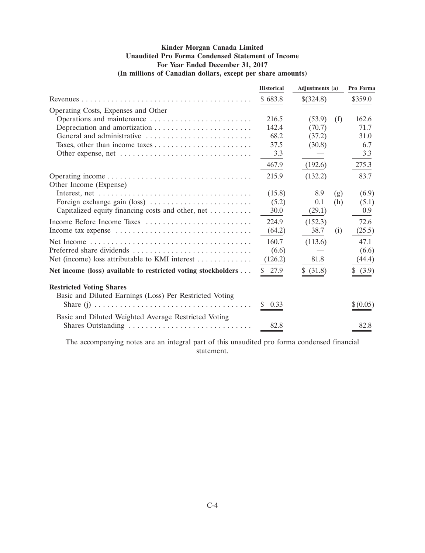# **Kinder Morgan Canada Limited Unaudited Pro Forma Condensed Statement of Income For Year Ended December 31, 2017 (In millions of Canadian dollars, except per share amounts)**

|                                                                                            | <b>Historical</b> | Adjustments (a) |     | Pro Forma |
|--------------------------------------------------------------------------------------------|-------------------|-----------------|-----|-----------|
|                                                                                            | \$683.8           | \$(324.8)       |     | \$359.0   |
| Operating Costs, Expenses and Other                                                        |                   |                 |     |           |
| Operations and maintenance                                                                 | 216.5             | (53.9)          | (f) | 162.6     |
|                                                                                            | 142.4             | (70.7)          |     | 71.7      |
| General and administrative                                                                 | 68.2              | (37.2)          |     | 31.0      |
|                                                                                            | 37.5              | (30.8)          |     | 6.7       |
|                                                                                            | 3.3               |                 |     | 3.3       |
|                                                                                            | 467.9             | (192.6)         |     | 275.3     |
| Other Income (Expense)                                                                     | 215.9             | (132.2)         |     | 83.7      |
|                                                                                            | (15.8)            | 8.9             | (g) | (6.9)     |
|                                                                                            | (5.2)             | 0.1             | (h) | (5.1)     |
| Capitalized equity financing costs and other, net                                          | 30.0              | (29.1)          |     | 0.9       |
| Income Before Income Taxes                                                                 | 224.9             | (152.3)         |     | 72.6      |
| Income tax expense                                                                         | (64.2)            | 38.7            | (i) | (25.5)    |
|                                                                                            | 160.7             | (113.6)         |     | 47.1      |
| Preferred share dividends                                                                  | (6.6)             |                 |     | (6.6)     |
| Net (income) loss attributable to KMI interest $\dots \dots \dots$                         | (126.2)           | 81.8            |     | (44.4)    |
| Net income (loss) available to restricted voting stockholders                              | 27.9              | \$ (31.8)       |     | \$ (3.9)  |
| <b>Restricted Voting Shares</b><br>Basic and Diluted Earnings (Loss) Per Restricted Voting | 0.33              |                 |     | \$(0.05)  |
| Basic and Diluted Weighted Average Restricted Voting                                       |                   |                 |     |           |
| Shares Outstanding                                                                         | 82.8              |                 |     | 82.8      |

The accompanying notes are an integral part of this unaudited pro forma condensed financial statement.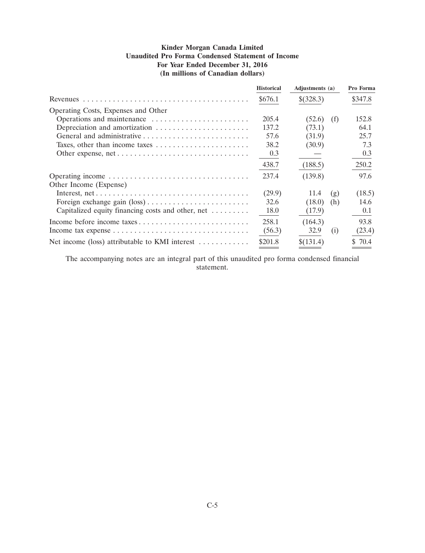# **Kinder Morgan Canada Limited Unaudited Pro Forma Condensed Statement of Income For Year Ended December 31, 2016 (In millions of Canadian dollars)**

|                                                   | <b>Historical</b> | Adjustments (a) |     | Pro Forma |
|---------------------------------------------------|-------------------|-----------------|-----|-----------|
|                                                   | \$676.1           | \$(328.3)       |     | \$347.8   |
| Operating Costs, Expenses and Other               |                   |                 |     |           |
| Operations and maintenance                        | 205.4             | (52.6)          | (f) | 152.8     |
| Depreciation and amortization                     | 137.2             | (73.1)          |     | 64.1      |
|                                                   | 57.6              | (31.9)          |     | 25.7      |
|                                                   | 38.2              | (30.9)          |     | 7.3       |
|                                                   | 0.3               |                 |     | 0.3       |
|                                                   | 438.7             | (188.5)         |     | 250.2     |
|                                                   | 237.4             | (139.8)         |     | 97.6      |
| Other Income (Expense)                            |                   |                 |     |           |
|                                                   | (29.9)            | 11.4            | (g) | (18.5)    |
|                                                   | 32.6              | (18.0)          | (h) | 14.6      |
| Capitalized equity financing costs and other, net | 18.0              | (17.9)          |     | 0.1       |
|                                                   | 258.1             | (164.3)         |     | 93.8      |
|                                                   | (56.3)            | 32.9            | (i) | (23.4)    |
| Net income (loss) attributable to KMI interest    | \$201.8           | \$(131.4)       |     | \$70.4    |

The accompanying notes are an integral part of this unaudited pro forma condensed financial statement.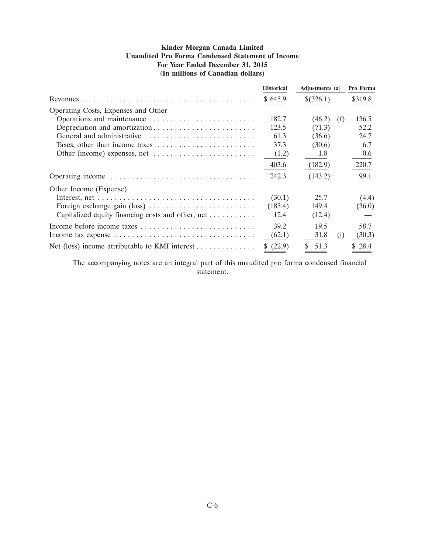# **Kinder Morgan Canada Limited Unaudited Pro Forma Condensed Statement of Income For Year Ended December 31, 2015 (In millions of Canadian dollars)**

|                                                                          | <b>Historical</b> | Adjustments (a) |     | Pro Forma |
|--------------------------------------------------------------------------|-------------------|-----------------|-----|-----------|
|                                                                          | \$645.9           | \$(326.1)       |     | \$319.8   |
| Operating Costs, Expenses and Other                                      |                   |                 |     |           |
|                                                                          | 182.7             | (46.2)          | (f) | 136.5     |
|                                                                          | 123.5             | (71.3)          |     | 52.2      |
| General and administrative                                               | 61.3              | (36.6)          |     | 24.7      |
|                                                                          | 37.3              | (30.6)          |     | 6.7       |
|                                                                          | (1.2)             | 1.8             |     | 0.6       |
|                                                                          | 403.6             | (182.9)         |     | 220.7     |
|                                                                          | 242.3             | (143.2)         |     | 99.1      |
| Other Income (Expense)                                                   |                   |                 |     |           |
|                                                                          | (30.1)            | 25.7            |     | (4.4)     |
|                                                                          | (185.4)           | 149.4           |     | (36.0)    |
| Capitalized equity financing costs and other, net                        | 12.4              | (12.4)          |     |           |
| Income before income taxes                                               | 39.2              | 19.5            |     | 58.7      |
|                                                                          | (62.1)            | 31.8            | (i) | (30.3)    |
| Net (loss) income attributable to KMI interest $\dots \dots \dots \dots$ | (22.9)<br>S.      | 51.3            |     | \$28.4    |

The accompanying notes are an integral part of this unaudited pro forma condensed financial statement.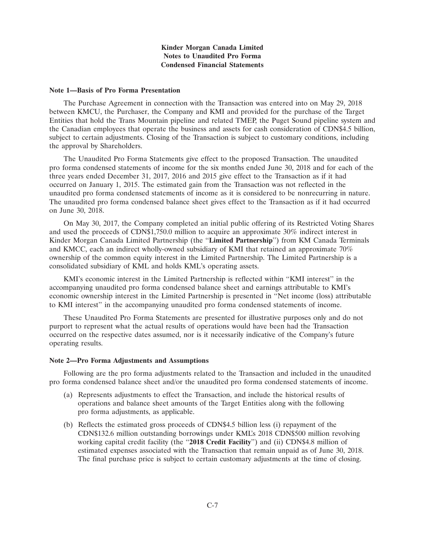## **Kinder Morgan Canada Limited Notes to Unaudited Pro Forma Condensed Financial Statements**

#### **Note 1—Basis of Pro Forma Presentation**

The Purchase Agreement in connection with the Transaction was entered into on May 29, 2018 between KMCU, the Purchaser, the Company and KMI and provided for the purchase of the Target Entities that hold the Trans Mountain pipeline and related TMEP, the Puget Sound pipeline system and the Canadian employees that operate the business and assets for cash consideration of CDN\$4.5 billion, subject to certain adjustments. Closing of the Transaction is subject to customary conditions, including the approval by Shareholders.

The Unaudited Pro Forma Statements give effect to the proposed Transaction. The unaudited pro forma condensed statements of income for the six months ended June 30, 2018 and for each of the three years ended December 31, 2017, 2016 and 2015 give effect to the Transaction as if it had occurred on January 1, 2015. The estimated gain from the Transaction was not reflected in the unaudited pro forma condensed statements of income as it is considered to be nonrecurring in nature. The unaudited pro forma condensed balance sheet gives effect to the Transaction as if it had occurred on June 30, 2018.

On May 30, 2017, the Company completed an initial public offering of its Restricted Voting Shares and used the proceeds of CDN\$1,750.0 million to acquire an approximate 30% indirect interest in Kinder Morgan Canada Limited Partnership (the ''**Limited Partnership**'') from KM Canada Terminals and KMCC, each an indirect wholly-owned subsidiary of KMI that retained an approximate 70% ownership of the common equity interest in the Limited Partnership. The Limited Partnership is a consolidated subsidiary of KML and holds KML's operating assets.

KMI's economic interest in the Limited Partnership is reflected within ''KMI interest'' in the accompanying unaudited pro forma condensed balance sheet and earnings attributable to KMI's economic ownership interest in the Limited Partnership is presented in ''Net income (loss) attributable to KMI interest'' in the accompanying unaudited pro forma condensed statements of income.

These Unaudited Pro Forma Statements are presented for illustrative purposes only and do not purport to represent what the actual results of operations would have been had the Transaction occurred on the respective dates assumed, nor is it necessarily indicative of the Company's future operating results.

#### **Note 2—Pro Forma Adjustments and Assumptions**

Following are the pro forma adjustments related to the Transaction and included in the unaudited pro forma condensed balance sheet and/or the unaudited pro forma condensed statements of income.

- (a) Represents adjustments to effect the Transaction, and include the historical results of operations and balance sheet amounts of the Target Entities along with the following pro forma adjustments, as applicable.
- (b) Reflects the estimated gross proceeds of CDN\$4.5 billion less (i) repayment of the CDN\$132.6 million outstanding borrowings under KML's 2018 CDN\$500 million revolving working capital credit facility (the ''**2018 Credit Facility**'') and (ii) CDN\$4.8 million of estimated expenses associated with the Transaction that remain unpaid as of June 30, 2018. The final purchase price is subject to certain customary adjustments at the time of closing.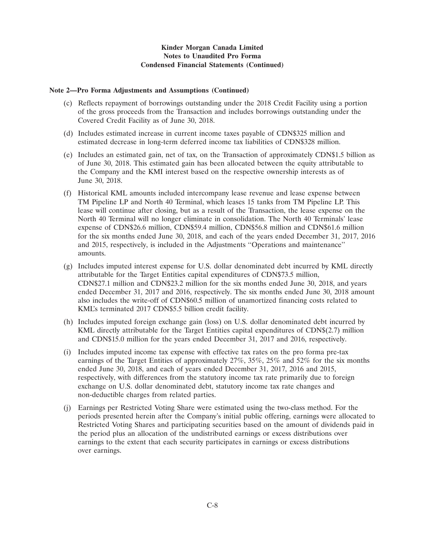# **Kinder Morgan Canada Limited Notes to Unaudited Pro Forma Condensed Financial Statements (Continued)**

## **Note 2—Pro Forma Adjustments and Assumptions (Continued)**

- (c) Reflects repayment of borrowings outstanding under the 2018 Credit Facility using a portion of the gross proceeds from the Transaction and includes borrowings outstanding under the Covered Credit Facility as of June 30, 2018.
- (d) Includes estimated increase in current income taxes payable of CDN\$325 million and estimated decrease in long-term deferred income tax liabilities of CDN\$328 million.
- (e) Includes an estimated gain, net of tax, on the Transaction of approximately CDN\$1.5 billion as of June 30, 2018. This estimated gain has been allocated between the equity attributable to the Company and the KMI interest based on the respective ownership interests as of June 30, 2018.
- (f) Historical KML amounts included intercompany lease revenue and lease expense between TM Pipeline LP and North 40 Terminal, which leases 15 tanks from TM Pipeline LP. This lease will continue after closing, but as a result of the Transaction, the lease expense on the North 40 Terminal will no longer eliminate in consolidation. The North 40 Terminals' lease expense of CDN\$26.6 million, CDN\$59.4 million, CDN\$56.8 million and CDN\$61.6 million for the six months ended June 30, 2018, and each of the years ended December 31, 2017, 2016 and 2015, respectively, is included in the Adjustments ''Operations and maintenance'' amounts.
- (g) Includes imputed interest expense for U.S. dollar denominated debt incurred by KML directly attributable for the Target Entities capital expenditures of CDN\$73.5 million, CDN\$27.1 million and CDN\$23.2 million for the six months ended June 30, 2018, and years ended December 31, 2017 and 2016, respectively. The six months ended June 30, 2018 amount also includes the write-off of CDN\$60.5 million of unamortized financing costs related to KML's terminated 2017 CDN\$5.5 billion credit facility.
- (h) Includes imputed foreign exchange gain (loss) on U.S. dollar denominated debt incurred by KML directly attributable for the Target Entities capital expenditures of CDN\$(2.7) million and CDN\$15.0 million for the years ended December 31, 2017 and 2016, respectively.
- (i) Includes imputed income tax expense with effective tax rates on the pro forma pre-tax earnings of the Target Entities of approximately 27%, 35%, 25% and 52% for the six months ended June 30, 2018, and each of years ended December 31, 2017, 2016 and 2015, respectively, with differences from the statutory income tax rate primarily due to foreign exchange on U.S. dollar denominated debt, statutory income tax rate changes and non-deductible charges from related parties.
- (j) Earnings per Restricted Voting Share were estimated using the two-class method. For the periods presented herein after the Company's initial public offering, earnings were allocated to Restricted Voting Shares and participating securities based on the amount of dividends paid in the period plus an allocation of the undistributed earnings or excess distributions over earnings to the extent that each security participates in earnings or excess distributions over earnings.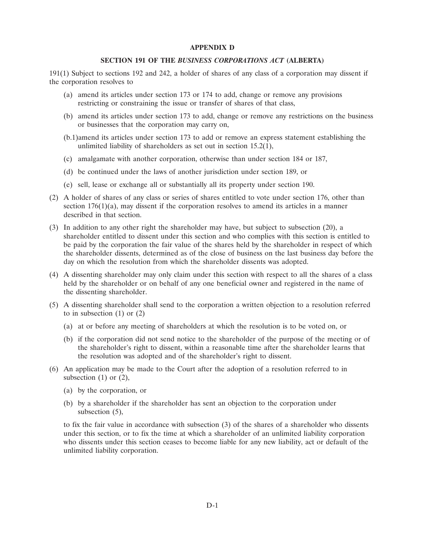### **APPENDIX D**

## **SECTION 191 OF THE** *BUSINESS CORPORATIONS ACT* **(ALBERTA)**

191(1) Subject to sections 192 and 242, a holder of shares of any class of a corporation may dissent if the corporation resolves to

- (a) amend its articles under section 173 or 174 to add, change or remove any provisions restricting or constraining the issue or transfer of shares of that class,
- (b) amend its articles under section 173 to add, change or remove any restrictions on the business or businesses that the corporation may carry on,
- (b.1)amend its articles under section 173 to add or remove an express statement establishing the unlimited liability of shareholders as set out in section 15.2(1),
- (c) amalgamate with another corporation, otherwise than under section 184 or 187,
- (d) be continued under the laws of another jurisdiction under section 189, or
- (e) sell, lease or exchange all or substantially all its property under section 190.
- (2) A holder of shares of any class or series of shares entitled to vote under section 176, other than section  $176(1)(a)$ , may dissent if the corporation resolves to amend its articles in a manner described in that section.
- (3) In addition to any other right the shareholder may have, but subject to subsection (20), a shareholder entitled to dissent under this section and who complies with this section is entitled to be paid by the corporation the fair value of the shares held by the shareholder in respect of which the shareholder dissents, determined as of the close of business on the last business day before the day on which the resolution from which the shareholder dissents was adopted.
- (4) A dissenting shareholder may only claim under this section with respect to all the shares of a class held by the shareholder or on behalf of any one beneficial owner and registered in the name of the dissenting shareholder.
- (5) A dissenting shareholder shall send to the corporation a written objection to a resolution referred to in subsection  $(1)$  or  $(2)$ 
	- (a) at or before any meeting of shareholders at which the resolution is to be voted on, or
	- (b) if the corporation did not send notice to the shareholder of the purpose of the meeting or of the shareholder's right to dissent, within a reasonable time after the shareholder learns that the resolution was adopted and of the shareholder's right to dissent.
- (6) An application may be made to the Court after the adoption of a resolution referred to in subsection  $(1)$  or  $(2)$ ,
	- (a) by the corporation, or
	- (b) by a shareholder if the shareholder has sent an objection to the corporation under subsection (5),

to fix the fair value in accordance with subsection (3) of the shares of a shareholder who dissents under this section, or to fix the time at which a shareholder of an unlimited liability corporation who dissents under this section ceases to become liable for any new liability, act or default of the unlimited liability corporation.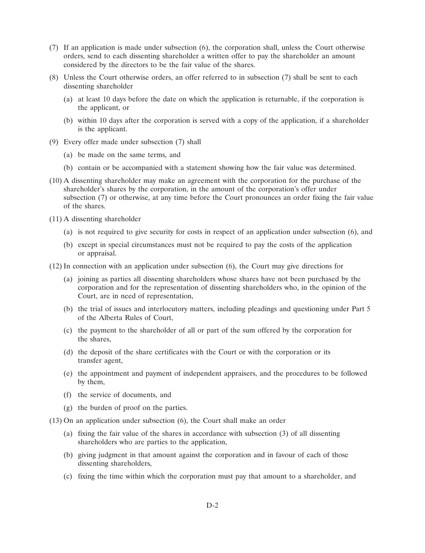- (7) If an application is made under subsection (6), the corporation shall, unless the Court otherwise orders, send to each dissenting shareholder a written offer to pay the shareholder an amount considered by the directors to be the fair value of the shares.
- (8) Unless the Court otherwise orders, an offer referred to in subsection (7) shall be sent to each dissenting shareholder
	- (a) at least 10 days before the date on which the application is returnable, if the corporation is the applicant, or
	- (b) within 10 days after the corporation is served with a copy of the application, if a shareholder is the applicant.
- (9) Every offer made under subsection (7) shall
	- (a) be made on the same terms, and
	- (b) contain or be accompanied with a statement showing how the fair value was determined.
- (10) A dissenting shareholder may make an agreement with the corporation for the purchase of the shareholder's shares by the corporation, in the amount of the corporation's offer under subsection (7) or otherwise, at any time before the Court pronounces an order fixing the fair value of the shares.
- (11) A dissenting shareholder
	- (a) is not required to give security for costs in respect of an application under subsection (6), and
	- (b) except in special circumstances must not be required to pay the costs of the application or appraisal.
- (12) In connection with an application under subsection (6), the Court may give directions for
	- (a) joining as parties all dissenting shareholders whose shares have not been purchased by the corporation and for the representation of dissenting shareholders who, in the opinion of the Court, are in need of representation,
	- (b) the trial of issues and interlocutory matters, including pleadings and questioning under Part 5 of the Alberta Rules of Court,
	- (c) the payment to the shareholder of all or part of the sum offered by the corporation for the shares,
	- (d) the deposit of the share certificates with the Court or with the corporation or its transfer agent,
	- (e) the appointment and payment of independent appraisers, and the procedures to be followed by them,
	- (f) the service of documents, and
	- (g) the burden of proof on the parties.
- (13) On an application under subsection (6), the Court shall make an order
	- (a) fixing the fair value of the shares in accordance with subsection (3) of all dissenting shareholders who are parties to the application,
	- (b) giving judgment in that amount against the corporation and in favour of each of those dissenting shareholders,
	- (c) fixing the time within which the corporation must pay that amount to a shareholder, and